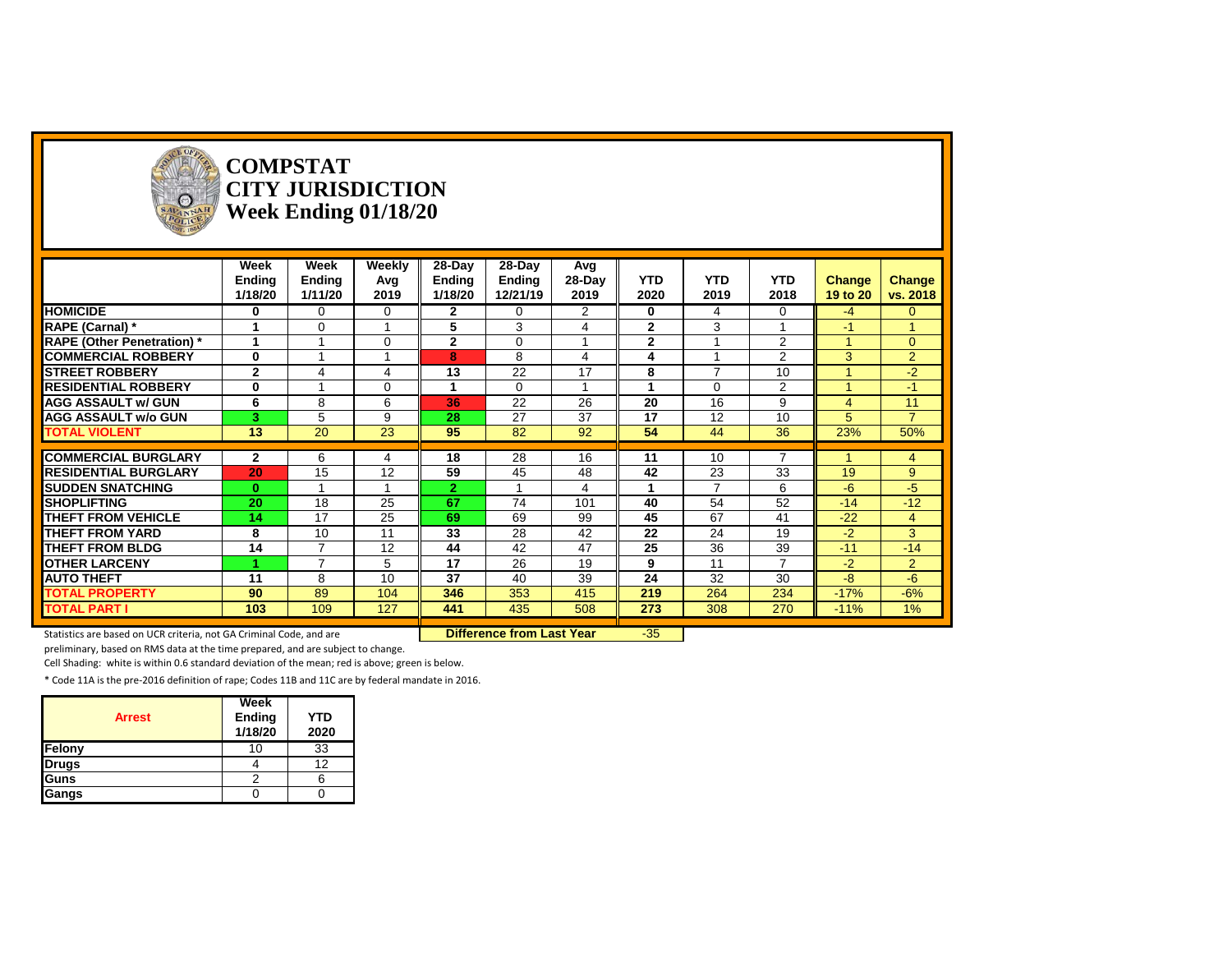| $\circ$<br>SAVANNA                                                  |                | <b>COMPSTAT</b><br><b>CITY JURISDICTION</b><br>Week Ending 01/18/20 |                |                |                                  |          |                 |                 |                 |                |                |
|---------------------------------------------------------------------|----------------|---------------------------------------------------------------------|----------------|----------------|----------------------------------|----------|-----------------|-----------------|-----------------|----------------|----------------|
|                                                                     | Week           | Week                                                                | <b>Weekly</b>  | $28-Day$       | 28-Day                           | Avg      |                 |                 |                 |                |                |
|                                                                     | <b>Endina</b>  | <b>Ending</b>                                                       | Avg            | <b>Ending</b>  | Ending                           | $28-Day$ | <b>YTD</b>      | <b>YTD</b>      | <b>YTD</b>      | Change         | <b>Change</b>  |
|                                                                     | 1/18/20        | 1/11/20                                                             | 2019           | 1/18/20        | 12/21/19                         | 2019     | 2020            | 2019            | 2018            | 19 to 20       | vs. 2018       |
| <b>HOMICIDE</b>                                                     | 0              | $\mathbf 0$                                                         | $\mathbf 0$    | $\mathbf{2}$   | 0                                | 2        | $\mathbf 0$     | 4               | 0               | -4             | $\overline{0}$ |
| <b>RAPE (Carnal) *</b>                                              | 1              | $\Omega$                                                            |                | 5              | 3                                | 4        | $\mathbf{2}$    | 3               |                 | -1             |                |
| <b>RAPE (Other Penetration)</b> *                                   | $\mathbf{1}$   |                                                                     | $\Omega$       | $\overline{2}$ | $\mathbf 0$                      |          | $\mathbf{2}$    |                 | 2               |                | $\Omega$       |
| <b>COMMERCIAL ROBBERY</b>                                           | $\bf{0}$       |                                                                     |                | 8              | 8                                | 4        | 4               |                 | 2               | 3              | $\overline{2}$ |
| <b>STREET ROBBERY</b>                                               | $\overline{2}$ | 4                                                                   | $\overline{A}$ | 13             | $\overline{22}$                  | 17       | 8               | $\overline{ }$  | $\overline{10}$ |                | $-2$           |
| <b>RESIDENTIAL ROBBERY</b>                                          | $\mathbf 0$    |                                                                     | $\mathbf 0$    |                | 0                                |          |                 | $\Omega$        | 2               |                | $-1$           |
| <b>AGG ASSAULT w/ GUN</b>                                           | 6              | 8                                                                   | 6              | 36             | 22                               | 26       | 20              | 16              | 9               | $\overline{4}$ | 11             |
| <b>AGG ASSAULT w/o GUN</b>                                          | 3              | 5                                                                   | 9              | 28             | 27                               | 37       | 17              | 12              | 10              | 5              | $\overline{7}$ |
| <b>TOTAL VIOLENT</b>                                                | 13             | 20                                                                  | 23             | 95             | 82                               | 92       | 54              | 44              | 36              | 23%            | 50%            |
| <b>COMMERCIAL BURGLARY</b>                                          | $\mathbf{2}$   | 6                                                                   | 4              | 18             | $\overline{28}$                  | 16       | 11              | 10              | 7               |                | $\overline{4}$ |
| <b>RESIDENTIAL BURGLARY</b>                                         | 20             | 15                                                                  | 12             | 59             | $\overline{45}$                  | 48       | 42              | $\overline{23}$ | $\overline{33}$ | 19             | 9              |
| <b>SUDDEN SNATCHING</b>                                             | $\mathbf{0}$   | $\blacktriangleleft$                                                |                | $\overline{2}$ | $\overline{ }$                   | 4        | 1               | $\overline{ }$  | 6               | $-6$           | $-5$           |
| <b>SHOPLIFTING</b>                                                  | 20             | 18                                                                  | 25             | 67             | 74                               | 101      | 40              | 54              | 52              | $-14$          | $-12$          |
| <b>THEFT FROM VEHICLE</b>                                           | 14             | 17                                                                  | 25             | 69             | 69                               | 99       | 45              | 67              | 41              | $-22$          | $\overline{4}$ |
| <b>THEFT FROM YARD</b>                                              | 8              | 10                                                                  | 11             | 33             | $\overline{28}$                  | 42       | 22              | $\overline{24}$ | 19              | $-2$           | $\mathbf{3}$   |
| <b>THEFT FROM BLDG</b>                                              | 14             | $\overline{7}$                                                      | 12             | 44             | 42                               | 47       | $\overline{25}$ | 36              | 39              | $-11$          | $-14$          |
| <b>OTHER LARCENY</b>                                                |                | $\overline{7}$                                                      | 5              | 17             | 26                               | 19       | 9               | 11              | $\overline{7}$  | $-2$           | $\overline{2}$ |
| <b>AUTO THEFT</b>                                                   | 11             | 8                                                                   | 10             | 37             | 40                               | 39       | 24              | 32              | 30              | -8             | $-6$           |
| <b>TOTAL PROPERTY</b>                                               | 90             | 89                                                                  | 104            | 346            | 353                              | 415      | 219             | 264             | 234             | $-17%$         | $-6%$          |
| <b>TOTAL PART I</b>                                                 | 103            | 109                                                                 | 127            | 441            | 435                              | 508      | 273             | 308             | 270             | $-11%$         | $1\%$          |
| Statistics are based on UCR criteria, not GA Criminal Code, and are |                |                                                                     |                |                | <b>Difference from Last Year</b> |          | $-35$           |                 |                 |                |                |

preliminary, based on RMS data at the time prepared, and are subject to change.

Cell Shading: white is within 0.6 standard deviation of the mean; red is above; green is below.

| <b>Arrest</b> | Week<br>Ending<br>1/18/20 | <b>YTD</b><br>2020 |
|---------------|---------------------------|--------------------|
| Felony        | 10                        | 33                 |
| <b>Drugs</b>  |                           | 12                 |
| Guns          |                           |                    |
| Gangs         |                           |                    |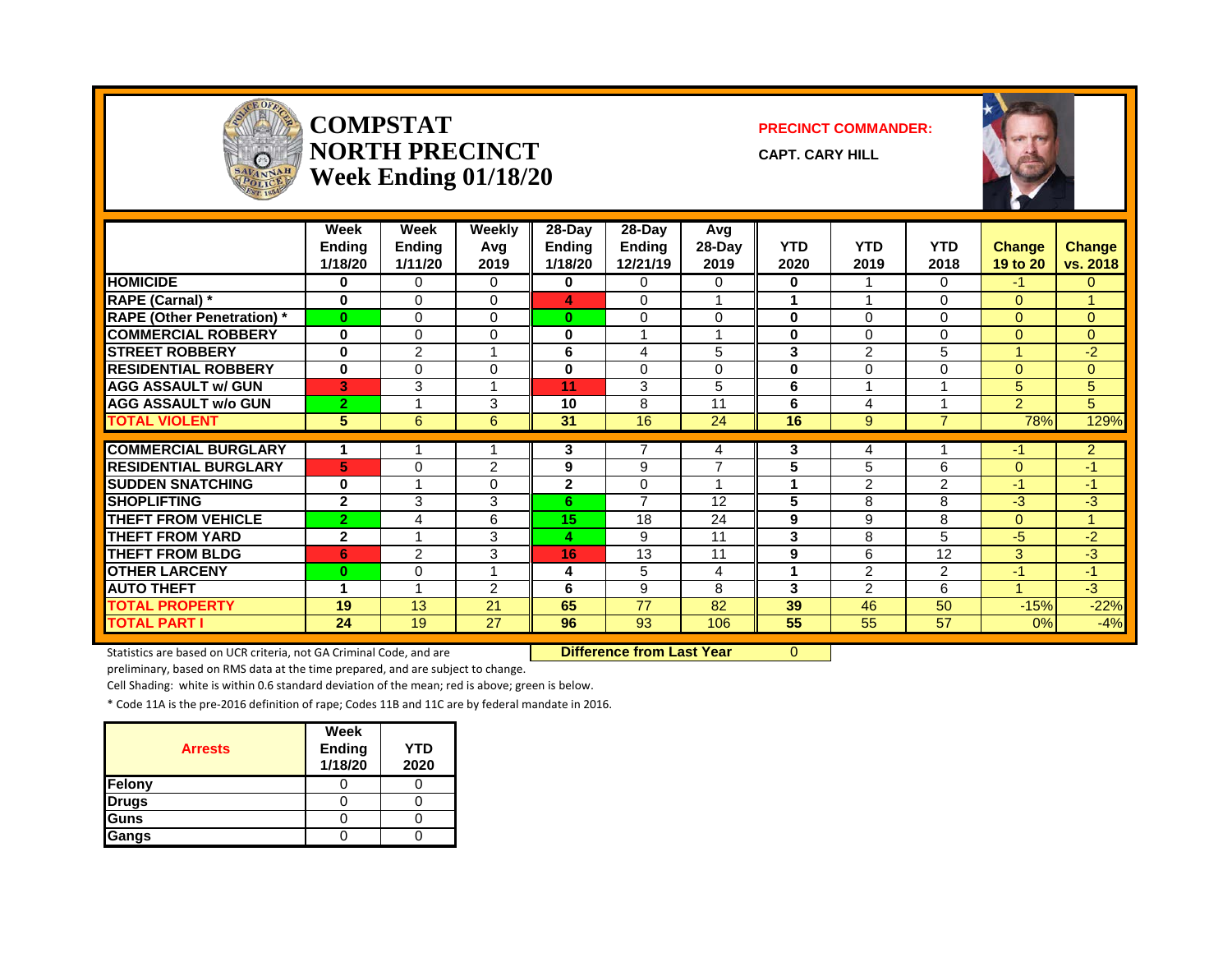

#### **COMPSTAT PRECINCT COMMANDER: NORTH PRECINCT CAPT. CARY HILL Week Ending 01/18/20**





|                                  | Week<br><b>Endina</b><br>1/18/20 | Week<br><b>Ending</b><br>1/11/20 | Weekly<br>Avg<br>2019   | $28-Day$<br><b>Ending</b><br>1/18/20 | $28-Dav$<br><b>Endina</b><br>12/21/19 | Avg<br>28-Day<br>2019 | <b>YTD</b><br>2020 | <b>YTD</b><br>2019 | <b>YTD</b><br>2018 | <b>Change</b><br>19 to 20 | <b>Change</b><br>vs. 2018 |
|----------------------------------|----------------------------------|----------------------------------|-------------------------|--------------------------------------|---------------------------------------|-----------------------|--------------------|--------------------|--------------------|---------------------------|---------------------------|
| <b>HOMICIDE</b>                  | 0                                | 0                                | 0                       | 0                                    | $\Omega$                              | 0                     | 0                  |                    | $\Omega$           | $-1$                      | $\Omega$                  |
| RAPE (Carnal) *                  | $\bf{0}$                         | $\Omega$                         | $\Omega$                | 4                                    | $\Omega$                              |                       | 1                  |                    | $\Omega$           | $\Omega$                  |                           |
| <b>RAPE (Other Penetration)*</b> | $\mathbf{0}$                     | $\Omega$                         | $\Omega$                | 0                                    | $\Omega$                              | $\Omega$              | 0                  | $\Omega$           | $\Omega$           | $\Omega$                  | $\Omega$                  |
| <b>COMMERCIAL ROBBERY</b>        | $\bf{0}$                         | 0                                | $\Omega$                | 0                                    |                                       |                       | 0                  | $\Omega$           | $\Omega$           | $\Omega$                  | $\Omega$                  |
| <b>STREET ROBBERY</b>            | 0                                | 2                                | 1                       | 6                                    | 4                                     | 5                     | 3                  | $\overline{2}$     | 5                  |                           | $-2$                      |
| <b>RESIDENTIAL ROBBERY</b>       | 0                                | $\Omega$                         | $\Omega$                | 0                                    | $\Omega$                              | $\Omega$              | 0                  | 0                  | 0                  | $\Omega$                  | $\Omega$                  |
| <b>AGG ASSAULT w/ GUN</b>        | 3                                | 3                                | 1                       | 11                                   | 3                                     | 5                     | 6                  |                    |                    | 5                         | 5                         |
| <b>AGG ASSAULT w/o GUN</b>       | $\overline{2}$                   |                                  | 3                       | 10                                   | 8                                     | 11                    | 6                  | 4                  |                    | $\overline{2}$            | 5                         |
| <b>TOTAL VIOLENT</b>             | 5                                | 6                                | 6                       | 31                                   | 16                                    | 24                    | 16                 | 9                  | $\overline{7}$     | 78%                       | 129%                      |
| <b>COMMERCIAL BURGLARY</b>       |                                  |                                  |                         | 3                                    | 7                                     |                       | 3                  | 4                  |                    | -1                        | $\overline{2}$            |
| <b>RESIDENTIAL BURGLARY</b>      | 5                                | 0                                | 2                       | 9                                    | 9                                     | 4<br>⇁                | 5                  | 5                  | 6                  | $\Omega$                  | $-1$                      |
|                                  |                                  |                                  |                         |                                      |                                       |                       |                    |                    |                    |                           | $-1$                      |
| <b>SUDDEN SNATCHING</b>          | $\bf{0}$                         |                                  | $\Omega$                | $\overline{2}$                       | $\Omega$<br>$\overline{7}$            |                       | 1                  | $\overline{2}$     | 2                  | -1                        |                           |
| <b>SHOPLIFTING</b>               | $\mathbf{2}$                     | 3                                | 3                       | 6                                    |                                       | 12                    | 5                  | 8                  | 8                  | $-3$                      | $-3$                      |
| <b>THEFT FROM VEHICLE</b>        | $\mathbf{2}$                     | 4                                | 6                       | 15                                   | 18                                    | 24                    | 9                  | 9                  | 8                  | $\Omega$                  | 4                         |
| THEFT FROM YARD                  | $\overline{2}$                   | $\overline{A}$                   | 3                       | 4                                    | 9                                     | 11                    | 3                  | 8                  | 5                  | -5                        | $-2$                      |
| <b>THEFT FROM BLDG</b>           | 6                                | 2                                | 3                       | 16                                   | 13                                    | 11                    | 9                  | 6                  | 12                 | 3                         | $-3$                      |
| <b>OTHER LARCENY</b>             | $\bf{0}$                         | 0                                | $\overline{\mathbf{A}}$ | 4                                    | 5                                     | 4                     | 1                  | 2                  | 2                  | $-1$                      | $-1$                      |
| <b>AUTO THEFT</b>                | и                                | $\overline{A}$                   | $\overline{2}$          | 6                                    | 9                                     | 8                     | 3                  | 2                  | 6                  |                           | $-3$                      |
| <b>TOTAL PROPERTY</b>            | 19                               | 13                               | 21                      | 65                                   | 77                                    | 82                    | 39                 | 46                 | 50                 | $-15%$                    | $-22%$                    |
| <b>TOTAL PART I</b>              | 24                               | 19                               | 27                      | 96                                   | 93                                    | 106                   | 55                 | 55                 | 57                 | 0%                        | $-4%$                     |

Statistics are based on UCR criteria, not GA Criminal Code, and are **Difference from Last Year** 0

preliminary, based on RMS data at the time prepared, and are subject to change.

Cell Shading: white is within 0.6 standard deviation of the mean; red is above; green is below.

| <b>Arrests</b> | Week<br><b>Ending</b><br>1/18/20 | YTD<br>2020 |
|----------------|----------------------------------|-------------|
| Felony         |                                  |             |
| <b>Drugs</b>   |                                  |             |
| Guns           |                                  |             |
| Gangs          |                                  |             |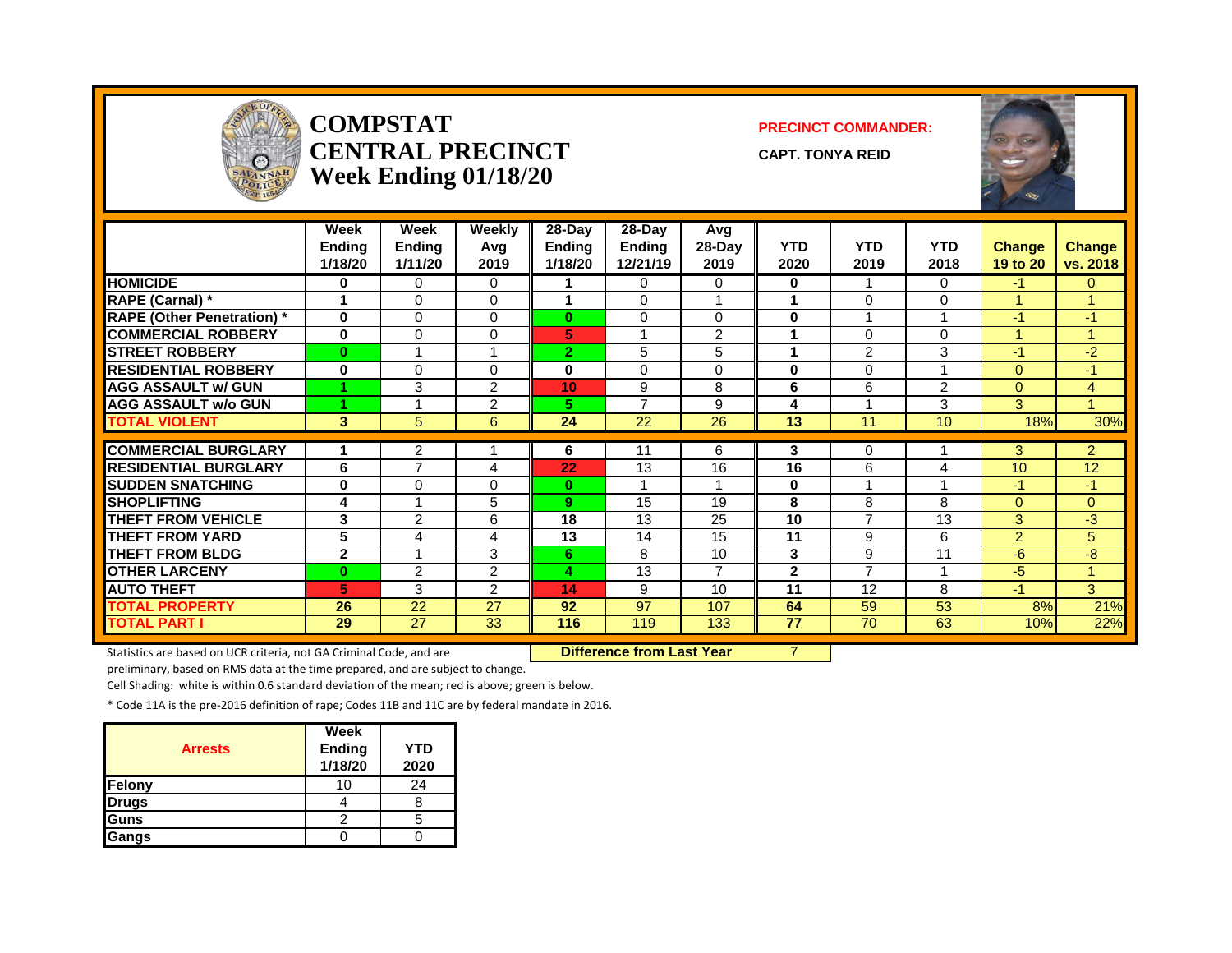

#### **COMPSTAT PRECINCT COMMANDER: CENTRAL PRECINCT** CAPT. TONYA REID **Week Ending 01/18/20**



|                                  | Week<br><b>Endina</b><br>1/18/20 | Week<br><b>Endina</b><br>1/11/20 | Weekly<br>Avg<br>2019 | $28-Day$<br><b>Endina</b><br>1/18/20 | $28-Day$<br>Endina<br>12/21/19 | Avg<br>$28-Day$<br>2019 | <b>YTD</b><br>2020 | <b>YTD</b><br>2019 | <b>YTD</b><br>2018 | <b>Change</b><br>19 to 20 | <b>Change</b><br>vs. 2018 |
|----------------------------------|----------------------------------|----------------------------------|-----------------------|--------------------------------------|--------------------------------|-------------------------|--------------------|--------------------|--------------------|---------------------------|---------------------------|
| <b>HOMICIDE</b>                  | 0                                | 0                                | 0                     |                                      | $\Omega$                       | 0                       | 0                  | -4                 | $\Omega$           | $-1$                      | $\Omega$                  |
| RAPE (Carnal) *                  | -1                               | $\Omega$                         | $\Omega$              | 4                                    | $\Omega$                       |                         | 1                  | $\Omega$           | $\Omega$           | 1                         | 4                         |
| <b>RAPE (Other Penetration)*</b> | $\bf{0}$                         | 0                                | $\Omega$              | 0                                    | $\Omega$                       | $\Omega$                | $\bf{0}$           |                    |                    | $-1$                      | $-1$                      |
| <b>COMMERCIAL ROBBERY</b>        | $\bf{0}$                         | 0                                | 0                     | 5                                    |                                | $\overline{2}$          | 1                  | $\Omega$           | $\Omega$           | 4                         |                           |
| <b>STREET ROBBERY</b>            | $\bf{0}$                         | 4                                | 1                     | $\mathbf{2}$                         | 5                              | 5                       | 1                  | $\overline{2}$     | 3                  | $-1$                      | $-2$                      |
| <b>RESIDENTIAL ROBBERY</b>       | $\bf{0}$                         | $\Omega$                         | $\Omega$              | 0                                    | $\Omega$                       | 0                       | $\bf{0}$           | $\Omega$           |                    | $\Omega$                  | $-1$                      |
| <b>AGG ASSAULT w/ GUN</b>        |                                  | 3                                | 2                     | 10                                   | 9                              | 8                       | 6                  | 6                  | $\overline{2}$     | $\Omega$                  | 4                         |
| <b>AGG ASSAULT W/o GUN</b>       |                                  |                                  | 2                     | 5.                                   | $\overline{ }$                 | 9                       | 4                  |                    | 3                  | 3                         | $\blacktriangleleft$      |
| <b>TOTAL VIOLENT</b>             | 3                                | 5                                | 6                     | 24                                   | 22                             | 26                      | 13                 | 11                 | 10                 | 18%                       | 30%                       |
|                                  |                                  |                                  |                       |                                      |                                |                         |                    |                    |                    |                           |                           |
| <b>COMMERCIAL BURGLARY</b>       |                                  | 2                                |                       | 6                                    | 11                             | 6                       | 3                  | $\Omega$           |                    | 3                         | $\overline{2}$            |
| <b>RESIDENTIAL BURGLARY</b>      | 6                                | $\overline{7}$                   | 4                     | 22                                   | 13                             | 16                      | 16                 | 6                  | 4                  | 10                        | 12                        |
| <b>SUDDEN SNATCHING</b>          | $\bf{0}$                         | $\Omega$                         | 0                     | $\bf{0}$                             |                                |                         | 0                  |                    |                    | $-1$                      | $-1$                      |
| <b>SHOPLIFTING</b>               | 4                                |                                  | 5                     | 9                                    | 15                             | 19                      | 8                  | 8                  | 8                  | $\Omega$                  | $\Omega$                  |
| <b>THEFT FROM VEHICLE</b>        | 3                                | 2                                | 6                     | 18                                   | 13                             | 25                      | 10                 | 7                  | 13                 | 3                         | $-3$                      |
| <b>THEFT FROM YARD</b>           | 5                                | 4                                | 4                     | 13                                   | 14                             | 15                      | 11                 | 9                  | 6                  | $\overline{2}$            | 5                         |
| <b>THEFT FROM BLDG</b>           | $\mathbf{2}$                     |                                  | 3                     | 6                                    | 8                              | 10                      | 3                  | 9                  | 11                 | -6                        | -8                        |
| <b>OTHER LARCENY</b>             | $\bf{0}$                         | $\overline{2}$                   | $\overline{2}$        | 4                                    | 13                             | $\overline{ }$          | $\mathbf{2}$       | $\overline{ }$     |                    | -5                        | -1                        |
| <b>AUTO THEFT</b>                | 5                                | 3                                | $\overline{2}$        | 14                                   | 9                              | 10                      | 11                 | 12                 | 8                  | $-1$                      | 3                         |
| TOTAL PROPERTY                   | 26                               | 22                               | 27                    | 92                                   | 97                             | 107                     | 64                 | 59                 | 53                 | 8%                        | 21%                       |
| <b>TOTAL PART I</b>              | 29                               | 27                               | 33                    | 116                                  | 119                            | 133                     | 77                 | 70                 | 63                 | 10%                       | 22%                       |

Statistics are based on UCR criteria, not GA Criminal Code, and are **Difference from Last Year** 7

preliminary, based on RMS data at the time prepared, and are subject to change.

Cell Shading: white is within 0.6 standard deviation of the mean; red is above; green is below.

| <b>Arrests</b> | Week<br>Ending<br>1/18/20 | <b>YTD</b><br>2020 |
|----------------|---------------------------|--------------------|
| Felony         | 10                        | 24                 |
| <b>Drugs</b>   |                           |                    |
| Guns           |                           |                    |
| Gangs          |                           |                    |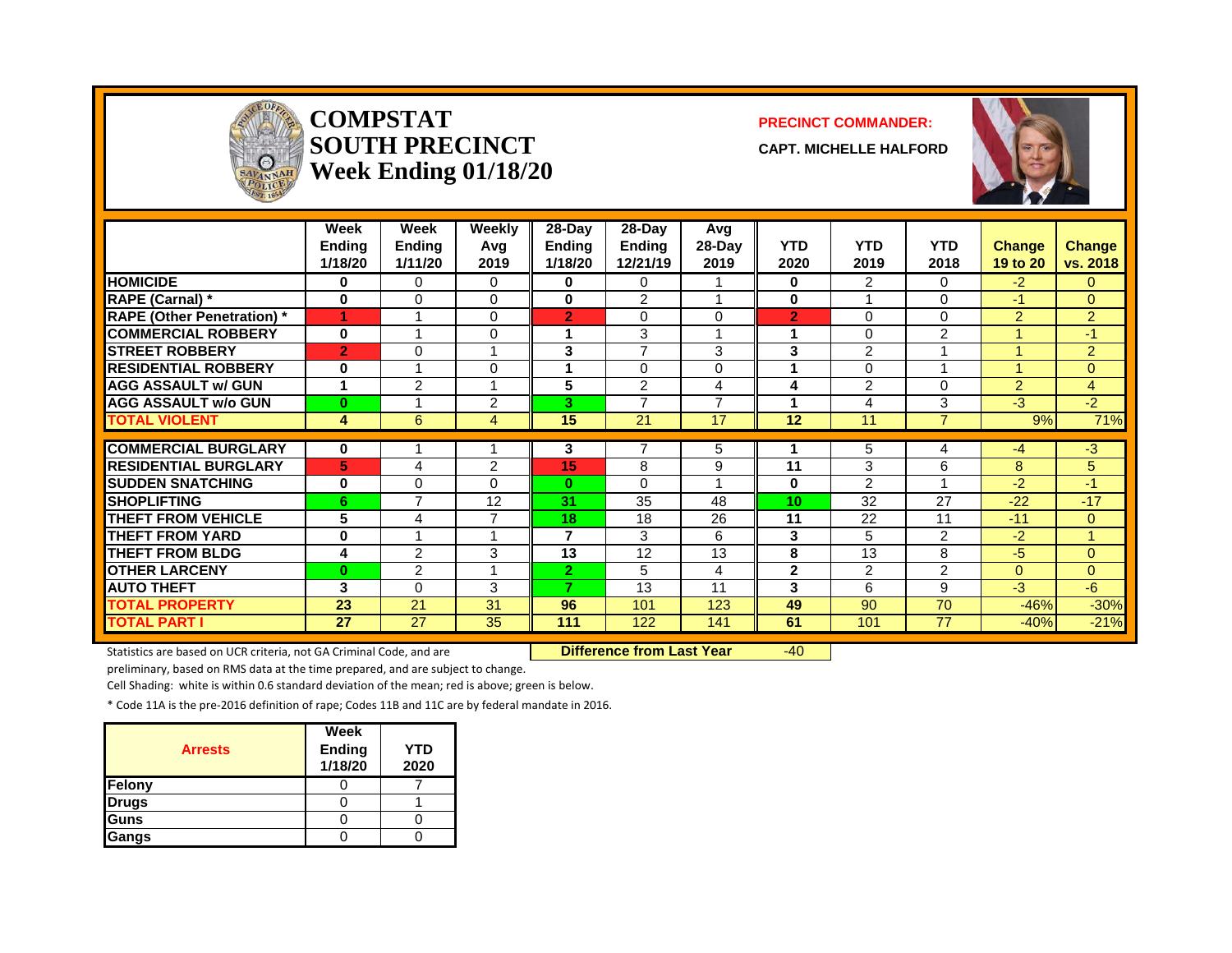

#### **COMPSTAT PRECINCT COMMANDER: SOUTH PRECINCT CAPT. MICHELLE HALFORD Week Ending 01/18/20**



|                                  | Week<br><b>Ending</b><br>1/18/20 | Week<br><b>Endina</b><br>1/11/20 | Weekly<br>Avg<br>2019   | $28-Day$<br>Endina<br>1/18/20 | $28-Day$<br>Endina<br>12/21/19 | Avg<br>28-Day<br>2019    | <b>YTD</b><br>2020 | <b>YTD</b><br>2019 | <b>YTD</b><br>2018 | <b>Change</b><br>19 to 20 | Change<br>vs. 2018 |
|----------------------------------|----------------------------------|----------------------------------|-------------------------|-------------------------------|--------------------------------|--------------------------|--------------------|--------------------|--------------------|---------------------------|--------------------|
| <b>HOMICIDE</b>                  | 0                                | 0                                | $\Omega$                | 0                             | 0                              |                          | 0                  | $\overline{2}$     | 0                  | $-2$                      | 0                  |
| RAPE (Carnal) *                  | $\bf{0}$                         | $\Omega$                         | $\Omega$                | $\bf{0}$                      | $\overline{2}$                 |                          | 0                  |                    | $\Omega$           | $-1$                      | $\Omega$           |
| <b>RAPE (Other Penetration)*</b> | 4                                |                                  | $\Omega$                | $\overline{2}$                | $\Omega$                       | $\Omega$                 | $\overline{2}$     | $\Omega$           | $\Omega$           | 2                         | $\overline{2}$     |
| <b>COMMERCIAL ROBBERY</b>        | $\bf{0}$                         |                                  | 0                       | 1                             | 3                              |                          | 1                  | $\Omega$           | $\overline{2}$     |                           | $-1/$              |
| <b>STREET ROBBERY</b>            | $\overline{2}$                   | $\Omega$                         |                         | 3                             | $\overline{7}$                 | 3                        | 3                  | 2                  |                    |                           | $\overline{a}$     |
| <b>RESIDENTIAL ROBBERY</b>       | 0                                |                                  | 0                       | 4                             | $\Omega$                       | 0                        |                    | 0                  |                    |                           | $\overline{0}$     |
| <b>AGG ASSAULT W/ GUN</b>        |                                  | 2                                |                         | 5                             | 2                              | 4                        | 4                  | 2                  | 0                  | 2                         | $\overline{4}$     |
| <b>AGG ASSAULT w/o GUN</b>       | $\bf{0}$                         |                                  | 2                       | 3                             | $\overline{7}$                 | $\overline{\phantom{a}}$ |                    | 4                  | 3                  | -3                        | $-2$               |
| <b>TOTAL VIOLENT</b>             | 4                                | 6                                | 4                       | 15                            | 21                             | 17                       | 12                 | 11                 | $\overline{7}$     | 9%                        | 71%                |
|                                  |                                  |                                  |                         |                               |                                |                          |                    |                    |                    |                           |                    |
| <b>COMMERCIAL BURGLARY</b>       | 0                                |                                  |                         | 3                             | 7                              | 5                        |                    | 5                  | 4                  | $-4$                      | $-3$               |
| <b>RESIDENTIAL BURGLARY</b>      | 5                                | 4                                | $\overline{2}$          | 15                            | 8                              | 9                        | 11                 | 3                  | 6                  | 8                         | 5                  |
| <b>SUDDEN SNATCHING</b>          | 0                                | $\Omega$                         | 0                       | $\mathbf{0}$                  | $\Omega$                       |                          | 0                  | $\mathcal{P}$      |                    | -2                        | -1                 |
| <b>SHOPLIFTING</b>               | 6                                | $\overline{7}$                   | 12                      | 31                            | 35                             | 48                       | 10                 | 32                 | 27                 | $-22$                     | $-17$              |
| <b>THEFT FROM VEHICLE</b>        | 5                                | 4                                | 7                       | 18                            | 18                             | 26                       | 11                 | 22                 | 11                 | $-11$                     | $\Omega$           |
| THEFT FROM YARD                  | 0                                |                                  | $\overline{\mathbf{A}}$ | $\overline{7}$                | 3                              | 6                        | 3                  | 5                  | $\overline{2}$     | $-2$                      |                    |
| <b>THEFT FROM BLDG</b>           | 4                                | $\overline{2}$                   | 3                       | 13                            | 12                             | 13                       | 8                  | 13                 | 8                  | $-5$                      | $\Omega$           |
| <b>OTHER LARCENY</b>             | $\bf{0}$                         | $\overline{2}$                   | $\overline{\mathbf{A}}$ | $\mathbf{2}$                  | 5                              | 4                        | $\mathbf{2}$       | $\overline{2}$     | 2                  | $\Omega$                  | $\overline{0}$     |
| <b>AUTO THEFT</b>                | 3                                | $\Omega$                         | 3                       | $\overline{\phantom{a}}$      | 13                             | 11                       | 3                  | 6                  | 9                  | $-3$                      | $-6$               |
| <b>TOTAL PROPERTY</b>            | 23                               | 21                               | 31                      | 96                            | 101                            | 123                      | 49                 | 90                 | 70                 | $-46%$                    | $-30%$             |
| <b>TOTAL PART I</b>              | 27                               | 27                               | 35                      | 111                           | 122                            | 141                      | 61                 | 101                | 77                 | $-40%$                    | $-21%$             |

Statistics are based on UCR criteria, not GA Criminal Code, and are **Difference from Last Year** -40

preliminary, based on RMS data at the time prepared, and are subject to change.

Cell Shading: white is within 0.6 standard deviation of the mean; red is above; green is below.

| <b>Arrests</b> | Week<br><b>Ending</b><br>1/18/20 | <b>YTD</b><br>2020 |
|----------------|----------------------------------|--------------------|
| Felony         |                                  |                    |
| <b>Drugs</b>   |                                  |                    |
| Guns           |                                  |                    |
| Gangs          |                                  |                    |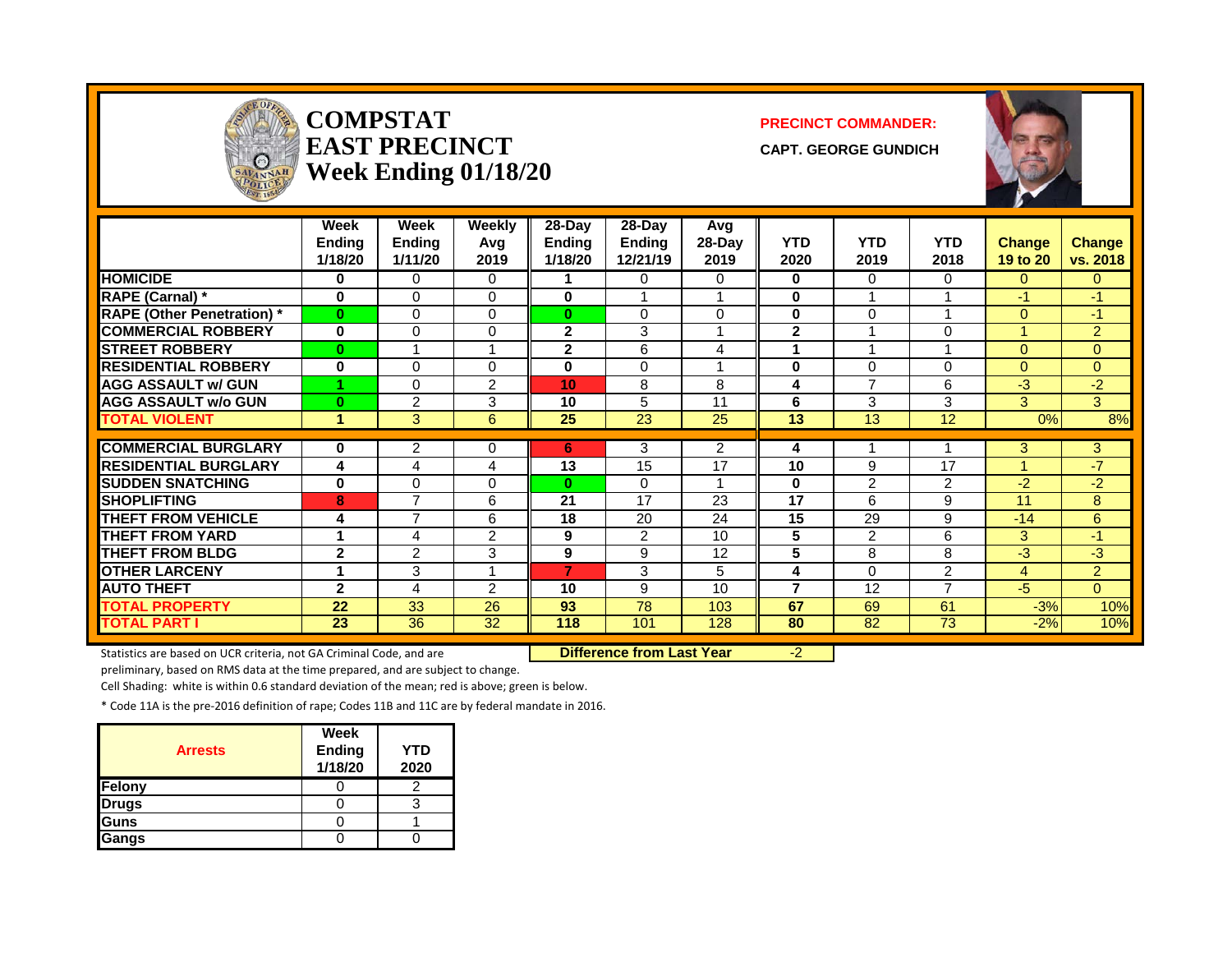| <b>ALLEY CENT</b><br>$\Omega$<br>SAVANNAH |                       | <b>COMPSTAT</b><br><b>EAST PRECINCT</b><br>Week Ending 01/18/20 |                      |                           | <b>PRECINCT COMMANDER:</b><br><b>CAPT. GEORGE GUNDICH</b> |                         |                 |                         |                 |               |                |
|-------------------------------------------|-----------------------|-----------------------------------------------------------------|----------------------|---------------------------|-----------------------------------------------------------|-------------------------|-----------------|-------------------------|-----------------|---------------|----------------|
|                                           | Week<br><b>Endina</b> | Week<br><b>Ending</b>                                           | <b>Weekly</b><br>Avg | $28-Day$<br><b>Ending</b> | 28-Day<br><b>Endina</b>                                   | Avg<br>28-Day           | <b>YTD</b>      | <b>YTD</b>              | <b>YTD</b>      | <b>Change</b> | <b>Change</b>  |
|                                           | 1/18/20               | 1/11/20                                                         | 2019                 | 1/18/20                   | 12/21/19                                                  | 2019                    | 2020            | 2019                    | 2018            | 19 to 20      | vs. 2018       |
| <b>HOMICIDE</b>                           | $\mathbf{0}$          | $\Omega$                                                        | $\Omega$             | 1                         | $\Omega$                                                  | $\Omega$                | 0               | $\mathbf{0}$            | $\Omega$        | $\Omega$      | $\Omega$       |
| RAPE (Carnal) *                           | $\bf{0}$              | $\Omega$                                                        | $\Omega$             | $\mathbf{0}$              | $\mathbf{1}$                                              | 1                       | $\bf{0}$        | $\overline{\mathbf{A}}$ |                 | $-1$          | $-1$           |
| <b>RAPE (Other Penetration)*</b>          | $\bf{0}$              | $\Omega$                                                        | $\Omega$             | $\mathbf{0}$              | $\Omega$                                                  | $\Omega$                | $\mathbf{0}$    | $\Omega$                |                 | $\Omega$      | $-1$           |
| <b>COMMERCIAL ROBBERY</b>                 | $\bf{0}$              | 0                                                               | $\Omega$             | $\mathbf{2}$              | 3                                                         | $\overline{\mathbf{A}}$ | $\overline{2}$  | $\overline{\mathbf{A}}$ | $\Omega$        | 1             | 2              |
| <b>STREET ROBBERY</b>                     | $\bf{0}$              | 1                                                               |                      | $\mathbf{2}$              | 6                                                         | 4                       | 1               |                         |                 | $\Omega$      | $\Omega$       |
| <b>RESIDENTIAL ROBBERY</b>                | $\bf{0}$              | $\Omega$                                                        | $\Omega$             | $\bf{0}$                  | $\Omega$                                                  | $\overline{\mathbf{A}}$ | $\bf{0}$        | $\Omega$                | $\Omega$        | $\Omega$      | $\Omega$       |
| <b>AGG ASSAULT w/ GUN</b>                 |                       | $\Omega$                                                        | $\overline{c}$       | 10 <sup>1</sup>           | 8                                                         | 8                       | 4               | $\overline{7}$          | 6               | $-3$          | $-2$           |
| <b>AGG ASSAULT w/o GUN</b>                | $\bf{0}$              | $\overline{2}$                                                  | 3                    | 10                        | 5                                                         | 11                      | 6               | 3                       | 3               | 3             | 3              |
| <b>TOTAL VIOLENT</b>                      | $\blacktriangleleft$  | 3                                                               | 6                    | 25                        | 23                                                        | 25                      | 13              | 13                      | 12              | 0%            | 8%             |
| <b>COMMERCIAL BURGLARY</b>                | $\bf{0}$              | $\overline{2}$                                                  | 0                    | 6                         | 3                                                         | $\overline{2}$          | 4               | -1                      | 1               | 3             | 3              |
| <b>RESIDENTIAL BURGLARY</b>               | 4                     | 4                                                               | 4                    | 13                        | 15                                                        | $\overline{17}$         | 10              | 9                       | 17              | 1             | $-7$           |
| <b>SUDDEN SNATCHING</b>                   | $\bf{0}$              | $\Omega$                                                        | $\Omega$             | $\bf{0}$                  | $\Omega$                                                  | $\overline{\mathbf{A}}$ | $\bf{0}$        | $\overline{2}$          | $\overline{2}$  | $-2$          | $-2$           |
| <b>SHOPLIFTING</b>                        | 8                     | 7                                                               | 6                    | 21                        | 17                                                        | 23                      | 17              | 6                       | 9               | 11            | 8              |
| <b>THEFT FROM VEHICLE</b>                 | 4                     | $\overline{7}$                                                  | 6                    | 18                        | 20                                                        | 24                      | $\overline{15}$ | 29                      | 9               | $-14$         | 6              |
| <b>THEFT FROM YARD</b>                    | $\blacktriangleleft$  | 4                                                               | $\overline{2}$       | 9                         | $\overline{2}$                                            | 10                      | 5               | $\overline{2}$          | 6               | 3             | $-1$           |
| <b>THEFT FROM BLDG</b>                    | $\overline{2}$        | $\overline{2}$                                                  | 3                    | 9                         | 9                                                         | 12                      | 5               | 8                       | 8               | $-3$          | $-3$           |
| <b>OTHER LARCENY</b>                      | 1                     | 3                                                               | $\overline{A}$       | $\overline{7}$            | 3                                                         | 5                       | 4               | $\Omega$                | $\overline{2}$  | 4             | $\overline{2}$ |
| <b>AUTO THEFT</b>                         | $\overline{2}$        | 4                                                               | 2                    | 10                        | 9                                                         | 10 <sup>1</sup>         | $\overline{7}$  | 12                      | $\overline{7}$  | $-5$          | $\Omega$       |
| <b>TOTAL PROPERTY</b>                     | 22                    | 33                                                              | 26                   | 93                        | $\overline{78}$                                           | 103                     | 67              | 69                      | 61              | $-3%$         | 10%            |
| <b>TOTAL PART I</b>                       | $\overline{23}$       | $\overline{36}$                                                 | $\overline{32}$      | 118                       | 101                                                       | 128                     | 80              | $\overline{82}$         | $\overline{73}$ | $-2%$         | 10%            |

۰.

Statistics are based on UCR criteria, not GA Criminal Code, and are **Difference from Last Year** -2

preliminary, based on RMS data at the time prepared, and are subject to change.

Cell Shading: white is within 0.6 standard deviation of the mean; red is above; green is below.

| <b>Arrests</b> | Week<br>Ending<br>1/18/20 | YTD<br>2020 |
|----------------|---------------------------|-------------|
| Felony         |                           |             |
| <b>Drugs</b>   |                           |             |
| Guns           |                           |             |
| Gangs          |                           |             |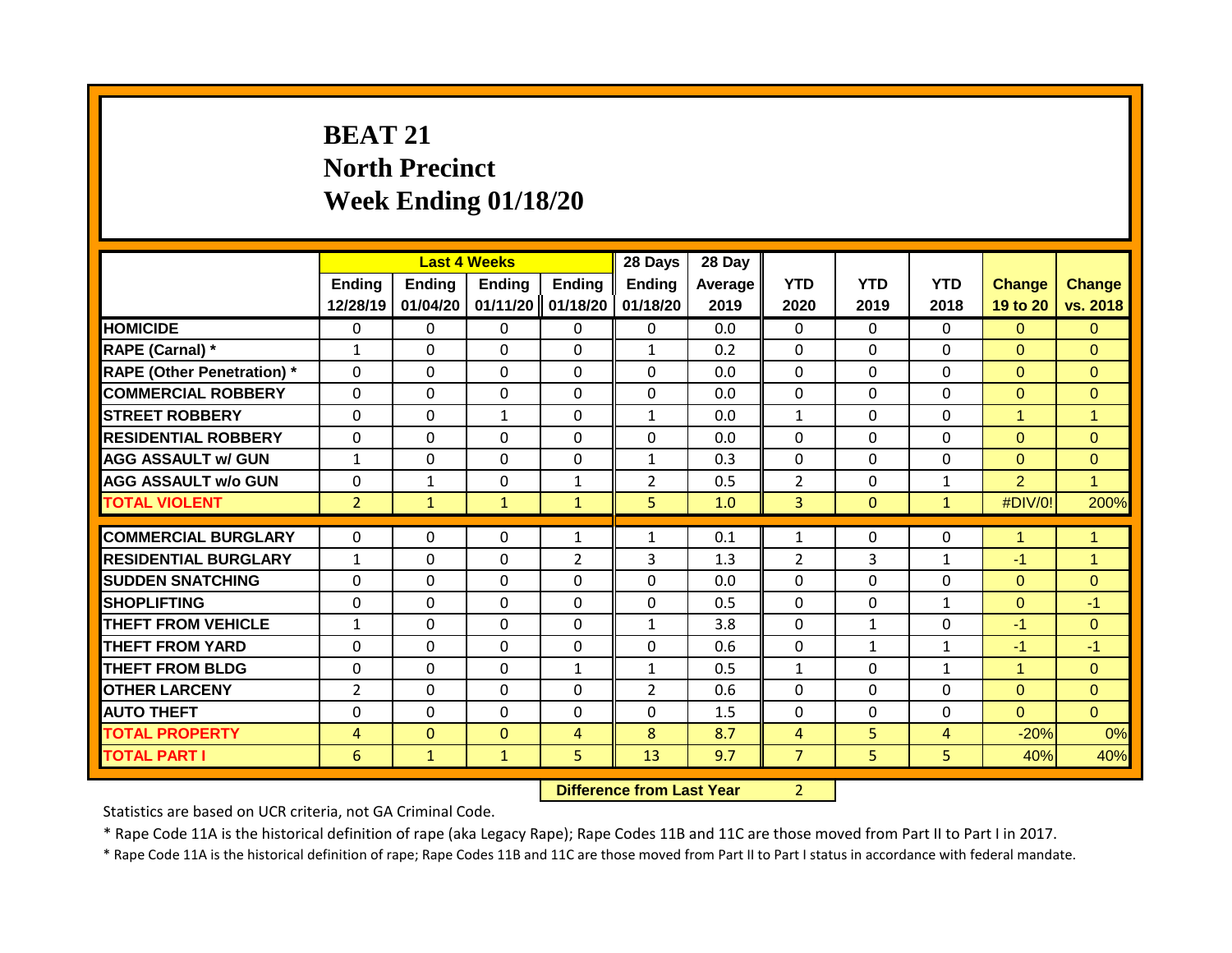# **BEAT 21 North Precinct Week Ending 01/18/20**

|                                   |                | <b>Last 4 Weeks</b> |               |                | 28 Days        | 28 Day  |                |              |              |                |                      |
|-----------------------------------|----------------|---------------------|---------------|----------------|----------------|---------|----------------|--------------|--------------|----------------|----------------------|
|                                   | <b>Ending</b>  | Ending              | <b>Ending</b> | Ending         | <b>Ending</b>  | Average | <b>YTD</b>     | <b>YTD</b>   | <b>YTD</b>   | <b>Change</b>  | <b>Change</b>        |
|                                   | 12/28/19       | 01/04/20            | 01/11/20      | 01/18/20       | 01/18/20       | 2019    | 2020           | 2019         | 2018         | 19 to 20       | vs. 2018             |
| <b>HOMICIDE</b>                   | 0              | 0                   | 0             | $\mathbf{0}$   | $\mathbf{0}$   | 0.0     | $\mathbf 0$    | $\Omega$     | $\Omega$     | $\Omega$       | $\overline{0}$       |
| RAPE (Carnal) *                   | $\mathbf{1}$   | $\Omega$            | $\Omega$      | $\mathbf{0}$   | $\mathbf{1}$   | 0.2     | $\mathbf 0$    | $\Omega$     | $\Omega$     | $\Omega$       | $\Omega$             |
| <b>RAPE (Other Penetration) *</b> | $\mathbf 0$    | 0                   | 0             | $\mathbf 0$    | $\mathbf 0$    | 0.0     | $\mathbf 0$    | $\Omega$     | 0            | $\Omega$       | $\overline{0}$       |
| <b>COMMERCIAL ROBBERY</b>         | $\Omega$       | $\Omega$            | $\Omega$      | $\mathbf{0}$   | 0              | 0.0     | $\mathbf 0$    | $\Omega$     | $\Omega$     | $\Omega$       | $\overline{0}$       |
| <b>STREET ROBBERY</b>             | $\Omega$       | 0                   | $\mathbf{1}$  | $\Omega$       | 1              | 0.0     | $\mathbf{1}$   | $\Omega$     | $\Omega$     | 1              | $\overline{1}$       |
| <b>RESIDENTIAL ROBBERY</b>        | $\Omega$       | 0                   | $\Omega$      | $\Omega$       | $\Omega$       | 0.0     | $\Omega$       | $\Omega$     | $\Omega$     | $\Omega$       | $\Omega$             |
| <b>AGG ASSAULT w/ GUN</b>         | $\mathbf{1}$   | 0                   | $\Omega$      | 0              | $\mathbf{1}$   | 0.3     | $\Omega$       | $\Omega$     | 0            | $\Omega$       | $\mathbf{0}$         |
| <b>AGG ASSAULT w/o GUN</b>        | 0              | $\mathbf{1}$        | 0             | $\mathbf{1}$   | $\overline{2}$ | 0.5     | $\overline{2}$ | $\Omega$     | $\mathbf{1}$ | $\overline{2}$ | $\overline{1}$       |
| <b>TOTAL VIOLENT</b>              | $\overline{2}$ | $\mathbf{1}$        | $\mathbf{1}$  | $\mathbf{1}$   | 5 <sup>1</sup> | 1.0     | $\overline{3}$ | $\mathbf{0}$ | $\mathbf{1}$ | #DIV/0!        | 200%                 |
|                                   |                |                     |               |                |                |         |                |              |              |                |                      |
| <b>COMMERCIAL BURGLARY</b>        | $\Omega$       | 0                   | $\Omega$      | 1              | $\mathbf{1}$   | 0.1     | 1              | $\Omega$     | 0            | 1              | $\blacktriangleleft$ |
| <b>RESIDENTIAL BURGLARY</b>       | $\mathbf{1}$   | $\Omega$            | $\Omega$      | $\overline{2}$ | 3              | 1.3     | $\overline{2}$ | 3            | $\mathbf{1}$ | $-1$           | $\overline{1}$       |
| <b>SUDDEN SNATCHING</b>           | $\Omega$       | $\Omega$            | $\Omega$      | $\mathbf{0}$   | $\Omega$       | 0.0     | $\Omega$       | $\Omega$     | $\Omega$     | $\Omega$       | $\Omega$             |
| <b>SHOPLIFTING</b>                | $\mathbf{0}$   | 0                   | $\Omega$      | $\mathbf{0}$   | $\Omega$       | 0.5     | $\Omega$       | $\Omega$     | $\mathbf{1}$ | $\Omega$       | $-1$                 |
| <b>THEFT FROM VEHICLE</b>         | $\mathbf{1}$   | $\Omega$            | $\Omega$      | $\mathbf{0}$   | $\mathbf{1}$   | 3.8     | $\Omega$       | $\mathbf{1}$ | $\Omega$     | $-1$           | $\Omega$             |
| <b>THEFT FROM YARD</b>            | $\mathbf{0}$   | 0                   | $\Omega$      | $\mathbf{0}$   | $\Omega$       | 0.6     | $\mathbf{0}$   | $\mathbf{1}$ | $\mathbf{1}$ | $-1$           | $-1$                 |
| <b>THEFT FROM BLDG</b>            | 0              | 0                   | $\Omega$      | 1              | 1              | 0.5     | $\mathbf{1}$   | $\Omega$     | $\mathbf{1}$ | 4              | $\Omega$             |
| <b>OTHER LARCENY</b>              | $\overline{2}$ | 0                   | $\Omega$      | $\Omega$       | $\overline{2}$ | 0.6     | $\Omega$       | $\Omega$     | 0            | $\Omega$       | $\Omega$             |
| <b>AUTO THEFT</b>                 | 0              | 0                   | 0             | $\Omega$       | $\Omega$       | 1.5     | $\Omega$       | $\mathbf{0}$ | 0            | $\Omega$       | $\Omega$             |
| <b>TOTAL PROPERTY</b>             | 4              | $\mathbf{0}$        | 0             | 4              | 8              | 8.7     | 4              | 5.           | 4            | $-20%$         | 0%                   |
| <b>TOTAL PART I</b>               | 6              | $\mathbf{1}$        | $\mathbf{1}$  | 5              | 13             | 9.7     | $\overline{7}$ | 5            | 5            | 40%            | 40%                  |

**Difference from Last Year** 2

Statistics are based on UCR criteria, not GA Criminal Code.

\* Rape Code 11A is the historical definition of rape (aka Legacy Rape); Rape Codes 11B and 11C are those moved from Part II to Part I in 2017.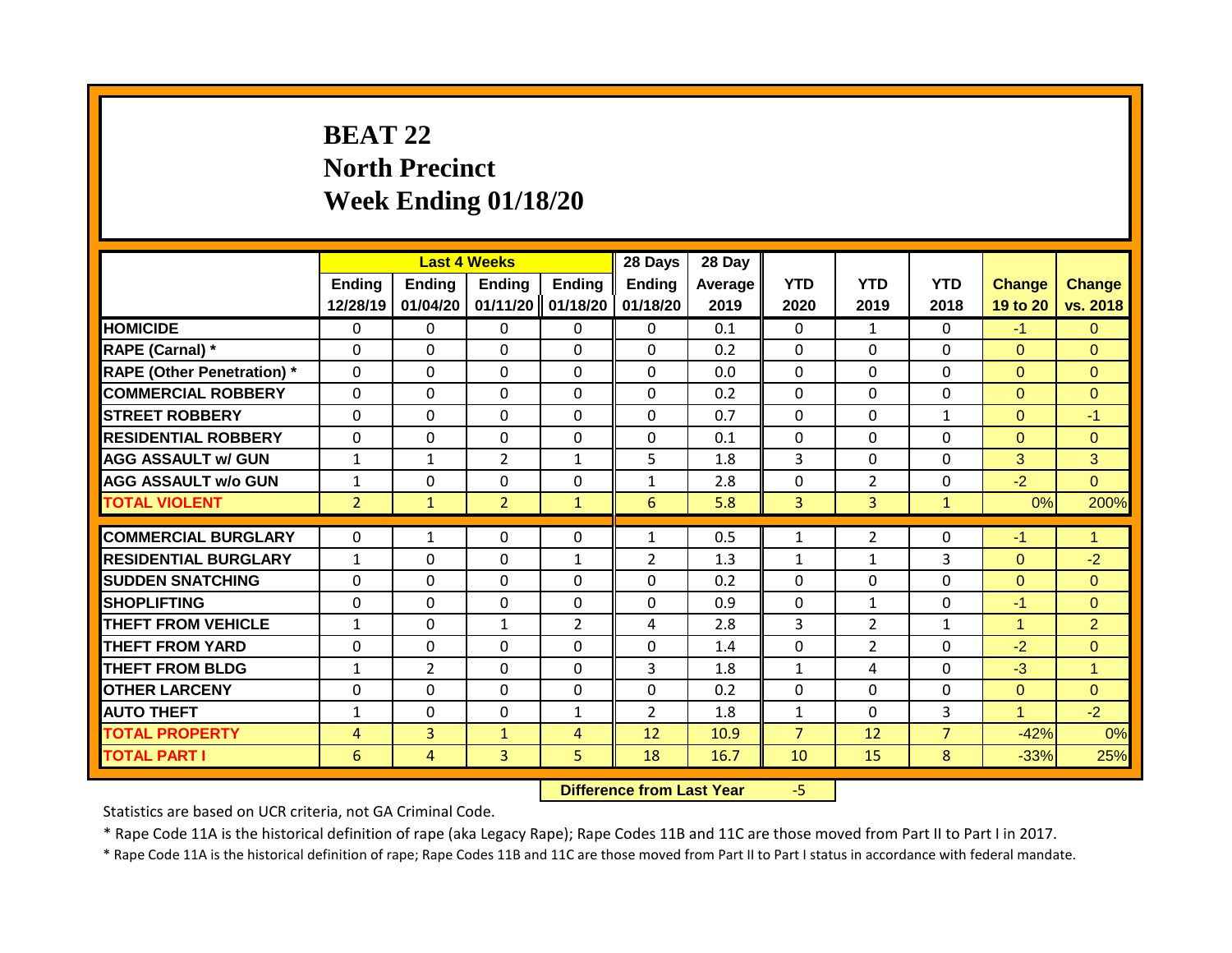# **BEAT 22 North Precinct Week Ending 01/18/20**

|                                   |                | <b>Last 4 Weeks</b> |                |                | 28 Days        | 28 Day  |                |                |                |               |                |
|-----------------------------------|----------------|---------------------|----------------|----------------|----------------|---------|----------------|----------------|----------------|---------------|----------------|
|                                   | <b>Ending</b>  | <b>Ending</b>       | <b>Ending</b>  | Ending         | <b>Ending</b>  | Average | <b>YTD</b>     | <b>YTD</b>     | <b>YTD</b>     | <b>Change</b> | <b>Change</b>  |
|                                   | 12/28/19       | 01/04/20            | 01/11/20       | 01/18/20       | 01/18/20       | 2019    | 2020           | 2019           | 2018           | 19 to 20      | vs. 2018       |
| <b>HOMICIDE</b>                   | 0              | 0                   | 0              | $\mathbf{0}$   | $\mathbf{0}$   | 0.1     | $\Omega$       | $\mathbf{1}$   | $\Omega$       | $-1$          | $\Omega$       |
| RAPE (Carnal) *                   | $\Omega$       | $\Omega$            | 0              | $\mathbf 0$    | $\mathbf 0$    | 0.2     | $\mathbf 0$    | $\Omega$       | 0              | $\Omega$      | $\mathbf{0}$   |
| <b>RAPE (Other Penetration)</b> * | $\mathbf 0$    | 0                   | 0              | $\mathbf 0$    | $\mathbf 0$    | 0.0     | $\mathbf{0}$   | $\Omega$       | $\Omega$       | $\Omega$      | $\Omega$       |
| <b>COMMERCIAL ROBBERY</b>         | $\mathbf 0$    | 0                   | 0              | $\mathbf 0$    | $\mathbf 0$    | 0.2     | $\mathbf 0$    | $\Omega$       | $\Omega$       | $\Omega$      | $\overline{0}$ |
| <b>STREET ROBBERY</b>             | $\Omega$       | $\Omega$            | $\Omega$       | $\mathbf 0$    | $\mathbf 0$    | 0.7     | $\mathbf 0$    | $\Omega$       | $\mathbf{1}$   | $\Omega$      | $-1$           |
| <b>RESIDENTIAL ROBBERY</b>        | $\Omega$       | $\Omega$            | $\Omega$       | $\mathbf{0}$   | $\Omega$       | 0.1     | $\mathbf 0$    | $\Omega$       | 0              | $\Omega$      | $\Omega$       |
| <b>AGG ASSAULT w/ GUN</b>         | $\mathbf{1}$   | $\mathbf{1}$        | $\overline{2}$ | $\mathbf{1}$   | 5              | 1.8     | 3              | $\Omega$       | $\Omega$       | 3             | 3              |
| <b>AGG ASSAULT w/o GUN</b>        | $\mathbf{1}$   | 0                   | 0              | $\mathbf{0}$   | $\mathbf{1}$   | 2.8     | $\mathbf{0}$   | $\overline{2}$ | 0              | $-2$          | $\Omega$       |
| <b>TOTAL VIOLENT</b>              | $\overline{2}$ | $\mathbf{1}$        | $\overline{2}$ | $\mathbf{1}$   | 6              | 5.8     | 3              | $\overline{3}$ | $\mathbf{1}$   | 0%            | 200%           |
|                                   |                |                     |                |                |                |         |                |                |                |               |                |
| <b>COMMERCIAL BURGLARY</b>        | $\Omega$       | $\mathbf{1}$        | 0              | $\mathbf{0}$   | 1              | 0.5     | 1              | 2              | $\Omega$       | $-1$          | $\mathbf{1}$   |
| <b>RESIDENTIAL BURGLARY</b>       | $\mathbf{1}$   | $\Omega$            | 0              | $\mathbf{1}$   | $\overline{2}$ | 1.3     | $\mathbf{1}$   | $\mathbf{1}$   | 3              | $\Omega$      | $-2$           |
| <b>SUDDEN SNATCHING</b>           | $\Omega$       | $\Omega$            | $\Omega$       | $\Omega$       | $\Omega$       | 0.2     | $\mathbf 0$    | $\Omega$       | $\Omega$       | $\Omega$      | $\Omega$       |
| <b>SHOPLIFTING</b>                | $\Omega$       | $\Omega$            | $\Omega$       | $\Omega$       | $\Omega$       | 0.9     | $\mathbf{0}$   | $\mathbf{1}$   | $\Omega$       | $-1$          | $\Omega$       |
| <b>THEFT FROM VEHICLE</b>         | $\mathbf{1}$   | 0                   | $\mathbf{1}$   | $\overline{2}$ | 4              | 2.8     | 3              | $\overline{2}$ | $\mathbf{1}$   | 1             | $\overline{2}$ |
| <b>THEFT FROM YARD</b>            | 0              | 0                   | $\Omega$       | $\mathbf{0}$   | $\Omega$       | 1.4     | $\mathbf 0$    | $\overline{2}$ | $\Omega$       | $-2$          | $\Omega$       |
| <b>THEFT FROM BLDG</b>            | $\mathbf{1}$   | $\overline{2}$      | $\Omega$       | 0              | 3              | 1.8     | $\mathbf{1}$   | 4              | 0              | $-3$          | $\overline{1}$ |
| <b>OTHER LARCENY</b>              | 0              | 0                   | $\Omega$       | $\mathbf{0}$   | $\Omega$       | 0.2     | $\Omega$       | $\Omega$       | $\Omega$       | $\Omega$      | $\Omega$       |
| <b>AUTO THEFT</b>                 | $\mathbf{1}$   | $\Omega$            | 0              | $\mathbf{1}$   | $\overline{2}$ | 1.8     | $\mathbf{1}$   | $\Omega$       | 3              | 1             | $-2$           |
| <b>TOTAL PROPERTY</b>             | 4              | 3                   | $\mathbf{1}$   | 4              | 12             | 10.9    | $\overline{7}$ | 12             | $\overline{7}$ | $-42%$        | 0%             |
| <b>TOTAL PART I</b>               | 6              | 4                   | 3              | 5              | 18             | 16.7    | 10             | 15             | 8              | $-33%$        | 25%            |

**Difference from Last Year** -5

Statistics are based on UCR criteria, not GA Criminal Code.

\* Rape Code 11A is the historical definition of rape (aka Legacy Rape); Rape Codes 11B and 11C are those moved from Part II to Part I in 2017.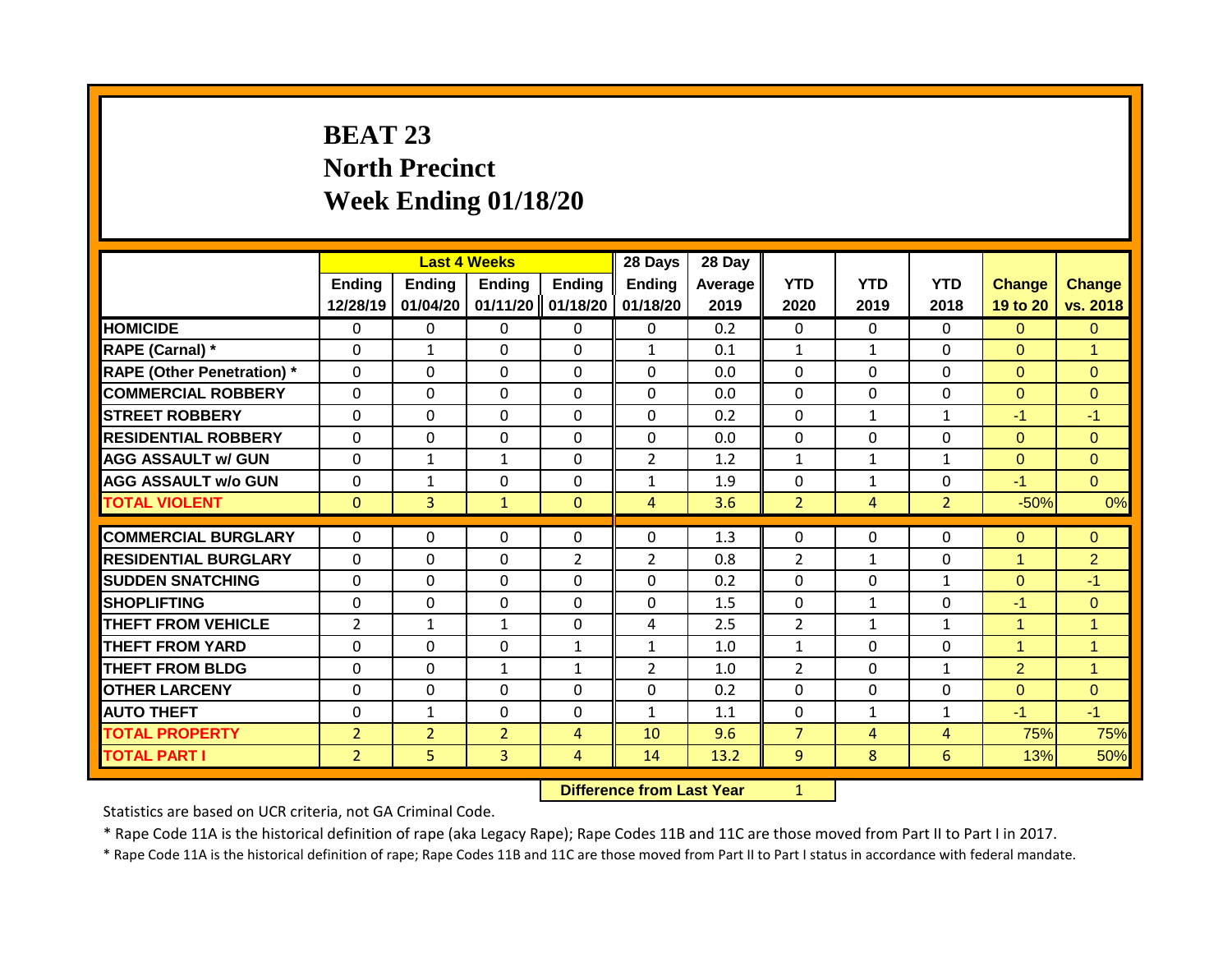# **BEAT 23 North Precinct Week Ending 01/18/20**

|                                   |                | <b>Last 4 Weeks</b> |                |                | 28 Days        | 28 Day  |                |                |                |                |                      |
|-----------------------------------|----------------|---------------------|----------------|----------------|----------------|---------|----------------|----------------|----------------|----------------|----------------------|
|                                   | <b>Ending</b>  | Ending              | <b>Ending</b>  | Ending         | <b>Ending</b>  | Average | <b>YTD</b>     | <b>YTD</b>     | <b>YTD</b>     | <b>Change</b>  | <b>Change</b>        |
|                                   | 12/28/19       | 01/04/20            | 01/11/20       | 01/18/20       | 01/18/20       | 2019    | 2020           | 2019           | 2018           | 19 to 20       | vs. 2018             |
| <b>HOMICIDE</b>                   | $\mathbf{0}$   | 0                   | 0              | $\mathbf{0}$   | $\mathbf{0}$   | 0.2     | $\mathbf{0}$   | $\Omega$       | $\Omega$       | $\overline{0}$ | $\mathbf{0}$         |
| RAPE (Carnal) *                   | $\Omega$       | $\mathbf{1}$        | $\Omega$       | $\mathbf 0$    | $\mathbf{1}$   | 0.1     | $\mathbf{1}$   | $\mathbf{1}$   | $\Omega$       | $\Omega$       | $\overline{1}$       |
| <b>RAPE (Other Penetration) *</b> | $\mathbf 0$    | 0                   | 0              | $\mathbf 0$    | $\mathbf 0$    | 0.0     | $\mathbf 0$    | $\Omega$       | $\Omega$       | $\Omega$       | $\overline{0}$       |
| <b>COMMERCIAL ROBBERY</b>         | $\Omega$       | $\Omega$            | 0              | $\Omega$       | $\Omega$       | 0.0     | $\mathbf{0}$   | $\Omega$       | $\Omega$       | $\Omega$       | $\Omega$             |
| <b>STREET ROBBERY</b>             | $\Omega$       | $\Omega$            | $\Omega$       | $\mathbf{0}$   | $\Omega$       | 0.2     | $\mathbf 0$    | $\mathbf{1}$   | $\mathbf{1}$   | $-1$           | $-1$                 |
| <b>RESIDENTIAL ROBBERY</b>        | $\Omega$       | $\Omega$            | $\Omega$       | $\mathbf{0}$   | 0              | 0.0     | $\mathbf{0}$   | $\Omega$       | $\Omega$       | $\Omega$       | $\Omega$             |
| <b>AGG ASSAULT w/ GUN</b>         | $\mathbf{0}$   | $\mathbf{1}$        | $\mathbf{1}$   | $\Omega$       | $\overline{2}$ | 1.2     | $\mathbf{1}$   | $\mathbf{1}$   | 1              | $\Omega$       | $\Omega$             |
| <b>AGG ASSAULT w/o GUN</b>        | $\mathbf{0}$   | $\mathbf{1}$        | $\Omega$       | $\mathbf{0}$   | $\mathbf{1}$   | 1.9     | $\Omega$       | $\mathbf{1}$   | 0              | $-1$           | $\Omega$             |
| <b>TOTAL VIOLENT</b>              | $\mathbf{0}$   | 3                   | $\mathbf{1}$   | $\mathbf{0}$   | 4              | 3.6     | $\overline{2}$ | $\overline{4}$ | $\overline{2}$ | $-50%$         | 0%                   |
|                                   |                |                     |                |                |                |         |                |                |                |                |                      |
| <b>COMMERCIAL BURGLARY</b>        | $\Omega$       | 0                   | 0              | $\Omega$       | 0              | 1.3     | 0              | $\Omega$       | 0              | $\overline{0}$ | $\mathbf{0}$         |
| <b>RESIDENTIAL BURGLARY</b>       | $\mathbf 0$    | 0                   | 0              | $\overline{2}$ | $\overline{2}$ | 0.8     | $\overline{2}$ | $\mathbf{1}$   | $\Omega$       | 1              | $\overline{2}$       |
| <b>SUDDEN SNATCHING</b>           | $\mathbf{0}$   | 0                   | $\Omega$       | $\mathbf{0}$   | $\Omega$       | 0.2     | $\Omega$       | $\Omega$       | $\mathbf{1}$   | $\Omega$       | $-1$                 |
| <b>SHOPLIFTING</b>                | $\Omega$       | $\Omega$            | 0              | $\mathbf{0}$   | $\Omega$       | 1.5     | $\mathbf 0$    | $\mathbf{1}$   | $\Omega$       | $-1$           | $\Omega$             |
| <b>THEFT FROM VEHICLE</b>         | $\overline{2}$ | $\mathbf{1}$        | $\mathbf{1}$   | $\mathbf{0}$   | 4              | 2.5     | $\overline{2}$ | $\mathbf{1}$   | $\mathbf{1}$   | 4              | $\blacktriangleleft$ |
| <b>THEFT FROM YARD</b>            | $\Omega$       | 0                   | $\Omega$       | $\mathbf{1}$   | $\mathbf{1}$   | 1.0     | 1              | $\Omega$       | 0              | 1              | $\overline{1}$       |
| <b>THEFT FROM BLDG</b>            | 0              | 0                   | $\mathbf{1}$   | $\mathbf{1}$   | $\overline{2}$ | 1.0     | $\overline{2}$ | $\Omega$       | $\mathbf{1}$   | $\overline{2}$ | $\overline{1}$       |
| <b>OTHER LARCENY</b>              | 0              | 0                   | $\Omega$       | $\mathbf{0}$   | $\Omega$       | 0.2     | $\Omega$       | $\Omega$       | $\Omega$       | $\Omega$       | $\Omega$             |
| <b>AUTO THEFT</b>                 | $\Omega$       | $\mathbf{1}$        | $\Omega$       | $\Omega$       | $\mathbf{1}$   | 1.1     | $\Omega$       | $\mathbf{1}$   | $\mathbf{1}$   | $-1$           | $-1$                 |
| <b>TOTAL PROPERTY</b>             | $\overline{2}$ | $\overline{2}$      | $\overline{2}$ | 4              | 10             | 9.6     | $\overline{7}$ | 4              | 4              | 75%            | 75%                  |
| <b>TOTAL PART I</b>               | $\overline{2}$ | 5                   | 3              | 4              | 14             | 13.2    | 9              | 8              | 6              | 13%            | 50%                  |

**Difference from Last Year** 1

Statistics are based on UCR criteria, not GA Criminal Code.

\* Rape Code 11A is the historical definition of rape (aka Legacy Rape); Rape Codes 11B and 11C are those moved from Part II to Part I in 2017.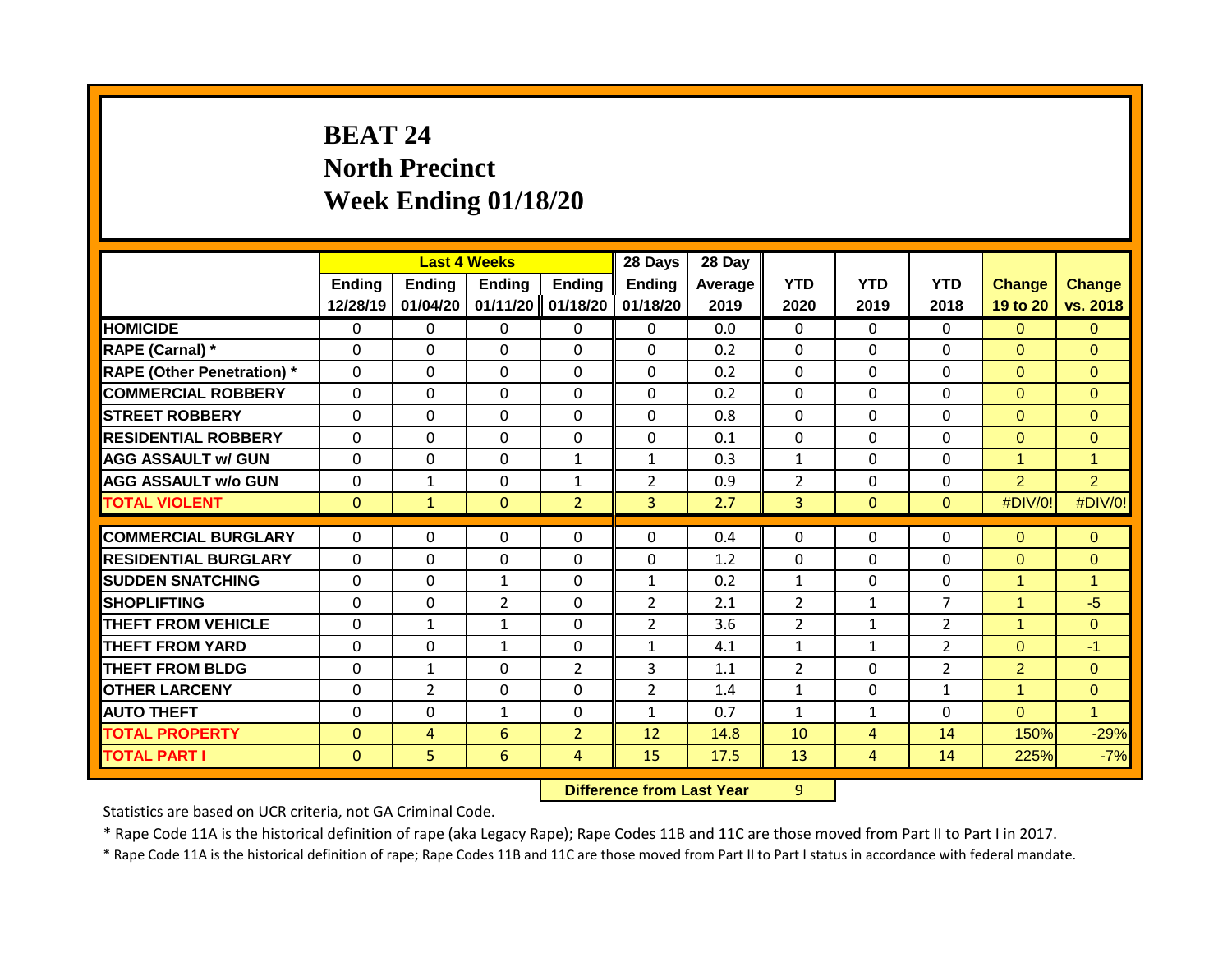# **BEAT 24 North Precinct Week Ending 01/18/20**

|                                   |                    | <b>Last 4 Weeks</b> |                           |                           | 28 Days                   | 28 Day          |                    |                    |                    |                           |                           |
|-----------------------------------|--------------------|---------------------|---------------------------|---------------------------|---------------------------|-----------------|--------------------|--------------------|--------------------|---------------------------|---------------------------|
|                                   | Ending<br>12/28/19 | Ending<br>01/04/20  | <b>Ending</b><br>01/11/20 | <b>Ending</b><br>01/18/20 | <b>Ending</b><br>01/18/20 | Average<br>2019 | <b>YTD</b><br>2020 | <b>YTD</b><br>2019 | <b>YTD</b><br>2018 | <b>Change</b><br>19 to 20 | <b>Change</b><br>vs. 2018 |
| <b>HOMICIDE</b>                   | $\mathbf{0}$       | 0                   | 0                         | $\mathbf{0}$              | $\mathbf{0}$              | 0.0             | $\mathbf{0}$       | $\Omega$           | 0                  | $\Omega$                  | $\Omega$                  |
| RAPE (Carnal) *                   | $\Omega$           | 0                   | 0                         | $\Omega$                  | $\Omega$                  | 0.2             | $\mathbf{0}$       | $\Omega$           | $\Omega$           | $\Omega$                  | $\Omega$                  |
| <b>RAPE (Other Penetration) *</b> | $\mathbf 0$        | 0                   | 0                         | $\Omega$                  | $\mathbf 0$               | 0.2             | $\mathbf{0}$       | $\Omega$           | $\Omega$           | $\Omega$                  | $\Omega$                  |
| <b>COMMERCIAL ROBBERY</b>         | $\Omega$           | 0                   | $\Omega$                  | $\mathbf{0}$              | $\Omega$                  | 0.2             | $\mathbf{0}$       | $\Omega$           | $\Omega$           | $\Omega$                  | $\Omega$                  |
| <b>STREET ROBBERY</b>             | $\Omega$           | 0                   | 0                         | $\mathbf 0$               | 0                         | 0.8             | $\mathbf 0$        | $\Omega$           | 0                  | $\Omega$                  | $\Omega$                  |
| <b>RESIDENTIAL ROBBERY</b>        | $\Omega$           | 0                   | $\Omega$                  | $\mathbf{0}$              | 0                         | 0.1             | $\Omega$           | $\Omega$           | 0                  | $\Omega$                  | $\Omega$                  |
| <b>AGG ASSAULT w/ GUN</b>         | 0                  | 0                   | 0                         | 1                         | $\mathbf{1}$              | 0.3             | 1                  | $\Omega$           | 0                  | $\blacktriangleleft$      | $\overline{1}$            |
| <b>AGG ASSAULT w/o GUN</b>        | 0                  | 1                   | $\Omega$                  | $\mathbf{1}$              | $\overline{2}$            | 0.9             | $\overline{2}$     | $\Omega$           | $\Omega$           | $\overline{2}$            | $\overline{2}$            |
| <b>TOTAL VIOLENT</b>              | $\mathbf{0}$       | $\mathbf{1}$        | $\Omega$                  | $\overline{2}$            | $\overline{3}$            | 2.7             | $\overline{3}$     | $\mathbf{0}$       | $\Omega$           | #DIV/0!                   | #DIV/0!                   |
| <b>COMMERCIAL BURGLARY</b>        | $\Omega$           |                     |                           |                           | $\Omega$                  | 0.4             |                    |                    |                    |                           |                           |
|                                   |                    | 0                   | 0                         | $\mathbf{0}$              |                           |                 | 0                  | 0                  | 0                  | $\Omega$                  | $\Omega$                  |
| <b>RESIDENTIAL BURGLARY</b>       | $\Omega$           | 0                   | $\Omega$                  | $\mathbf{0}$              | 0                         | 1.2             | $\Omega$           | $\mathbf 0$        | $\Omega$           | $\mathbf{0}$              | $\mathbf{0}$              |
| <b>SUDDEN SNATCHING</b>           | $\Omega$           | 0                   | $\mathbf{1}$              | $\mathbf{0}$              | $\mathbf{1}$              | 0.2             | $\mathbf{1}$       | $\Omega$           | 0                  | $\mathbf{1}$              | $\blacktriangleleft$      |
| <b>SHOPLIFTING</b>                | $\Omega$           | 0                   | $\overline{2}$            | $\mathbf{0}$              | $\overline{2}$            | 2.1             | $\overline{2}$     | $\mathbf{1}$       | $\overline{7}$     | $\mathbf{1}$              | $-5$                      |
| <b>THEFT FROM VEHICLE</b>         | $\Omega$           | $\mathbf 1$         | $\mathbf{1}$              | 0                         | $\overline{2}$            | 3.6             | $\overline{2}$     | $\mathbf{1}$       | $\overline{2}$     | $\mathbf{1}$              | $\Omega$                  |
| <b>THEFT FROM YARD</b>            | 0                  | 0                   | $\mathbf{1}$              | 0                         | $\mathbf{1}$              | 4.1             | $\mathbf{1}$       | $\mathbf{1}$       | $\overline{2}$     | $\Omega$                  | $-1$                      |
| <b>THEFT FROM BLDG</b>            | $\Omega$           | 1                   | 0                         | $\overline{2}$            | 3                         | 1.1             | $\overline{2}$     | 0                  | $\overline{2}$     | $\overline{2}$            | $\Omega$                  |
| <b>OTHER LARCENY</b>              | 0                  | $\overline{2}$      | 0                         | 0                         | 2                         | 1.4             | 1                  | 0                  | $\mathbf{1}$       | 1                         | $\mathbf{0}$              |
| <b>AUTO THEFT</b>                 | $\Omega$           | 0                   | $\mathbf{1}$              | 0                         | 1                         | 0.7             | 1                  | 1                  | 0                  | $\Omega$                  | $\blacktriangleleft$      |
| <b>TOTAL PROPERTY</b>             | $\Omega$           | 4                   | 6                         | $\overline{2}$            | 12                        | 14.8            | 10                 | 4                  | 14                 | 150%                      | $-29%$                    |
| <b>TOTAL PART I</b>               | $\mathbf{0}$       | 5                   | 6                         | 4                         | 15                        | 17.5            | 13                 | 4                  | 14                 | 225%                      | $-7%$                     |

#### **Difference from Last Year** 9

Statistics are based on UCR criteria, not GA Criminal Code.

\* Rape Code 11A is the historical definition of rape (aka Legacy Rape); Rape Codes 11B and 11C are those moved from Part II to Part I in 2017.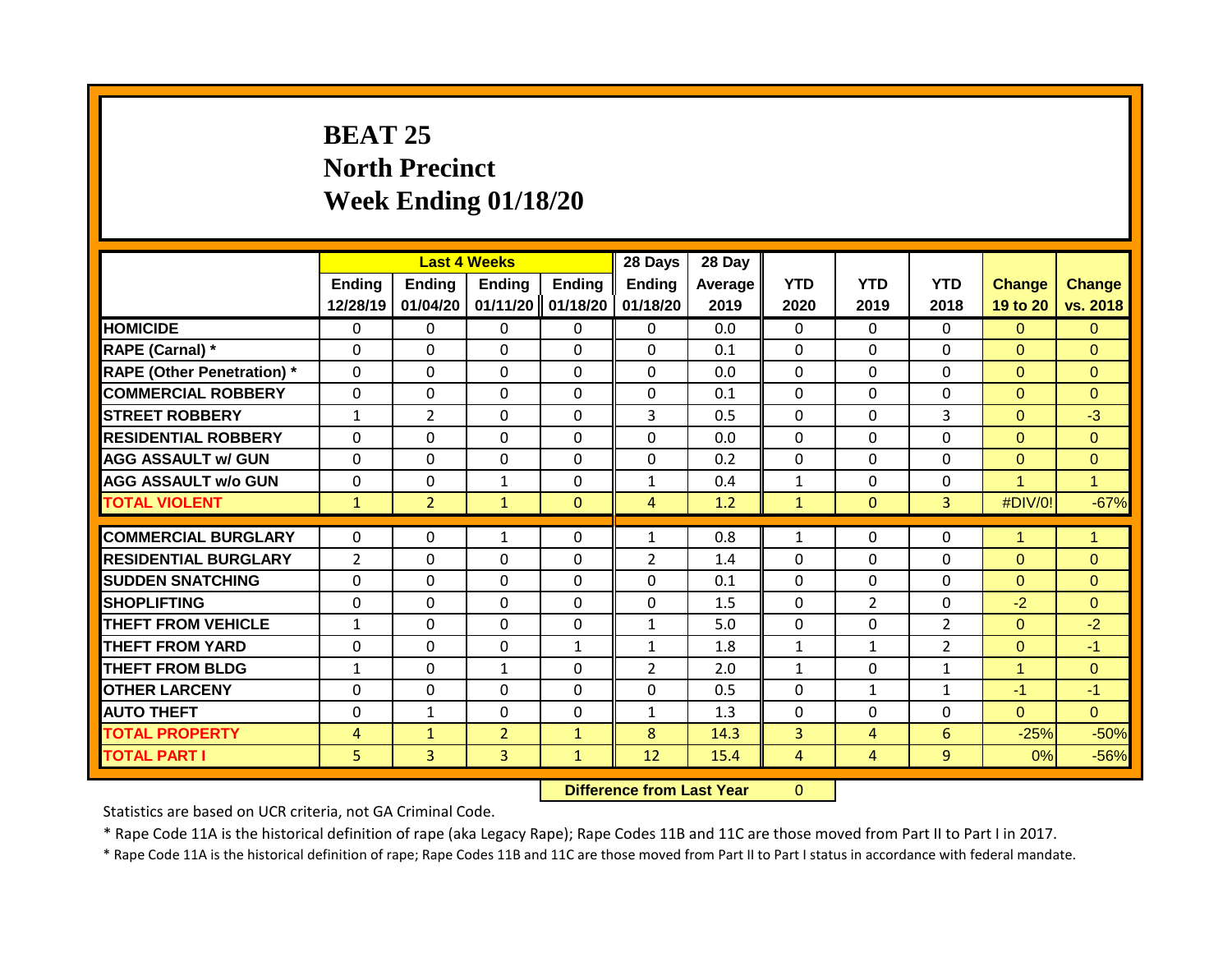# **BEAT 25 North Precinct Week Ending 01/18/20**

|                                   |                |                | <b>Last 4 Weeks</b> |               | 28 Days        | 28 Day  |              |                |                |               |                |
|-----------------------------------|----------------|----------------|---------------------|---------------|----------------|---------|--------------|----------------|----------------|---------------|----------------|
|                                   | <b>Ending</b>  | <b>Ending</b>  | <b>Ending</b>       | <b>Ending</b> | <b>Ending</b>  | Average | <b>YTD</b>   | <b>YTD</b>     | <b>YTD</b>     | <b>Change</b> | <b>Change</b>  |
|                                   | 12/28/19       | 01/04/20       | 01/11/20            | 01/18/20      | 01/18/20       | 2019    | 2020         | 2019           | 2018           | 19 to 20      | vs. 2018       |
| <b>HOMICIDE</b>                   | 0              | 0              | 0                   | $\mathbf{0}$  | $\mathbf{0}$   | 0.0     | $\Omega$     | $\Omega$       | $\Omega$       | $\Omega$      | $\Omega$       |
| RAPE (Carnal) *                   | $\Omega$       | $\Omega$       | 0                   | $\mathbf 0$   | $\mathbf 0$    | 0.1     | $\mathbf 0$  | $\Omega$       | 0              | $\Omega$      | $\mathbf{0}$   |
| <b>RAPE (Other Penetration)</b> * | $\mathbf 0$    | 0              | 0                   | $\mathbf 0$   | $\mathbf 0$    | 0.0     | $\mathbf 0$  | $\Omega$       | $\Omega$       | $\Omega$      | $\Omega$       |
| <b>COMMERCIAL ROBBERY</b>         | $\mathbf 0$    | 0              | 0                   | $\mathbf 0$   | $\mathbf 0$    | 0.1     | $\mathbf 0$  | $\Omega$       | $\Omega$       | $\Omega$      | $\overline{0}$ |
| <b>STREET ROBBERY</b>             | $\mathbf{1}$   | $\overline{2}$ | $\Omega$            | $\mathbf 0$   | 3              | 0.5     | $\mathbf 0$  | $\Omega$       | 3              | $\Omega$      | $-3$           |
| <b>RESIDENTIAL ROBBERY</b>        | $\Omega$       | $\Omega$       | $\Omega$            | $\mathbf{0}$  | $\Omega$       | 0.0     | $\mathbf{0}$ | $\Omega$       | $\Omega$       | $\Omega$      | $\Omega$       |
| <b>AGG ASSAULT w/ GUN</b>         | $\mathbf{0}$   | 0              | $\Omega$            | $\Omega$      | $\Omega$       | 0.2     | $\mathbf{0}$ | $\Omega$       | $\Omega$       | $\Omega$      | $\Omega$       |
| <b>AGG ASSAULT w/o GUN</b>        | $\mathbf{0}$   | 0              | $\mathbf{1}$        | $\mathbf{0}$  | 1              | 0.4     | $\mathbf{1}$ | $\Omega$       | 0              | 4             | $\mathbf{1}$   |
| <b>TOTAL VIOLENT</b>              | $\mathbf{1}$   | $\overline{2}$ | $\mathbf{1}$        | $\mathbf{0}$  | 4              | 1.2     | $\mathbf{1}$ | $\Omega$       | $\overline{3}$ | #DIV/0!       | $-67%$         |
|                                   |                |                |                     |               |                |         |              |                |                |               |                |
| <b>COMMERCIAL BURGLARY</b>        | $\Omega$       | $\Omega$       | $\mathbf{1}$        | $\mathbf{0}$  | 1              | 0.8     | 1            | $\Omega$       | $\Omega$       | 1             | $\overline{1}$ |
| <b>RESIDENTIAL BURGLARY</b>       | $\overline{2}$ | $\Omega$       | 0                   | $\Omega$      | $\overline{2}$ | 1.4     | $\mathbf 0$  | $\Omega$       | $\Omega$       | $\Omega$      | $\Omega$       |
| <b>SUDDEN SNATCHING</b>           | $\Omega$       | $\Omega$       | $\Omega$            | $\Omega$      | $\Omega$       | 0.1     | $\mathbf{0}$ | $\Omega$       | $\Omega$       | $\Omega$      | $\Omega$       |
| <b>SHOPLIFTING</b>                | $\Omega$       | $\Omega$       | $\Omega$            | $\Omega$      | $\Omega$       | 1.5     | $\mathbf{0}$ | $\overline{2}$ | $\Omega$       | $-2$          | $\Omega$       |
| <b>THEFT FROM VEHICLE</b>         | $\mathbf{1}$   | $\Omega$       | $\Omega$            | $\mathbf{0}$  | $\mathbf{1}$   | 5.0     | $\Omega$     | $\Omega$       | 2              | $\Omega$      | $-2$           |
| <b>THEFT FROM YARD</b>            | 0              | 0              | $\Omega$            | 1             | 1              | 1.8     | $\mathbf{1}$ | $\mathbf{1}$   | $\overline{2}$ | $\Omega$      | $-1$           |
| <b>THEFT FROM BLDG</b>            | $\mathbf{1}$   | 0              | $\mathbf{1}$        | 0             | $\overline{2}$ | 2.0     | $\mathbf{1}$ | $\Omega$       | $\mathbf{1}$   | 1             | $\Omega$       |
| <b>OTHER LARCENY</b>              | $\Omega$       | 0              | $\Omega$            | $\mathbf{0}$  | $\Omega$       | 0.5     | $\Omega$     | $\mathbf{1}$   | 1              | $-1$          | $-1$           |
| <b>AUTO THEFT</b>                 | $\Omega$       | $\mathbf{1}$   | $\Omega$            | $\mathbf 0$   | $\mathbf{1}$   | 1.3     | $\mathbf 0$  | $\Omega$       | $\Omega$       | $\Omega$      | $\Omega$       |
| <b>TOTAL PROPERTY</b>             | 4              | $\mathbf{1}$   | $\overline{2}$      | $\mathbf{1}$  | 8              | 14.3    | 3            | 4              | 6              | $-25%$        | $-50%$         |
| <b>TOTAL PART I</b>               | 5              | 3              | 3                   | $\mathbf{1}$  | 12             | 15.4    | 4            | 4              | 9              | 0%            | $-56%$         |

**Difference from Last Year** 0

Statistics are based on UCR criteria, not GA Criminal Code.

\* Rape Code 11A is the historical definition of rape (aka Legacy Rape); Rape Codes 11B and 11C are those moved from Part II to Part I in 2017.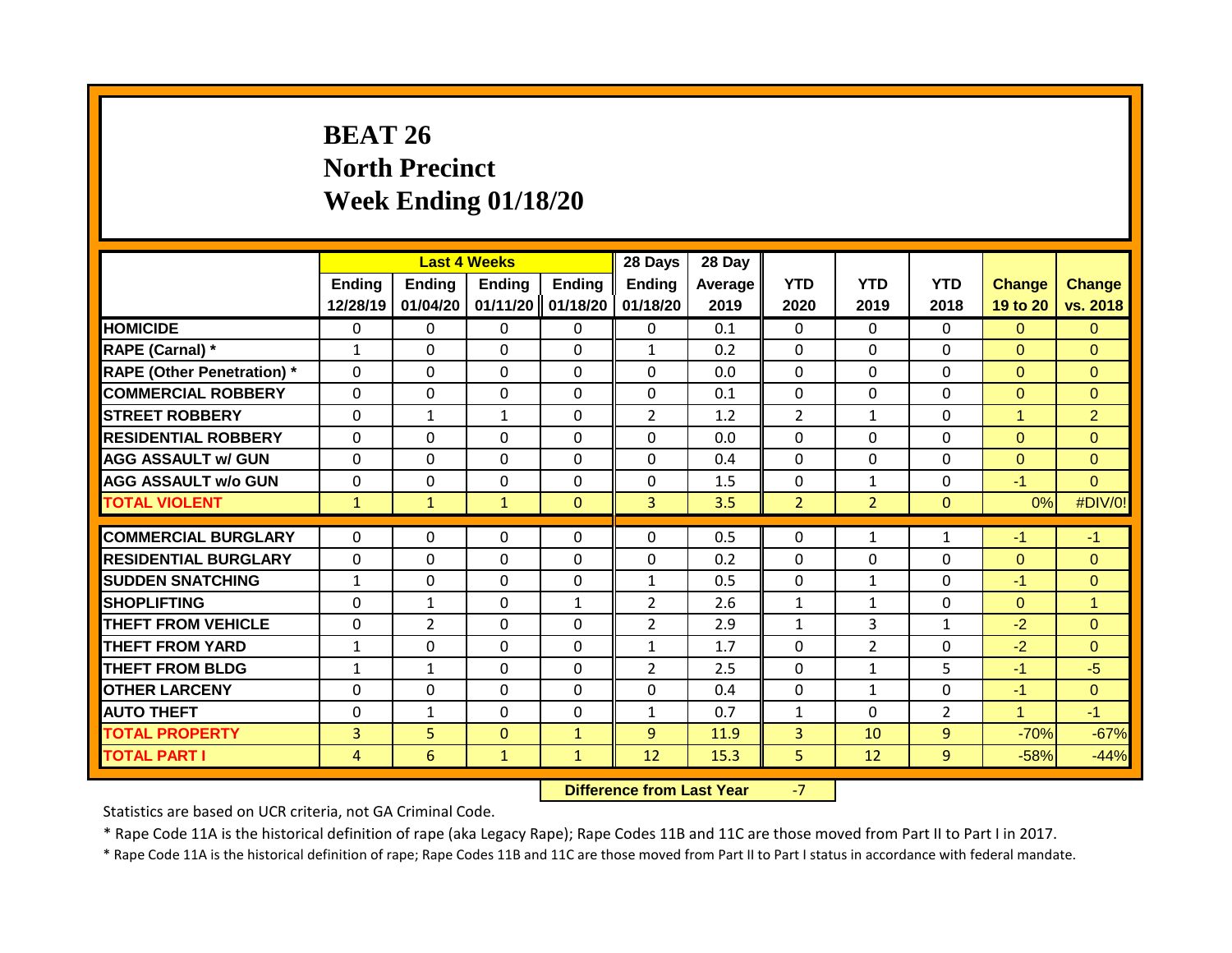# **BEAT 26 North Precinct Week Ending 01/18/20**

|                                   |                           | <b>Last 4 Weeks</b>       |                           |                           | 28 Days                   | 28 Day          |                    |                    |                    |                           |                           |
|-----------------------------------|---------------------------|---------------------------|---------------------------|---------------------------|---------------------------|-----------------|--------------------|--------------------|--------------------|---------------------------|---------------------------|
|                                   | <b>Ending</b><br>12/28/19 | <b>Ending</b><br>01/04/20 | <b>Ending</b><br>01/11/20 | <b>Ending</b><br>01/18/20 | <b>Ending</b><br>01/18/20 | Average<br>2019 | <b>YTD</b><br>2020 | <b>YTD</b><br>2019 | <b>YTD</b><br>2018 | <b>Change</b><br>19 to 20 | <b>Change</b><br>vs. 2018 |
| <b>HOMICIDE</b>                   | 0                         | 0                         | 0                         | $\mathbf{0}$              | $\mathbf{0}$              | 0.1             | $\Omega$           | $\Omega$           | $\Omega$           | $\Omega$                  | $\Omega$                  |
|                                   |                           |                           |                           |                           |                           |                 |                    |                    |                    |                           |                           |
| RAPE (Carnal) *                   | $\mathbf{1}$              | $\Omega$                  | 0                         | $\mathbf 0$               | $\mathbf{1}$              | 0.2             | $\mathbf 0$        | $\Omega$           | 0                  | $\Omega$                  | $\mathbf{0}$              |
| <b>RAPE (Other Penetration)</b> * | $\mathbf 0$               | 0                         | 0                         | $\mathbf 0$               | $\Omega$                  | 0.0             | 0                  | $\Omega$           | $\Omega$           | $\Omega$                  | $\Omega$                  |
| <b>COMMERCIAL ROBBERY</b>         | $\mathbf 0$               | 0                         | 0                         | $\mathbf 0$               | $\mathbf 0$               | 0.1             | $\mathbf 0$        | $\Omega$           | $\Omega$           | $\mathbf{0}$              | $\overline{0}$            |
| <b>STREET ROBBERY</b>             | $\Omega$                  | $\mathbf{1}$              | $\mathbf{1}$              | $\mathbf 0$               | $\overline{2}$            | 1.2             | $\overline{2}$     | $\mathbf{1}$       | $\Omega$           | 1                         | $\overline{2}$            |
| <b>RESIDENTIAL ROBBERY</b>        | $\Omega$                  | $\Omega$                  | $\Omega$                  | $\mathbf{0}$              | $\Omega$                  | 0.0             | $\mathbf{0}$       | $\Omega$           | 0                  | $\Omega$                  | $\Omega$                  |
| <b>AGG ASSAULT w/ GUN</b>         | $\mathbf{0}$              | 0                         | $\Omega$                  | $\Omega$                  | $\Omega$                  | 0.4             | $\Omega$           | $\Omega$           | $\Omega$           | $\Omega$                  | $\Omega$                  |
| <b>AGG ASSAULT w/o GUN</b>        | $\mathbf{0}$              | 0                         | 0                         | $\mathbf{0}$              | $\mathbf{0}$              | 1.5             | $\mathbf{0}$       | $\mathbf{1}$       | 0                  | $-1$                      | $\Omega$                  |
| <b>TOTAL VIOLENT</b>              | $\mathbf{1}$              | $\mathbf{1}$              | $\mathbf{1}$              | $\mathbf{0}$              | 3                         | 3.5             | $\overline{2}$     | $\overline{2}$     | $\Omega$           | 0%                        | #DIV/0!                   |
|                                   |                           |                           |                           |                           |                           |                 |                    |                    |                    |                           |                           |
| <b>COMMERCIAL BURGLARY</b>        | $\Omega$                  | $\Omega$                  | 0                         | $\Omega$                  | $\Omega$                  | 0.5             | $\Omega$           | $\mathbf{1}$       | 1                  | $-1$                      | $-1$                      |
| <b>RESIDENTIAL BURGLARY</b>       | $\mathbf{0}$              | $\Omega$                  | 0                         | $\Omega$                  | $\Omega$                  | 0.2             | $\mathbf 0$        | $\Omega$           | $\Omega$           | $\Omega$                  | $\Omega$                  |
| <b>SUDDEN SNATCHING</b>           | $\mathbf{1}$              | $\Omega$                  | $\Omega$                  | $\mathbf{0}$              | $\mathbf{1}$              | 0.5             | $\mathbf{0}$       | $\mathbf{1}$       | $\Omega$           | $-1$                      | $\Omega$                  |
| <b>SHOPLIFTING</b>                | $\Omega$                  | $\mathbf{1}$              | $\Omega$                  | $\mathbf{1}$              | $\overline{2}$            | 2.6             | $\mathbf{1}$       | $\mathbf{1}$       | $\Omega$           | $\Omega$                  | $\overline{1}$            |
| <b>THEFT FROM VEHICLE</b>         | $\Omega$                  | $\overline{2}$            | $\Omega$                  | $\mathbf{0}$              | $\overline{2}$            | 2.9             | $\mathbf{1}$       | 3                  | $\mathbf{1}$       | $-2$                      | $\Omega$                  |
| <b>THEFT FROM YARD</b>            | $\mathbf{1}$              | 0                         | $\Omega$                  | $\mathbf{0}$              | $\mathbf{1}$              | 1.7             | $\Omega$           | $\overline{2}$     | $\Omega$           | $-2$                      | $\Omega$                  |
| <b>THEFT FROM BLDG</b>            | $\mathbf{1}$              | $\mathbf{1}$              | $\Omega$                  | 0                         | $\overline{2}$            | 2.5             | $\Omega$           | $\mathbf{1}$       | 5                  | $-1$                      | $-5$                      |
| <b>OTHER LARCENY</b>              | $\Omega$                  | 0                         | $\Omega$                  | $\mathbf{0}$              | $\Omega$                  | 0.4             | $\Omega$           | $\mathbf{1}$       | $\Omega$           | $-1$                      | $\Omega$                  |
| <b>AUTO THEFT</b>                 | $\Omega$                  | $\mathbf{1}$              | $\Omega$                  | $\mathbf 0$               | $\mathbf{1}$              | 0.7             | $\mathbf{1}$       | $\Omega$           | $\overline{2}$     | 1                         | $-1$                      |
| <b>TOTAL PROPERTY</b>             | 3                         | 5                         | $\Omega$                  | $\mathbf{1}$              | 9                         | 11.9            | $\overline{3}$     | 10                 | $\overline{9}$     | $-70%$                    | $-67%$                    |
| <b>TOTAL PART I</b>               | 4                         | 6                         | $\mathbf{1}$              | $\mathbf{1}$              | 12                        | 15.3            | 5                  | 12                 | 9                  | $-58%$                    | $-44%$                    |

**Difference from Last Year -7** 

Statistics are based on UCR criteria, not GA Criminal Code.

\* Rape Code 11A is the historical definition of rape (aka Legacy Rape); Rape Codes 11B and 11C are those moved from Part II to Part I in 2017.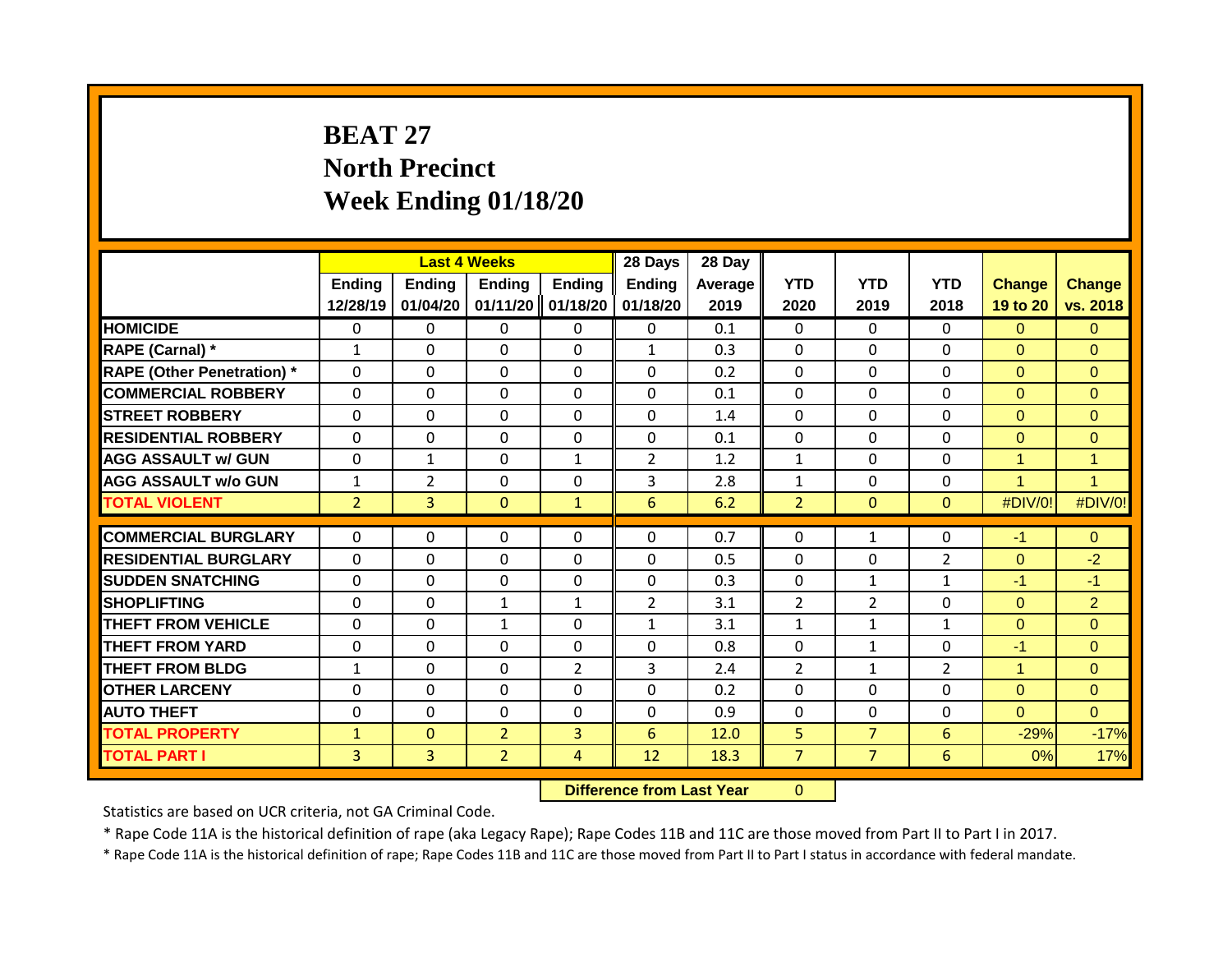# **BEAT 27 North Precinct Week Ending 01/18/20**

|                                   |                | <b>Last 4 Weeks</b> |                |                | 28 Days        | 28 Day  |                |                |                |               |                      |
|-----------------------------------|----------------|---------------------|----------------|----------------|----------------|---------|----------------|----------------|----------------|---------------|----------------------|
|                                   | <b>Ending</b>  | Ending              | <b>Ending</b>  | Ending         | Ending         | Average | <b>YTD</b>     | <b>YTD</b>     | <b>YTD</b>     | <b>Change</b> | <b>Change</b>        |
|                                   | 12/28/19       | 01/04/20            | 01/11/20       | 01/18/20       | 01/18/20       | 2019    | 2020           | 2019           | 2018           | 19 to 20      | vs. 2018             |
| <b>HOMICIDE</b>                   | $\mathbf 0$    | 0                   | 0              | $\mathbf{0}$   | $\mathbf{0}$   | 0.1     | $\mathbf 0$    | $\Omega$       | $\Omega$       | $\Omega$      | $\overline{0}$       |
| RAPE (Carnal) *                   | $\mathbf{1}$   | $\Omega$            | $\Omega$       | $\mathbf{0}$   | $\mathbf{1}$   | 0.3     | $\mathbf 0$    | $\Omega$       | $\Omega$       | $\Omega$      | $\Omega$             |
| <b>RAPE (Other Penetration) *</b> | $\mathbf 0$    | 0                   | 0              | $\mathbf 0$    | $\mathbf 0$    | 0.2     | $\mathbf 0$    | $\Omega$       | 0              | $\Omega$      | $\overline{0}$       |
| <b>COMMERCIAL ROBBERY</b>         | $\Omega$       | $\Omega$            | $\Omega$       | $\mathbf{0}$   | 0              | 0.1     | $\mathbf 0$    | $\Omega$       | $\Omega$       | $\Omega$      | $\Omega$             |
| <b>STREET ROBBERY</b>             | $\Omega$       | 0                   | $\Omega$       | $\Omega$       | $\Omega$       | 1.4     | $\Omega$       | $\Omega$       | $\Omega$       | $\Omega$      | $\Omega$             |
| <b>RESIDENTIAL ROBBERY</b>        | $\Omega$       | 0                   | $\Omega$       | $\Omega$       | $\Omega$       | 0.1     | $\Omega$       | $\Omega$       | $\Omega$       | $\Omega$      | $\Omega$             |
| <b>AGG ASSAULT w/ GUN</b>         | 0              | $\mathbf{1}$        | $\Omega$       | $\mathbf{1}$   | $\overline{2}$ | 1.2     | $\mathbf{1}$   | $\Omega$       | $\Omega$       | 1             | $\mathbf{1}$         |
| <b>AGG ASSAULT w/o GUN</b>        | $\mathbf{1}$   | $\overline{2}$      | $\Omega$       | 0              | 3              | 2.8     | $\mathbf{1}$   | $\Omega$       | 0              | и             | $\blacktriangleleft$ |
| <b>TOTAL VIOLENT</b>              | $\overline{2}$ | 3                   | $\mathbf{0}$   | $\mathbf{1}$   | 6              | 6.2     | $\overline{2}$ | $\mathbf{0}$   | $\Omega$       | #DIV/0!       | #DIV/0!              |
|                                   |                |                     |                |                |                |         |                |                |                |               |                      |
| <b>COMMERCIAL BURGLARY</b>        | $\Omega$       | 0                   | $\Omega$       | $\Omega$       | $\Omega$       | 0.7     | $\Omega$       | $\mathbf{1}$   | 0              | $-1$          | $\Omega$             |
| <b>RESIDENTIAL BURGLARY</b>       | $\Omega$       | $\Omega$            | $\Omega$       | $\mathbf{0}$   | $\Omega$       | 0.5     | $\mathbf{0}$   | $\Omega$       | 2              | $\Omega$      | $-2$                 |
| <b>SUDDEN SNATCHING</b>           | $\Omega$       | $\Omega$            | $\Omega$       | $\mathbf{0}$   | $\Omega$       | 0.3     | $\mathbf{0}$   | $\mathbf{1}$   | $\mathbf{1}$   | $-1$          | $-1$                 |
| <b>SHOPLIFTING</b>                | $\mathbf{0}$   | 0                   | $\mathbf{1}$   | $\mathbf{1}$   | $\overline{2}$ | 3.1     | $\overline{2}$ | $\overline{2}$ | $\Omega$       | $\Omega$      | $\overline{2}$       |
| <b>THEFT FROM VEHICLE</b>         | $\Omega$       | $\Omega$            | $\mathbf{1}$   | $\mathbf{0}$   | $\mathbf{1}$   | 3.1     | $\mathbf{1}$   | $\mathbf{1}$   | $\mathbf{1}$   | $\Omega$      | $\Omega$             |
| <b>THEFT FROM YARD</b>            | 0              | 0                   | $\Omega$       | $\Omega$       | $\Omega$       | 0.8     | $\Omega$       | $\mathbf{1}$   | 0              | $-1$          | $\Omega$             |
| <b>THEFT FROM BLDG</b>            | 1              | 0                   | $\Omega$       | $\overline{2}$ | 3              | 2.4     | $\overline{2}$ | $\mathbf{1}$   | $\overline{2}$ | 4             | $\Omega$             |
| <b>OTHER LARCENY</b>              | 0              | 0                   | $\Omega$       | $\Omega$       | $\Omega$       | 0.2     | $\Omega$       | $\Omega$       | 0              | $\Omega$      | $\Omega$             |
| <b>AUTO THEFT</b>                 | 0              | 0                   | 0              | $\mathbf{0}$   | $\Omega$       | 0.9     | $\Omega$       | $\Omega$       | 0              | $\Omega$      | $\Omega$             |
| <b>TOTAL PROPERTY</b>             | 1              | $\mathbf{0}$        | $\overline{2}$ | 3              | 6              | 12.0    | 5              | $\overline{7}$ | 6              | $-29%$        | $-17%$               |
| <b>TOTAL PART I</b>               | 3              | 3                   | $\overline{2}$ | 4              | 12             | 18.3    | 7              | $\overline{7}$ | 6              | 0%            | 17%                  |

**Difference from Last Year** 0

Statistics are based on UCR criteria, not GA Criminal Code.

\* Rape Code 11A is the historical definition of rape (aka Legacy Rape); Rape Codes 11B and 11C are those moved from Part II to Part I in 2017.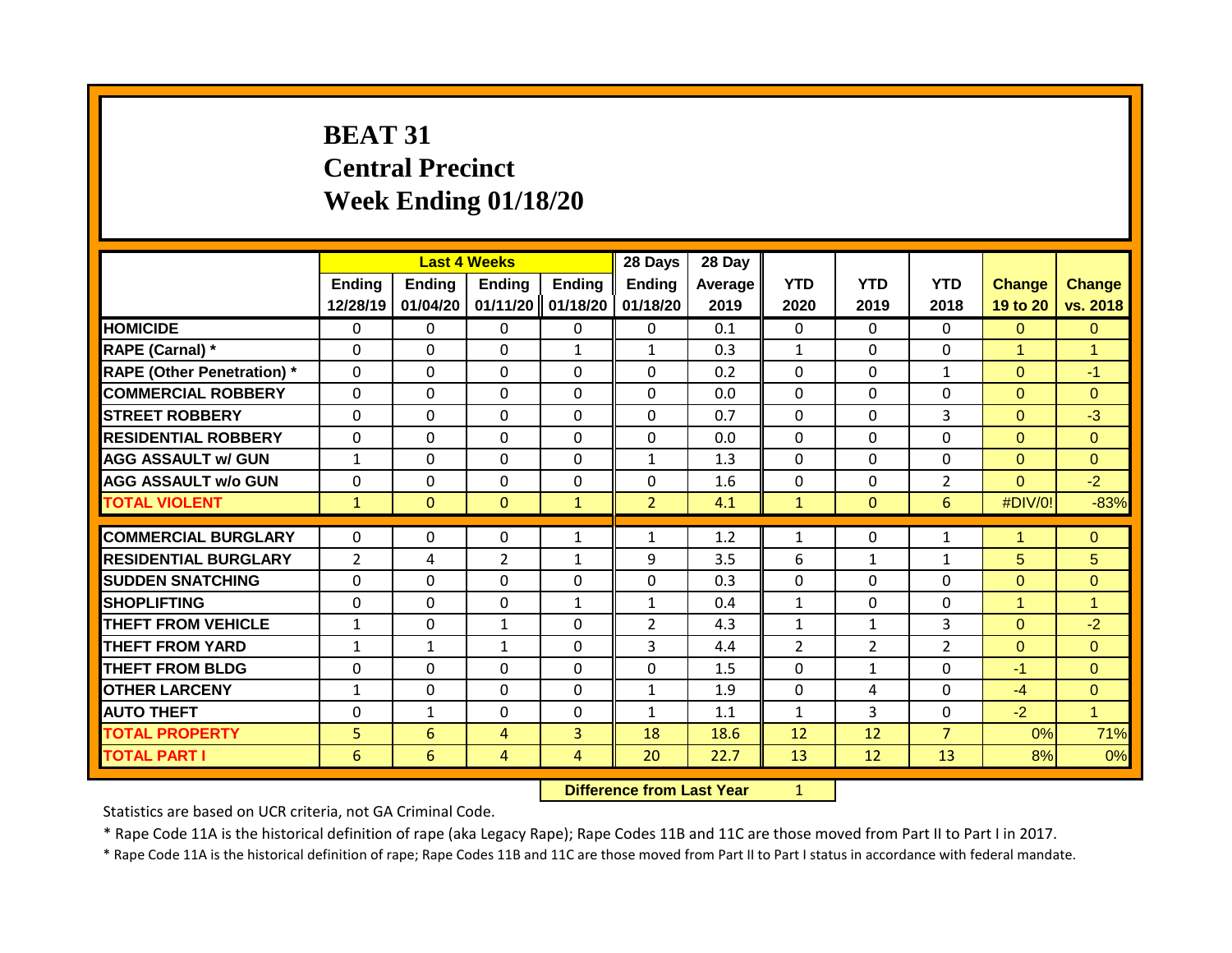# **BEAT 31 Central Precinct Week Ending 01/18/20**

|                                   |                | <b>Last 4 Weeks</b> |                |              | 28 Days        | 28 Day  |                |                |                    |                |                |
|-----------------------------------|----------------|---------------------|----------------|--------------|----------------|---------|----------------|----------------|--------------------|----------------|----------------|
|                                   | <b>Ending</b>  | Ending              | <b>Ending</b>  | Ending       | Ending         | Average | <b>YTD</b>     | <b>YTD</b>     | <b>YTD</b><br>2018 | <b>Change</b>  | <b>Change</b>  |
|                                   | 12/28/19       | 01/04/20            | 01/11/20       | 01/18/20     | 01/18/20       | 2019    | 2020           | 2019           |                    | 19 to 20       | vs. 2018       |
| <b>HOMICIDE</b>                   | $\mathbf 0$    | 0                   | 0              | 0            | $\mathbf{0}$   | 0.1     | $\mathbf 0$    | $\Omega$       | $\Omega$           | $\Omega$       | $\overline{0}$ |
| RAPE (Carnal) *                   | $\Omega$       | $\Omega$            | $\Omega$       | $\mathbf{1}$ | $\mathbf{1}$   | 0.3     | $\mathbf{1}$   | $\Omega$       | $\Omega$           | 1              | $\overline{1}$ |
| <b>RAPE (Other Penetration) *</b> | $\mathbf 0$    | 0                   | 0              | $\mathbf 0$  | $\mathbf 0$    | 0.2     | $\mathbf 0$    | $\Omega$       | $\mathbf{1}$       | $\Omega$       | $-1$           |
| <b>COMMERCIAL ROBBERY</b>         | $\Omega$       | $\Omega$            | $\Omega$       | $\mathbf{0}$ | 0              | 0.0     | $\mathbf 0$    | $\Omega$       | $\Omega$           | $\Omega$       | $\Omega$       |
| <b>STREET ROBBERY</b>             | $\Omega$       | 0                   | $\Omega$       | $\Omega$     | $\Omega$       | 0.7     | $\Omega$       | $\Omega$       | 3                  | $\Omega$       | $-3$           |
| <b>RESIDENTIAL ROBBERY</b>        | $\Omega$       | 0                   | $\Omega$       | $\Omega$     | $\Omega$       | 0.0     | $\Omega$       | $\Omega$       | $\Omega$           | $\Omega$       | $\Omega$       |
| <b>AGG ASSAULT w/ GUN</b>         | $\mathbf{1}$   | 0                   | $\Omega$       | $\mathbf{0}$ | 1              | 1.3     | $\Omega$       | $\Omega$       | 0                  | $\overline{0}$ | $\Omega$       |
| <b>AGG ASSAULT w/o GUN</b>        | 0              | 0                   | $\Omega$       | 0            | $\Omega$       | 1.6     | 0              | $\Omega$       | 2                  | $\Omega$       | $-2$           |
| <b>TOTAL VIOLENT</b>              | $\mathbf{1}$   | $\mathbf{0}$        | $\mathbf{0}$   | $\mathbf{1}$ | $\overline{2}$ | 4.1     | $\mathbf{1}$   | $\mathbf{0}$   | 6                  | #DIV/0!        | $-83%$         |
|                                   |                |                     |                |              |                |         |                |                |                    |                |                |
| <b>COMMERCIAL BURGLARY</b>        | $\Omega$       | 0                   | $\Omega$       | $\mathbf{1}$ | $\mathbf{1}$   | 1.2     | 1              | $\Omega$       | $\mathbf{1}$       | 1              | $\Omega$       |
| <b>RESIDENTIAL BURGLARY</b>       | $\overline{2}$ | 4                   | $\overline{2}$ | $\mathbf{1}$ | 9              | 3.5     | 6              | $\mathbf{1}$   | 1                  | 5              | 5              |
| <b>SUDDEN SNATCHING</b>           | $\Omega$       | $\Omega$            | $\Omega$       | $\mathbf{0}$ | $\Omega$       | 0.3     | $\Omega$       | $\Omega$       | 0                  | $\Omega$       | $\mathbf{0}$   |
| <b>SHOPLIFTING</b>                | $\mathbf{0}$   | 0                   | $\Omega$       | $\mathbf{1}$ | $\mathbf{1}$   | 0.4     | $\mathbf{1}$   | $\Omega$       | $\Omega$           | 1              | $\overline{1}$ |
| <b>THEFT FROM VEHICLE</b>         | $\mathbf{1}$   | $\Omega$            | $\mathbf{1}$   | $\mathbf{0}$ | $\overline{2}$ | 4.3     | $\mathbf{1}$   | $\mathbf{1}$   | 3                  | $\Omega$       | $-2$           |
| <b>THEFT FROM YARD</b>            | $\mathbf{1}$   | $\mathbf{1}$        | $\mathbf{1}$   | $\Omega$     | 3              | 4.4     | $\overline{2}$ | $\overline{2}$ | 2                  | $\Omega$       | $\Omega$       |
| <b>THEFT FROM BLDG</b>            | 0              | 0                   | 0              | $\Omega$     | $\Omega$       | 1.5     | $\Omega$       | $\mathbf{1}$   | $\Omega$           | $-1$           | $\Omega$       |
| <b>OTHER LARCENY</b>              | $\mathbf{1}$   | 0                   | 0              | $\Omega$     | 1              | 1.9     | $\Omega$       | 4              | 0                  | $-4$           | $\Omega$       |
| <b>AUTO THEFT</b>                 | 0              | $\mathbf{1}$        | 0              | $\mathbf{0}$ | $\mathbf{1}$   | 1.1     | $\mathbf{1}$   | 3              | 0                  | $-2$           | $\mathbf{1}$   |
| <b>TOTAL PROPERTY</b>             | 5              | 6                   | 4              | 3            | 18             | 18.6    | 12             | 12             | $\overline{7}$     | 0%             | 71%            |
| <b>TOTAL PART I</b>               | 6              | 6                   | 4              | 4            | 20             | 22.7    | 13             | 12             | 13                 | 8%             | 0%             |

**Difference from Last Year** 1

Statistics are based on UCR criteria, not GA Criminal Code.

\* Rape Code 11A is the historical definition of rape (aka Legacy Rape); Rape Codes 11B and 11C are those moved from Part II to Part I in 2017.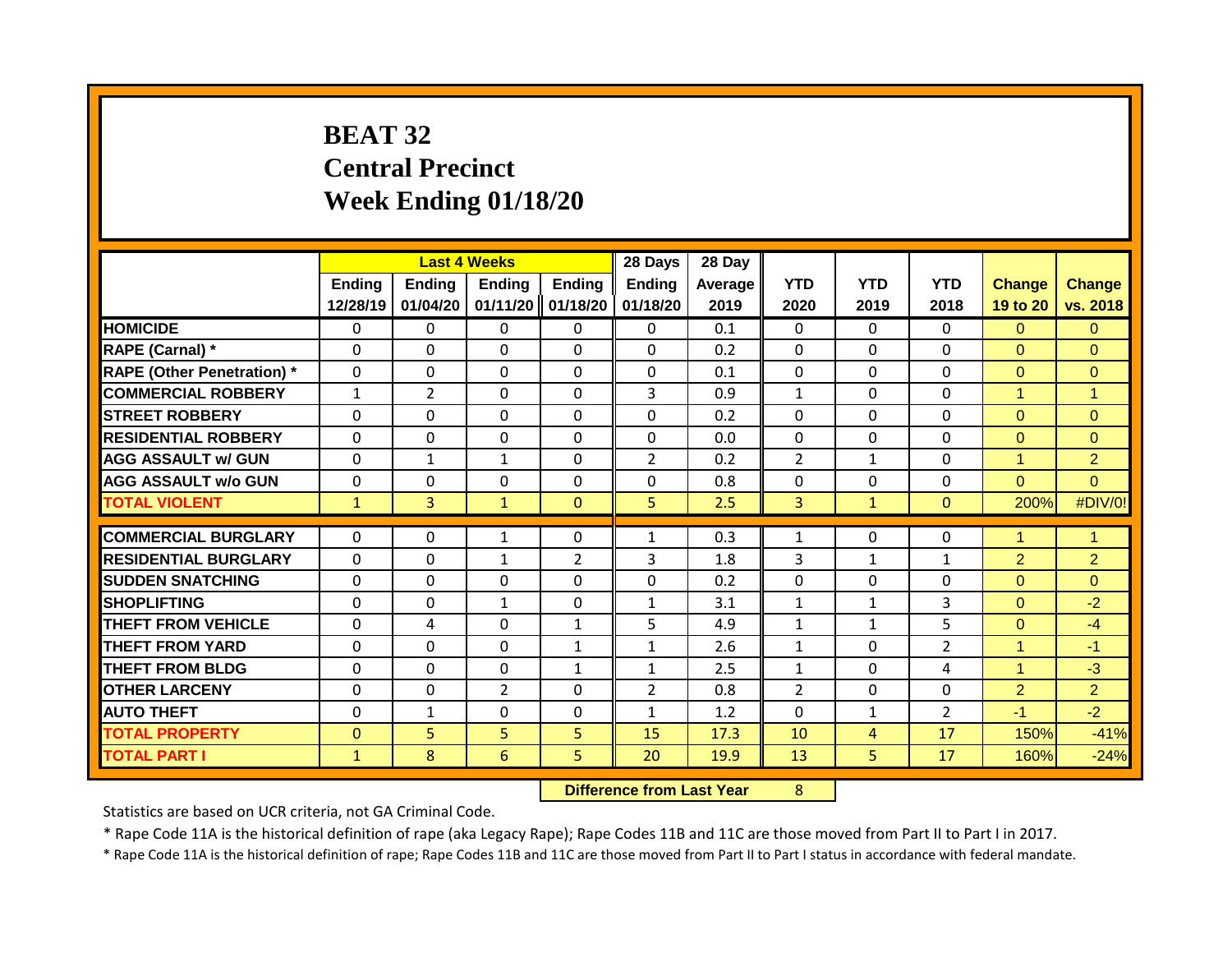# **BEAT 32 Central Precinct Week Ending 01/18/20**

|                                   |                           |                           | <b>Last 4 Weeks</b> |                                    | 28 Days                   | 28 Day            |                    |                    |                    |                           |                           |
|-----------------------------------|---------------------------|---------------------------|---------------------|------------------------------------|---------------------------|-------------------|--------------------|--------------------|--------------------|---------------------------|---------------------------|
|                                   | <b>Ending</b><br>12/28/19 | <b>Ending</b><br>01/04/20 | <b>Ending</b>       | <b>Ending</b><br>01/11/20 01/18/20 | <b>Ending</b><br>01/18/20 | Average I<br>2019 | <b>YTD</b><br>2020 | <b>YTD</b><br>2019 | <b>YTD</b><br>2018 | <b>Change</b><br>19 to 20 | <b>Change</b><br>vs. 2018 |
| <b>HOMICIDE</b>                   | $\mathbf 0$               | 0                         | 0                   | $\mathbf{0}$                       | $\Omega$                  | 0.1               | $\Omega$           | $\Omega$           | $\Omega$           | $\Omega$                  | $\Omega$                  |
| RAPE (Carnal) *                   | $\Omega$                  | 0                         | $\Omega$            | $\mathbf{0}$                       | $\Omega$                  | 0.2               | $\mathbf 0$        | $\Omega$           | $\Omega$           | $\Omega$                  | $\Omega$                  |
| <b>RAPE (Other Penetration)</b> * | $\mathbf 0$               | $\Omega$                  | 0                   | $\mathbf 0$                        | $\Omega$                  | 0.1               | $\mathbf 0$        | $\Omega$           | $\Omega$           | $\Omega$                  | $\Omega$                  |
| <b>COMMERCIAL ROBBERY</b>         | $\mathbf{1}$              | $\overline{2}$            | $\Omega$            | $\mathbf{0}$                       | 3                         | 0.9               | $\mathbf{1}$       | $\Omega$           | $\Omega$           | 1                         | $\overline{1}$            |
| <b>STREET ROBBERY</b>             | 0                         | 0                         | $\Omega$            | $\mathbf{0}$                       | $\Omega$                  | 0.2               | $\Omega$           | $\Omega$           | $\Omega$           | $\Omega$                  | $\Omega$                  |
| <b>RESIDENTIAL ROBBERY</b>        | $\mathbf{0}$              | $\Omega$                  | $\Omega$            | $\mathbf{0}$                       | $\Omega$                  | 0.0               | $\mathbf{0}$       | $\Omega$           | $\Omega$           | $\Omega$                  | $\Omega$                  |
| <b>AGG ASSAULT w/ GUN</b>         | $\Omega$                  | $\mathbf{1}$              | $\mathbf{1}$        | $\mathbf{0}$                       | $\overline{2}$            | 0.2               | $\overline{2}$     | $\mathbf{1}$       | $\Omega$           | 1                         | $\overline{2}$            |
| <b>AGG ASSAULT w/o GUN</b>        | 0                         | 0                         | 0                   | $\mathbf 0$                        | $\mathbf 0$               | 0.8               | $\mathbf 0$        | 0                  | 0                  | $\Omega$                  | $\overline{0}$            |
| <b>TOTAL VIOLENT</b>              | $\mathbf{1}$              | 3                         | $\mathbf{1}$        | $\mathbf{0}$                       | 5 <sup>1</sup>            | 2.5               | $\overline{3}$     | $\mathbf{1}$       | $\mathbf{0}$       | 200%                      | #DIV/0!                   |
|                                   |                           |                           |                     |                                    |                           |                   |                    |                    |                    | 1                         |                           |
| <b>COMMERCIAL BURGLARY</b>        | $\Omega$                  | 0                         | $\mathbf{1}$        | $\mathbf{0}$                       | $\mathbf{1}$              | 0.3               | $\mathbf{1}$       | $\Omega$           | 0                  |                           | $\mathbf{1}$              |
| <b>RESIDENTIAL BURGLARY</b>       | $\mathbf{0}$              | 0                         | $\mathbf{1}$        | $\overline{2}$                     | 3                         | 1.8               | 3                  | $\mathbf{1}$       | 1                  | $\overline{2}$            | $\overline{2}$            |
| <b>SUDDEN SNATCHING</b>           | $\mathbf{0}$              | $\Omega$                  | $\Omega$            | $\Omega$                           | $\Omega$                  | 0.2               | $\Omega$           | $\Omega$           | $\Omega$           | $\Omega$                  | $\Omega$                  |
| <b>SHOPLIFTING</b>                | $\Omega$                  | 0                         | $\mathbf{1}$        | $\mathbf{0}$                       | 1                         | 3.1               | $\mathbf{1}$       | $\mathbf{1}$       | 3                  | $\Omega$                  | $-2$                      |
| <b>THEFT FROM VEHICLE</b>         | $\Omega$                  | 4                         | $\Omega$            | 1                                  | 5                         | 4.9               | $\mathbf{1}$       | $\mathbf{1}$       | 5                  | $\Omega$                  | $-4$                      |
| THEFT FROM YARD                   | 0                         | $\Omega$                  | $\Omega$            | 1                                  | 1                         | 2.6               | $\mathbf{1}$       | $\Omega$           | 2                  | 1                         | $-1$                      |
| <b>THEFT FROM BLDG</b>            | $\Omega$                  | $\Omega$                  | $\Omega$            | $\mathbf{1}$                       | $\mathbf{1}$              | 2.5               | $\mathbf{1}$       | $\Omega$           | 4                  | 4                         | $-3$                      |
| <b>OTHER LARCENY</b>              | 0                         | $\Omega$                  | $\overline{2}$      | 0                                  | $\overline{2}$            | 0.8               | $\overline{2}$     | $\Omega$           | $\Omega$           | $\overline{2}$            | $\overline{2}$            |
| <b>AUTO THEFT</b>                 | $\Omega$                  | $\mathbf{1}$              | $\Omega$            | $\Omega$                           | $\mathbf{1}$              | 1.2               | $\Omega$           | $\mathbf{1}$       | $\overline{2}$     | $-1$                      | $-2$                      |
| <b>TOTAL PROPERTY</b>             | $\Omega$                  | 5                         | 5                   | 5                                  | 15                        | 17.3              | 10                 | 4                  | 17                 | 150%                      | $-41%$                    |
| <b>TOTAL PART I</b>               | $\mathbf{1}$              | 8                         | 6                   | 5                                  | 20                        | 19.9              | 13                 | 5                  | 17                 | 160%                      | $-24%$                    |

#### **Difference from Last Year** 8

Statistics are based on UCR criteria, not GA Criminal Code.

\* Rape Code 11A is the historical definition of rape (aka Legacy Rape); Rape Codes 11B and 11C are those moved from Part II to Part I in 2017.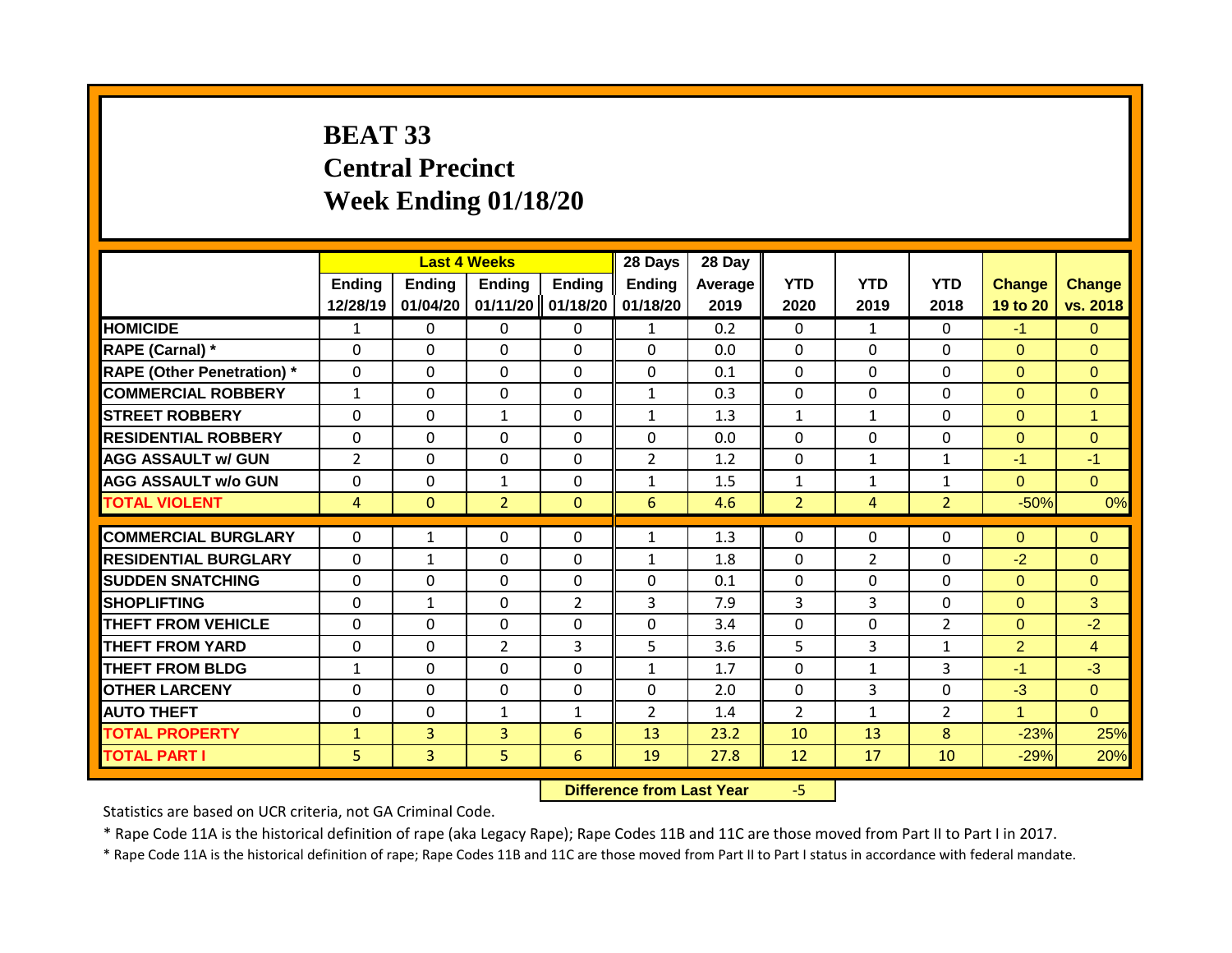# **BEAT 33 Central Precinct Week Ending 01/18/20**

|                                   |                |              | <b>Last 4 Weeks</b> |                | 28 Days        | 28 Day  |                |              |                |                |                |
|-----------------------------------|----------------|--------------|---------------------|----------------|----------------|---------|----------------|--------------|----------------|----------------|----------------|
|                                   | <b>Ending</b>  | Ending       | <b>Ending</b>       | Ending         | <b>Ending</b>  | Average | <b>YTD</b>     | <b>YTD</b>   | <b>YTD</b>     | <b>Change</b>  | <b>Change</b>  |
|                                   | 12/28/19       | 01/04/20     | 01/11/20            | 01/18/20       | 01/18/20       | 2019    | 2020           | 2019         | 2018           | 19 to 20       | vs. 2018       |
| <b>HOMICIDE</b>                   | $\mathbf{1}$   | 0            | $\mathbf{0}$        | 0              | 1              | 0.2     | $\mathbf 0$    | $\mathbf{1}$ | 0              | $-1$           | $\mathbf{0}$   |
| <b>RAPE (Carnal) *</b>            | $\Omega$       | 0            | $\Omega$            | $\Omega$       | $\Omega$       | 0.0     | $\mathbf 0$    | $\Omega$     | 0              | $\Omega$       | $\Omega$       |
| <b>RAPE (Other Penetration) *</b> | $\mathbf 0$    | 0            | $\Omega$            | $\Omega$       | 0              | 0.1     | $\mathbf 0$    | $\Omega$     | 0              | $\Omega$       | $\Omega$       |
| <b>COMMERCIAL ROBBERY</b>         | $\mathbf{1}$   | 0            | $\Omega$            | $\Omega$       | $\mathbf{1}$   | 0.3     | $\mathbf 0$    | $\Omega$     | 0              | $\Omega$       | $\overline{0}$ |
| <b>STREET ROBBERY</b>             | $\Omega$       | 0            | 1                   | 0              | $\mathbf{1}$   | 1.3     | $\mathbf{1}$   | $\mathbf{1}$ | 0              | $\Omega$       | $\mathbf{1}$   |
| <b>RESIDENTIAL ROBBERY</b>        | $\Omega$       | 0            | $\Omega$            | 0              | $\Omega$       | 0.0     | $\Omega$       | $\Omega$     | 0              | $\Omega$       | $\Omega$       |
| <b>AGG ASSAULT w/ GUN</b>         | $\overline{2}$ | 0            | $\Omega$            | 0              | $\overline{2}$ | 1.2     | 0              | $\mathbf{1}$ | $\mathbf 1$    | $-1$           | $-1$           |
| <b>AGG ASSAULT w/o GUN</b>        | 0              | 0            | $\mathbf{1}$        | 0              | $\mathbf{1}$   | 1.5     | $\mathbf{1}$   | $\mathbf{1}$ | $\mathbf{1}$   | $\Omega$       | $\Omega$       |
| <b>TOTAL VIOLENT</b>              | 4              | 0            | $\overline{2}$      | $\mathbf{0}$   | 6              | 4.6     | $\overline{2}$ | 4            | $\overline{2}$ | $-50%$         | 0%             |
|                                   |                |              |                     |                |                |         |                |              |                |                |                |
| <b>COMMERCIAL BURGLARY</b>        | $\Omega$       | $\mathbf{1}$ | $\mathbf{0}$        | 0              | $\mathbf{1}$   | 1.3     | $\mathbf{0}$   | $\Omega$     | 0              | $\Omega$       | $\Omega$       |
| <b>RESIDENTIAL BURGLARY</b>       | $\Omega$       | 1            | $\Omega$            | $\Omega$       | 1              | 1.8     | $\mathbf{0}$   | 2            | 0              | $-2$           | $\Omega$       |
| <b>SUDDEN SNATCHING</b>           | $\Omega$       | 0            | $\mathbf{0}$        | $\Omega$       | $\Omega$       | 0.1     | $\mathbf{0}$   | $\Omega$     | 0              | $\Omega$       | $\Omega$       |
| <b>SHOPLIFTING</b>                | $\Omega$       | 1            | $\Omega$            | $\overline{2}$ | 3              | 7.9     | 3              | 3            | 0              | $\Omega$       | 3              |
| <b>THEFT FROM VEHICLE</b>         | $\Omega$       | 0            | $\mathbf{0}$        | 0              | $\Omega$       | 3.4     | $\mathbf{0}$   | 0            | 2              | $\Omega$       | $-2$           |
| <b>THEFT FROM YARD</b>            | $\Omega$       | 0            | $\overline{2}$      | 3              | 5              | 3.6     | 5              | 3            | $\mathbf{1}$   | $\overline{2}$ | $\overline{4}$ |
| <b>THEFT FROM BLDG</b>            | 1              | 0            | $\Omega$            | 0              | $\mathbf{1}$   | 1.7     | $\mathbf{0}$   | 1            | 3              | $-1$           | $-3$           |
| <b>OTHER LARCENY</b>              | $\Omega$       | 0            | $\Omega$            | 0              | $\Omega$       | 2.0     | $\mathbf{0}$   | 3            | 0              | $-3$           | $\Omega$       |
| <b>AUTO THEFT</b>                 | $\Omega$       | 0            | 1                   | $\mathbf{1}$   | $\overline{2}$ | 1.4     | 2              | $\mathbf{1}$ | $\overline{2}$ | 4              | $\Omega$       |
| <b>TOTAL PROPERTY</b>             | $\mathbf{1}$   | 3            | 3                   | 6              | 13             | 23.2    | 10             | 13           | 8              | $-23%$         | 25%            |
| <b>TOTAL PART I</b>               | 5              | 3            | 5                   | 6              | 19             | 27.8    | 12             | 17           | 10             | $-29%$         | 20%            |

#### **Difference from Last Year** -5

Statistics are based on UCR criteria, not GA Criminal Code.

\* Rape Code 11A is the historical definition of rape (aka Legacy Rape); Rape Codes 11B and 11C are those moved from Part II to Part I in 2017.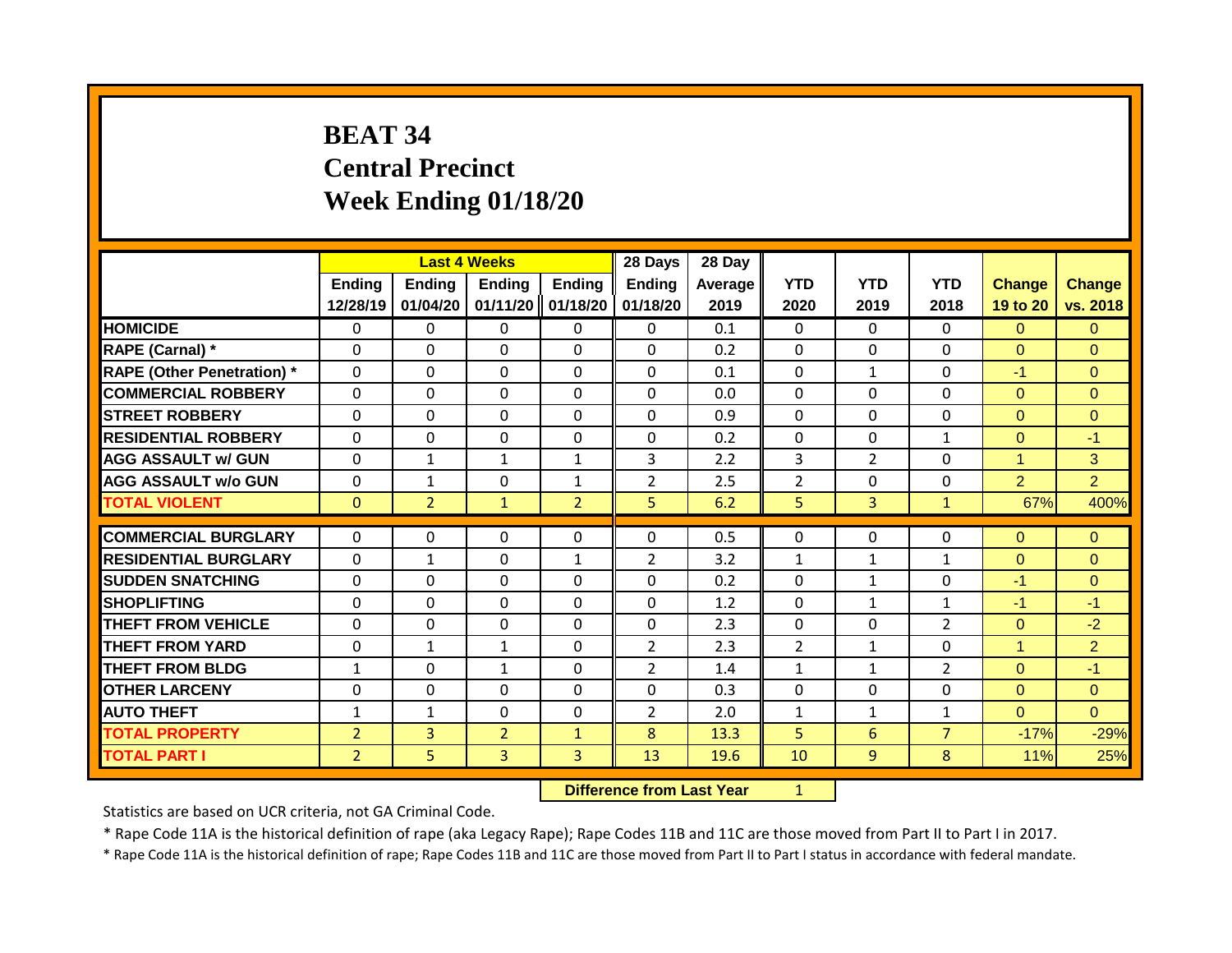# **BEAT 34 Central Precinct Week Ending 01/18/20**

|                                   |                | <b>Last 4 Weeks</b> |                |                | 28 Days        | 28 Day  |                |                |                |                      |                |
|-----------------------------------|----------------|---------------------|----------------|----------------|----------------|---------|----------------|----------------|----------------|----------------------|----------------|
|                                   | Ending         | <b>Ending</b>       | <b>Ending</b>  | <b>Ending</b>  | <b>Ending</b>  | Average | <b>YTD</b>     | <b>YTD</b>     | <b>YTD</b>     | <b>Change</b>        | <b>Change</b>  |
|                                   | 12/28/19       | 01/04/20            | 01/11/20       | 01/18/20       | 01/18/20       | 2019    | 2020           | 2019           | 2018           | 19 to 20             | vs. 2018       |
| <b>HOMICIDE</b>                   | $\mathbf{0}$   | 0                   | 0              | $\mathbf{0}$   | $\mathbf{0}$   | 0.1     | $\mathbf{0}$   | $\Omega$       | $\Omega$       | $\Omega$             | $\Omega$       |
| <b>RAPE (Carnal) *</b>            | $\Omega$       | 0                   | 0              | $\Omega$       | $\Omega$       | 0.2     | $\mathbf{0}$   | $\Omega$       | $\Omega$       | $\Omega$             | $\Omega$       |
| <b>RAPE (Other Penetration) *</b> | $\Omega$       | 0                   | $\Omega$       | $\Omega$       | $\Omega$       | 0.1     | $\mathbf{0}$   | $\mathbf{1}$   | $\Omega$       | $-1$                 | $\Omega$       |
| <b>COMMERCIAL ROBBERY</b>         | $\Omega$       | 0                   | $\Omega$       | $\mathbf{0}$   | 0              | 0.0     | $\mathbf{0}$   | $\Omega$       | $\Omega$       | $\Omega$             | $\Omega$       |
| <b>STREET ROBBERY</b>             | $\Omega$       | 0                   | $\Omega$       | $\mathbf{0}$   | $\Omega$       | 0.9     | $\Omega$       | $\Omega$       | 0              | $\mathbf{0}$         | $\Omega$       |
| <b>RESIDENTIAL ROBBERY</b>        | $\Omega$       | 0                   | $\Omega$       | $\mathbf{0}$   | $\Omega$       | 0.2     | $\mathbf{0}$   | $\Omega$       | $\mathbf{1}$   | $\Omega$             | $-1$           |
| <b>AGG ASSAULT w/ GUN</b>         | $\Omega$       | $\mathbf{1}$        | $\mathbf{1}$   | $\mathbf{1}$   | 3              | 2.2     | 3              | $\overline{2}$ | 0              | $\blacktriangleleft$ | 3              |
| <b>AGG ASSAULT w/o GUN</b>        | $\Omega$       | $\mathbf{1}$        | $\Omega$       | $\mathbf{1}$   | $\overline{2}$ | 2.5     | $\overline{2}$ | $\Omega$       | 0              | $\overline{2}$       | $\overline{2}$ |
| <b>TOTAL VIOLENT</b>              | $\mathbf{0}$   | $\overline{2}$      | $\mathbf{1}$   | $\overline{2}$ | 5              | 6.2     | 5              | 3              | $\mathbf{1}$   | 67%                  | 400%           |
|                                   |                |                     |                |                |                |         |                |                |                |                      |                |
| <b>COMMERCIAL BURGLARY</b>        | $\Omega$       | 0                   | $\Omega$       | $\mathbf{0}$   | 0              | 0.5     | 0              | $\Omega$       | $\Omega$       | $\Omega$             | $\Omega$       |
| <b>RESIDENTIAL BURGLARY</b>       | $\Omega$       | 1                   | $\Omega$       | 1              | $\overline{2}$ | 3.2     | 1              | 1              | $\mathbf{1}$   | $\Omega$             | $\Omega$       |
| <b>SUDDEN SNATCHING</b>           | $\Omega$       | 0                   | $\Omega$       | $\mathbf{0}$   | $\Omega$       | 0.2     | $\Omega$       | $\mathbf{1}$   | 0              | $-1$                 | $\Omega$       |
| <b>SHOPLIFTING</b>                | 0              | 0                   | $\Omega$       | 0              | $\Omega$       | 1.2     | $\Omega$       | 1              | $\mathbf{1}$   | $-1$                 | $-1$           |
| <b>THEFT FROM VEHICLE</b>         | $\Omega$       | 0                   | $\Omega$       | $\mathbf{0}$   | 0              | 2.3     | $\Omega$       | $\Omega$       | $\overline{2}$ | $\Omega$             | $-2$           |
| <b>THEFT FROM YARD</b>            | $\Omega$       | 1                   | $\mathbf{1}$   | 0              | $\overline{2}$ | 2.3     | $\overline{2}$ | $\mathbf{1}$   | $\Omega$       | $\mathbf{1}$         | $\overline{2}$ |
| <b>THEFT FROM BLDG</b>            | 1              | 0                   | 1              | 0              | $\overline{2}$ | 1.4     | 1              | 1              | $\overline{2}$ | $\Omega$             | $-1$           |
| <b>OTHER LARCENY</b>              | $\Omega$       | 0                   | $\Omega$       | $\Omega$       | $\Omega$       | 0.3     | $\Omega$       | 0              | $\Omega$       | $\mathbf{0}$         | $\mathbf{0}$   |
| <b>AUTO THEFT</b>                 | 1              | 1                   | 0              | $\Omega$       | $\overline{2}$ | 2.0     | 1              | 1              | $\mathbf{1}$   | $\Omega$             | $\Omega$       |
| <b>TOTAL PROPERTY</b>             | $\overline{2}$ | $\overline{3}$      | $\overline{2}$ | $\mathbf{1}$   | 8              | 13.3    | 5              | 6              | $\overline{7}$ | $-17%$               | $-29%$         |
| <b>TOTAL PART I</b>               | $\overline{2}$ | 5                   | 3              | 3              | 13             | 19.6    | 10             | 9              | 8              | 11%                  | 25%            |

**Difference from Last Year** 1

Statistics are based on UCR criteria, not GA Criminal Code.

\* Rape Code 11A is the historical definition of rape (aka Legacy Rape); Rape Codes 11B and 11C are those moved from Part II to Part I in 2017.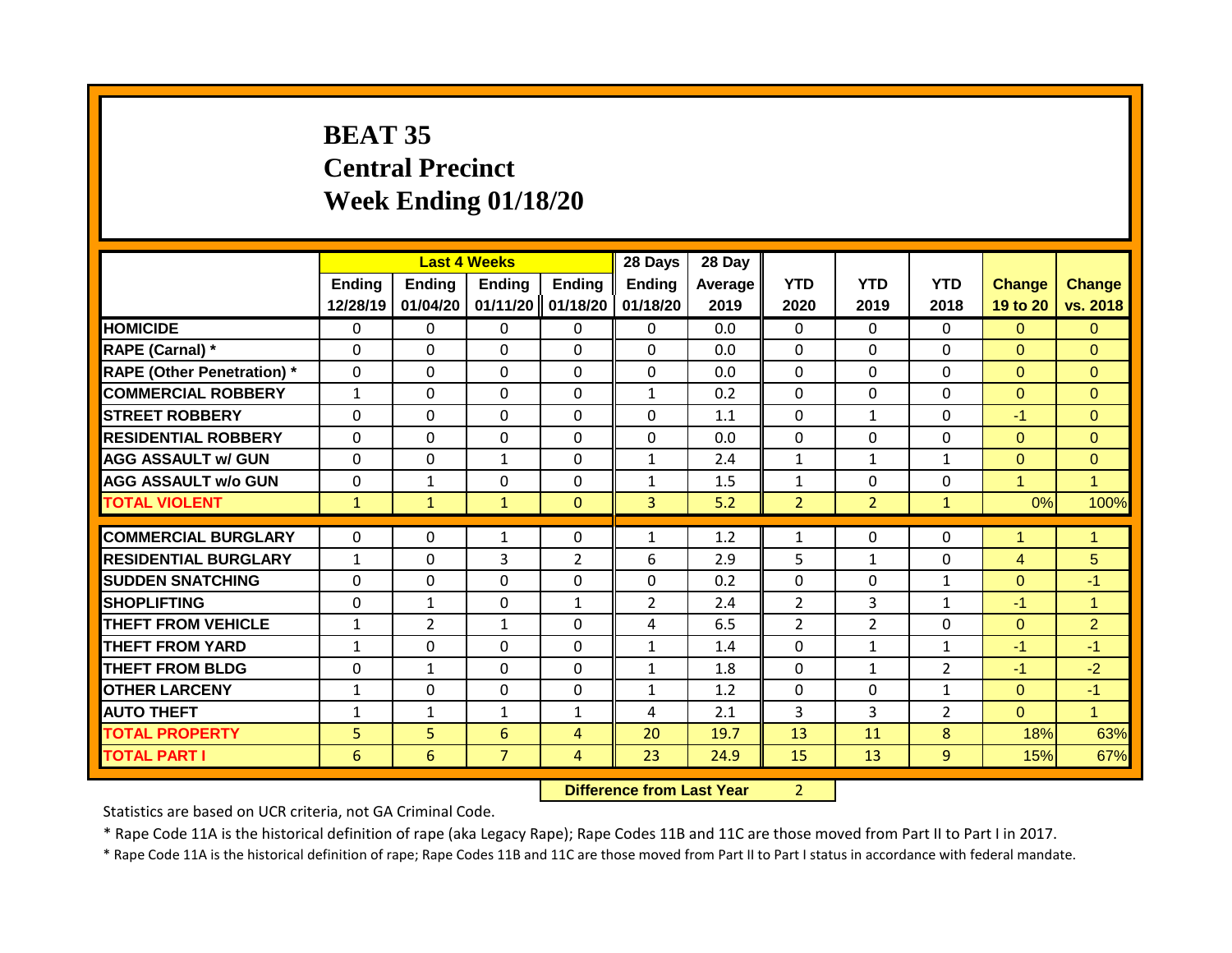# **BEAT 35 Central Precinct Week Ending 01/18/20**

|                                   |              | <b>Last 4 Weeks</b> |                |                | 28 Days        | 28 Day  |                |                |                |                      |                      |
|-----------------------------------|--------------|---------------------|----------------|----------------|----------------|---------|----------------|----------------|----------------|----------------------|----------------------|
|                                   | Ending       | Ending              | <b>Ending</b>  | <b>Ending</b>  | Ending         | Average | <b>YTD</b>     | <b>YTD</b>     | <b>YTD</b>     | <b>Change</b>        | <b>Change</b>        |
|                                   | 12/28/19     | 01/04/20            | 01/11/20       | 01/18/20       | 01/18/20       | 2019    | 2020           | 2019           | 2018           | 19 to 20             | vs. 2018             |
| <b>HOMICIDE</b>                   | $\mathbf{0}$ | 0                   | 0              | $\mathbf{0}$   | $\mathbf{0}$   | 0.0     | $\mathbf{0}$   | $\Omega$       | 0              | $\Omega$             | $\Omega$             |
| RAPE (Carnal) *                   | $\Omega$     | 0                   | 0              | $\Omega$       | $\Omega$       | 0.0     | $\mathbf{0}$   | $\Omega$       | $\Omega$       | $\Omega$             | $\Omega$             |
| <b>RAPE (Other Penetration) *</b> | $\mathbf 0$  | 0                   | 0              | $\Omega$       | $\mathbf 0$    | 0.0     | $\mathbf{0}$   | $\Omega$       | $\Omega$       | $\Omega$             | $\Omega$             |
| <b>COMMERCIAL ROBBERY</b>         | $\mathbf{1}$ | 0                   | $\Omega$       | $\mathbf{0}$   | $\mathbf{1}$   | 0.2     | $\mathbf{0}$   | $\Omega$       | $\Omega$       | $\Omega$             | $\Omega$             |
| <b>STREET ROBBERY</b>             | $\Omega$     | 0                   | 0              | $\mathbf 0$    | 0              | 1.1     | $\mathbf 0$    | $\mathbf{1}$   | $\Omega$       | $-1$                 | $\Omega$             |
| <b>RESIDENTIAL ROBBERY</b>        | $\Omega$     | 0                   | $\Omega$       | $\mathbf{0}$   | 0              | 0.0     | $\Omega$       | 0              | 0              | $\Omega$             | $\Omega$             |
| <b>AGG ASSAULT w/ GUN</b>         | $\Omega$     | 0                   | $\mathbf{1}$   | $\mathbf{0}$   | 1              | 2.4     | $\mathbf{1}$   | $\mathbf{1}$   | $\mathbf{1}$   | $\mathbf{0}$         | $\mathbf{0}$         |
| <b>AGG ASSAULT w/o GUN</b>        | 0            | 1                   | $\Omega$       | 0              | $\mathbf{1}$   | 1.5     | $\mathbf{1}$   | $\Omega$       | $\Omega$       | $\blacktriangleleft$ | $\blacktriangleleft$ |
| <b>TOTAL VIOLENT</b>              | $\mathbf{1}$ | $\mathbf{1}$        | $\mathbf{1}$   | $\mathbf{0}$   | 3              | 5.2     | $\overline{2}$ | $\overline{2}$ | $\mathbf{1}$   | 0%                   | 100%                 |
|                                   |              |                     |                |                |                |         |                |                |                |                      |                      |
| <b>COMMERCIAL BURGLARY</b>        | $\Omega$     | 0                   | $\mathbf{1}$   | $\mathbf{0}$   | $\mathbf{1}$   | 1.2     | 1              | 0              | 0              | $\blacktriangleleft$ | $\blacktriangleleft$ |
| <b>RESIDENTIAL BURGLARY</b>       | $\mathbf{1}$ | 0                   | 3              | $\overline{2}$ | 6              | 2.9     | 5              | 1              | $\Omega$       | 4                    | 5                    |
| <b>SUDDEN SNATCHING</b>           | $\Omega$     | 0                   | $\Omega$       | $\mathbf{0}$   | $\Omega$       | 0.2     | $\Omega$       | $\Omega$       | $\mathbf{1}$   | $\Omega$             | $-1$                 |
| <b>SHOPLIFTING</b>                | $\Omega$     | 1                   | $\Omega$       | 1              | $\overline{2}$ | 2.4     | $\overline{2}$ | 3              | $\mathbf{1}$   | $-1$                 | $\overline{1}$       |
| <b>THEFT FROM VEHICLE</b>         | $\mathbf{1}$ | $\overline{2}$      | $\mathbf{1}$   | 0              | 4              | 6.5     | $\overline{2}$ | 2              | $\Omega$       | $\Omega$             | $\overline{2}$       |
| <b>THEFT FROM YARD</b>            | $\mathbf{1}$ | 0                   | 0              | 0              | $\mathbf{1}$   | 1.4     | $\Omega$       | $\mathbf{1}$   | $\mathbf{1}$   | $-1$                 | $-1$                 |
| <b>THEFT FROM BLDG</b>            | $\Omega$     | 1                   | 0              | 0              | $\mathbf{1}$   | 1.8     | 0              | 1              | $\overline{2}$ | $-1$                 | $-2$                 |
| <b>OTHER LARCENY</b>              | 1            | 0                   | 0              | 0              | $\mathbf{1}$   | 1.2     | 0              | 0              | $\mathbf{1}$   | $\mathbf{0}$         | $-1$                 |
| <b>AUTO THEFT</b>                 | 1            | 1                   | $\mathbf{1}$   | 1              | 4              | 2.1     | 3              | 3              | 2              | $\Omega$             | $\blacktriangleleft$ |
| <b>TOTAL PROPERTY</b>             | 5            | 5                   | 6              | 4              | 20             | 19.7    | 13             | 11             | 8              | 18%                  | 63%                  |
| <b>TOTAL PART I</b>               | 6            | 6                   | $\overline{7}$ | 4              | 23             | 24.9    | 15             | 13             | $\overline{9}$ | 15%                  | 67%                  |

**Difference from Last Year** 2

Statistics are based on UCR criteria, not GA Criminal Code.

\* Rape Code 11A is the historical definition of rape (aka Legacy Rape); Rape Codes 11B and 11C are those moved from Part II to Part I in 2017.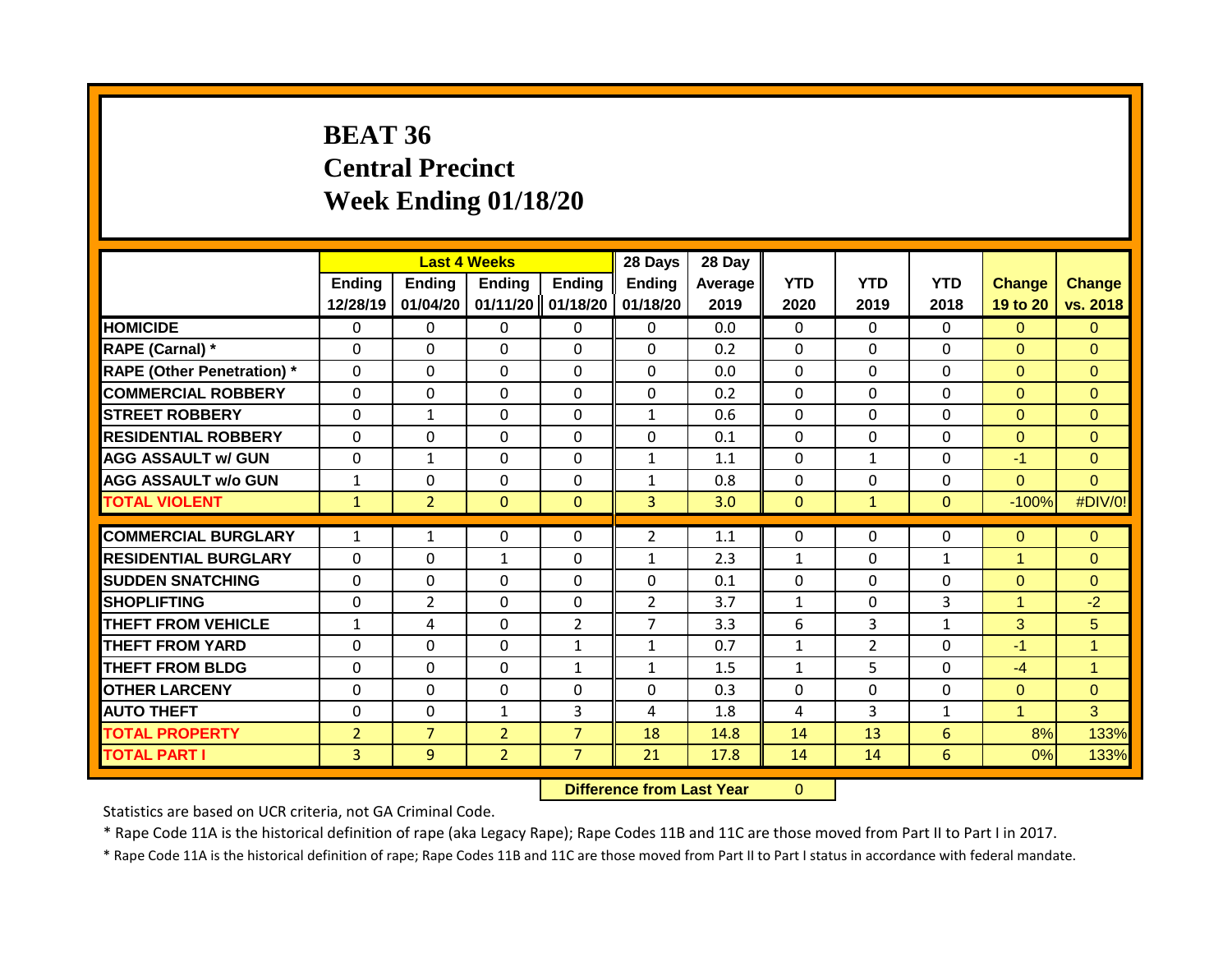# **BEAT 36 Central Precinct Week Ending 01/18/20**

|                                   |                           | <b>Last 4 Weeks</b> |                           |                           | 28 Days            | 28 Day          |                    |                    |                    |                           |                           |
|-----------------------------------|---------------------------|---------------------|---------------------------|---------------------------|--------------------|-----------------|--------------------|--------------------|--------------------|---------------------------|---------------------------|
|                                   | <b>Ending</b><br>12/28/19 | Ending<br>01/04/20  | <b>Ending</b><br>01/11/20 | <b>Ending</b><br>01/18/20 | Ending<br>01/18/20 | Average<br>2019 | <b>YTD</b><br>2020 | <b>YTD</b><br>2019 | <b>YTD</b><br>2018 | <b>Change</b><br>19 to 20 | <b>Change</b><br>vs. 2018 |
| <b>HOMICIDE</b>                   | $\Omega$                  | 0                   | 0                         | $\mathbf{0}$              | $\mathbf{0}$       | 0.0             | $\Omega$           | $\Omega$           | $\Omega$           | $\Omega$                  | $\Omega$                  |
| RAPE (Carnal) *                   | $\Omega$                  | $\Omega$            | $\Omega$                  | $\Omega$                  | $\Omega$           | 0.2             | $\mathbf{0}$       | $\Omega$           | $\Omega$           | $\Omega$                  | $\Omega$                  |
| <b>RAPE (Other Penetration) *</b> | $\mathbf{0}$              | $\Omega$            | 0                         | $\Omega$                  | $\Omega$           | 0.0             | $\mathbf{0}$       | $\Omega$           | $\Omega$           | $\Omega$                  | $\Omega$                  |
| <b>COMMERCIAL ROBBERY</b>         | $\Omega$                  | $\Omega$            | $\Omega$                  | $\mathbf{0}$              | $\Omega$           | 0.2             | $\mathbf{0}$       | $\Omega$           | $\Omega$           | $\Omega$                  | $\Omega$                  |
| <b>STREET ROBBERY</b>             | $\Omega$                  | $\mathbf{1}$        | $\Omega$                  | $\Omega$                  | $\mathbf{1}$       | 0.6             | $\mathbf{0}$       | $\Omega$           | $\Omega$           | $\Omega$                  | $\Omega$                  |
| <b>RESIDENTIAL ROBBERY</b>        | $\Omega$                  | $\Omega$            | $\Omega$                  | $\Omega$                  | $\Omega$           | 0.1             | $\mathbf{0}$       | $\Omega$           | $\Omega$           | $\Omega$                  | $\Omega$                  |
| <b>AGG ASSAULT w/ GUN</b>         | $\mathbf{0}$              | $\mathbf{1}$        | $\Omega$                  | $\mathbf{0}$              | $\mathbf{1}$       | 1.1             | $\Omega$           | $\mathbf{1}$       | $\Omega$           | $-1$                      | $\Omega$                  |
| <b>AGG ASSAULT w/o GUN</b>        | $\mathbf{1}$              | $\Omega$            | $\Omega$                  | $\mathbf{0}$              | $\mathbf{1}$       | 0.8             | $\mathbf{0}$       | $\Omega$           | 0                  | $\Omega$                  | $\Omega$                  |
| <b>TOTAL VIOLENT</b>              | $\mathbf{1}$              | $\overline{2}$      | $\Omega$                  | $\mathbf{0}$              | 3                  | 3.0             | $\mathbf{0}$       | $\mathbf{1}$       | $\Omega$           | $-100%$                   | #DIV/0!                   |
|                                   |                           |                     |                           |                           |                    |                 |                    |                    |                    |                           |                           |
| <b>COMMERCIAL BURGLARY</b>        | $\mathbf{1}$              | $\mathbf{1}$        | 0                         | $\Omega$                  | $\overline{2}$     | 1.1             | $\mathbf{0}$       | 0                  | 0                  | $\Omega$                  | $\Omega$                  |
| <b>RESIDENTIAL BURGLARY</b>       | $\mathbf 0$               | 0                   | $\mathbf{1}$              | $\mathbf 0$               | 1                  | 2.3             | $\mathbf{1}$       | $\Omega$           | $\mathbf{1}$       | 1                         | $\overline{0}$            |
| <b>SUDDEN SNATCHING</b>           | $\Omega$                  | $\Omega$            | $\Omega$                  | $\Omega$                  | $\Omega$           | 0.1             | $\Omega$           | $\Omega$           | $\Omega$           | $\Omega$                  | $\Omega$                  |
| <b>SHOPLIFTING</b>                | $\Omega$                  | $\overline{2}$      | 0                         | $\mathbf 0$               | $\overline{2}$     | 3.7             | $\mathbf{1}$       | $\Omega$           | 3                  | 1                         | $-2$                      |
| <b>THEFT FROM VEHICLE</b>         | $\mathbf{1}$              | 4                   | $\Omega$                  | $\overline{2}$            | 7                  | 3.3             | 6                  | 3                  | $\mathbf{1}$       | 3                         | 5                         |
| <b>THEFT FROM YARD</b>            | $\Omega$                  | 0                   | $\Omega$                  | 1                         | $\mathbf{1}$       | 0.7             | $\mathbf{1}$       | $\overline{2}$     | $\Omega$           | $-1$                      | $\mathbf{1}$              |
| <b>THEFT FROM BLDG</b>            | 0                         | 0                   | 0                         | 1                         | $\mathbf{1}$       | 1.5             | 1                  | 5.                 | $\Omega$           | $-4$                      | $\blacktriangleleft$      |
| <b>OTHER LARCENY</b>              | $\Omega$                  | 0                   | 0                         | $\mathbf{0}$              | $\Omega$           | 0.3             | $\Omega$           | $\Omega$           | 0                  | $\Omega$                  | $\Omega$                  |
| <b>AUTO THEFT</b>                 | 0                         | $\Omega$            | $\mathbf{1}$              | 3                         | 4                  | 1.8             | 4                  | 3                  | $\mathbf{1}$       | 1                         | 3                         |
| <b>TOTAL PROPERTY</b>             | $\overline{2}$            | $\overline{7}$      | $\overline{2}$            | $\overline{7}$            | 18                 | 14.8            | 14                 | 13                 | 6                  | 8%                        | 133%                      |
| <b>TOTAL PART I</b>               | $\overline{\mathbf{3}}$   | 9                   | $\overline{2}$            | $\overline{7}$            | 21                 | 17.8            | 14                 | 14                 | 6                  | 0%                        | 133%                      |

**Difference from Last Year** 0

Statistics are based on UCR criteria, not GA Criminal Code.

\* Rape Code 11A is the historical definition of rape (aka Legacy Rape); Rape Codes 11B and 11C are those moved from Part II to Part I in 2017.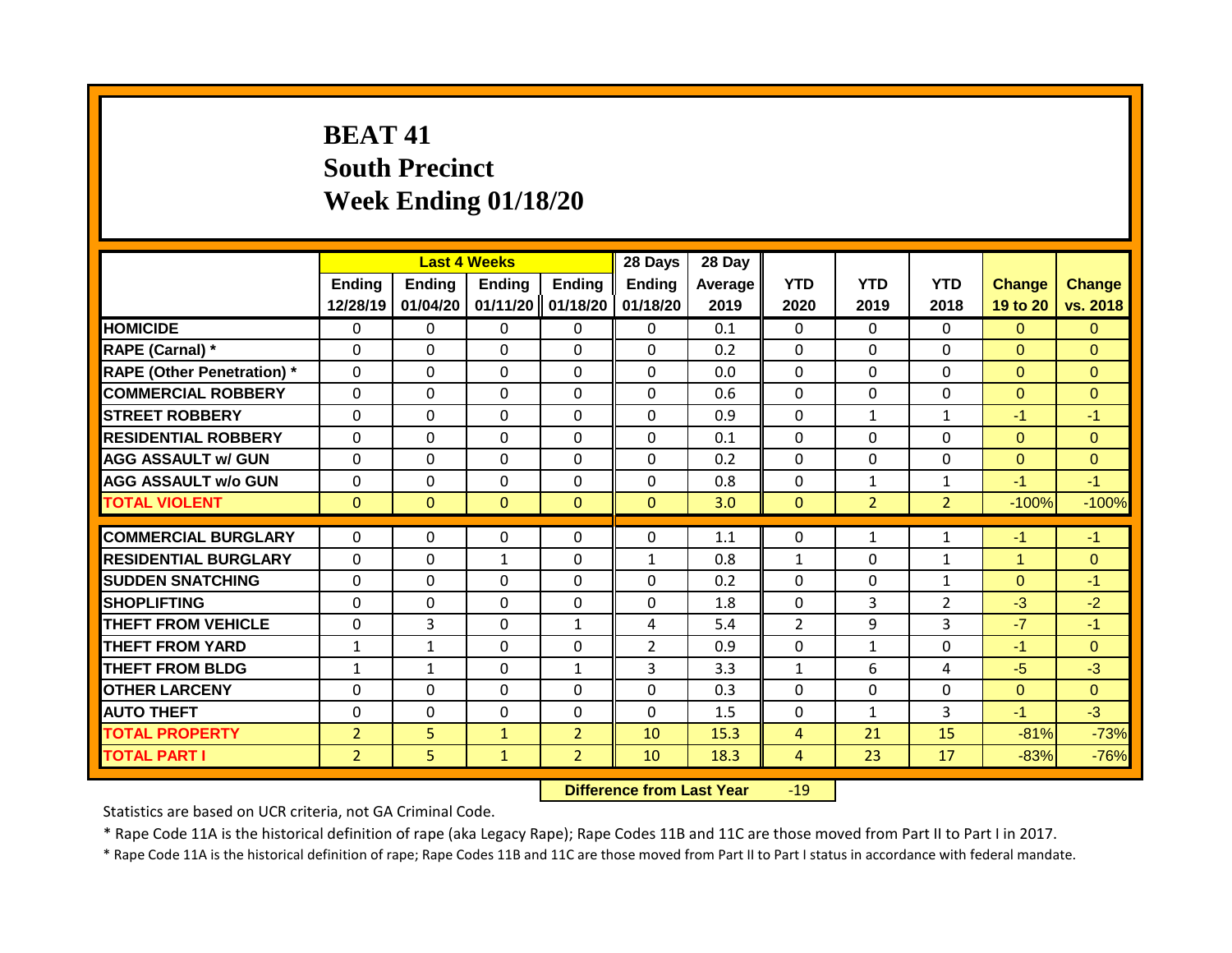# **BEAT 41 South Precinct Week Ending 01/18/20**

|                                   |                           | <b>Last 4 Weeks</b>       |                           |                           | 28 Days                   | 28 Day          |                    |                    |                    |                           |                           |
|-----------------------------------|---------------------------|---------------------------|---------------------------|---------------------------|---------------------------|-----------------|--------------------|--------------------|--------------------|---------------------------|---------------------------|
|                                   | <b>Ending</b><br>12/28/19 | <b>Ending</b><br>01/04/20 | <b>Ending</b><br>01/11/20 | <b>Ending</b><br>01/18/20 | <b>Ending</b><br>01/18/20 | Average<br>2019 | <b>YTD</b><br>2020 | <b>YTD</b><br>2019 | <b>YTD</b><br>2018 | <b>Change</b><br>19 to 20 | <b>Change</b><br>vs. 2018 |
| <b>HOMICIDE</b>                   | 0                         | 0                         | 0                         | $\mathbf{0}$              | $\mathbf{0}$              | 0.1             | $\Omega$           | $\Omega$           | $\Omega$           | $\Omega$                  | $\Omega$                  |
| RAPE (Carnal) *                   | $\Omega$                  | $\Omega$                  | 0                         | $\mathbf 0$               | $\mathbf 0$               | 0.2             | $\mathbf 0$        | $\Omega$           | 0                  | $\Omega$                  | $\mathbf{0}$              |
| <b>RAPE (Other Penetration)</b> * | $\mathbf 0$               | 0                         | 0                         | $\mathbf 0$               | $\mathbf 0$               | 0.0             | $\mathbf 0$        | $\Omega$           | $\Omega$           | $\Omega$                  | $\overline{0}$            |
| <b>COMMERCIAL ROBBERY</b>         | $\mathbf 0$               | 0                         | 0                         | $\mathbf 0$               | $\mathbf 0$               | 0.6             | $\mathbf 0$        | $\Omega$           | $\Omega$           | $\Omega$                  | $\overline{0}$            |
| <b>STREET ROBBERY</b>             | $\Omega$                  | $\Omega$                  | $\Omega$                  | $\mathbf 0$               | $\mathbf 0$               | 0.9             | $\mathbf 0$        | $\mathbf{1}$       | $\mathbf{1}$       | $-1$                      | $-1$                      |
| <b>RESIDENTIAL ROBBERY</b>        | $\mathbf{0}$              | $\Omega$                  | $\Omega$                  | $\mathbf{0}$              | $\Omega$                  | 0.1             | $\mathbf 0$        | $\Omega$           | 0                  | $\Omega$                  | $\Omega$                  |
| <b>AGG ASSAULT w/ GUN</b>         | $\mathbf{0}$              | 0                         | $\Omega$                  | $\Omega$                  | $\Omega$                  | 0.2             | $\Omega$           | $\Omega$           | $\Omega$           | $\Omega$                  | $\Omega$                  |
| <b>AGG ASSAULT w/o GUN</b>        | $\mathbf{0}$              | 0                         | 0                         | $\mathbf{0}$              | $\mathbf{0}$              | 0.8             | $\mathbf{0}$       | $\mathbf{1}$       | 1                  | $-1$                      | $-1$                      |
| <b>TOTAL VIOLENT</b>              | $\Omega$                  | $\Omega$                  | $\Omega$                  | $\mathbf{0}$              | $\mathbf{0}$              | 3.0             | $\mathbf{0}$       | $\overline{2}$     | $\overline{2}$     | $-100%$                   | $-100%$                   |
| <b>COMMERCIAL BURGLARY</b>        | $\Omega$                  | $\Omega$                  | 0                         | $\Omega$                  | 0                         | 1.1             | $\Omega$           | $\mathbf{1}$       | 1                  | $-1$                      | $-1$                      |
| <b>RESIDENTIAL BURGLARY</b>       | $\mathbf{0}$              | $\Omega$                  | $\mathbf{1}$              | $\Omega$                  |                           | 0.8             | $\mathbf{1}$       | $\Omega$           | 1                  | 1                         | $\Omega$                  |
| <b>SUDDEN SNATCHING</b>           | $\Omega$                  | $\Omega$                  | $\Omega$                  | $\Omega$                  | $\mathbf{1}$<br>$\Omega$  | 0.2             | $\mathbf{0}$       | $\Omega$           | $\mathbf{1}$       | $\Omega$                  | $-1$                      |
| SHOPLIFTING                       | $\Omega$                  | $\Omega$                  | $\Omega$                  | $\Omega$                  | $\Omega$                  | 1.8             | $\mathbf{0}$       | 3                  | $\overline{2}$     | $-3$                      | $-2$                      |
| <b>THEFT FROM VEHICLE</b>         | $\Omega$                  | 3                         | $\Omega$                  | $\mathbf{1}$              | 4                         | 5.4             | $\overline{2}$     | 9                  | 3                  | $-7$                      | $-1$                      |
| <b>THEFT FROM YARD</b>            | $\mathbf{1}$              | $\mathbf{1}$              | $\Omega$                  | $\mathbf{0}$              | $\overline{2}$            | 0.9             | $\Omega$           | $\mathbf{1}$       | $\Omega$           | $-1$                      | $\Omega$                  |
| <b>THEFT FROM BLDG</b>            | $\mathbf{1}$              | $\mathbf{1}$              | 0                         | 1                         | 3                         | 3.3             | $\mathbf{1}$       | 6                  | 4                  | $-5$                      | $-3$                      |
| <b>OTHER LARCENY</b>              | $\Omega$                  | 0                         | $\Omega$                  | $\mathbf{0}$              | $\Omega$                  | 0.3             | $\Omega$           | $\Omega$           | $\Omega$           | $\Omega$                  | $\Omega$                  |
| <b>AUTO THEFT</b>                 | $\Omega$                  | $\Omega$                  | $\Omega$                  | $\mathbf 0$               | 0                         | 1.5             | $\mathbf 0$        | $\mathbf{1}$       | 3                  | $-1$                      | $-3$                      |
| <b>TOTAL PROPERTY</b>             | $\overline{2}$            | 5                         | $\mathbf{1}$              | $\overline{2}$            | 10                        | 15.3            | 4                  | 21                 | 15                 | $-81%$                    | $-73%$                    |
| <b>TOTAL PART I</b>               | $\overline{2}$            | 5                         | $\mathbf{1}$              | $\overline{2}$            | 10                        | 18.3            | 4                  | 23                 | 17                 | $-83%$                    | $-76%$                    |

**Difference from Last Year** -19

Statistics are based on UCR criteria, not GA Criminal Code.

\* Rape Code 11A is the historical definition of rape (aka Legacy Rape); Rape Codes 11B and 11C are those moved from Part II to Part I in 2017.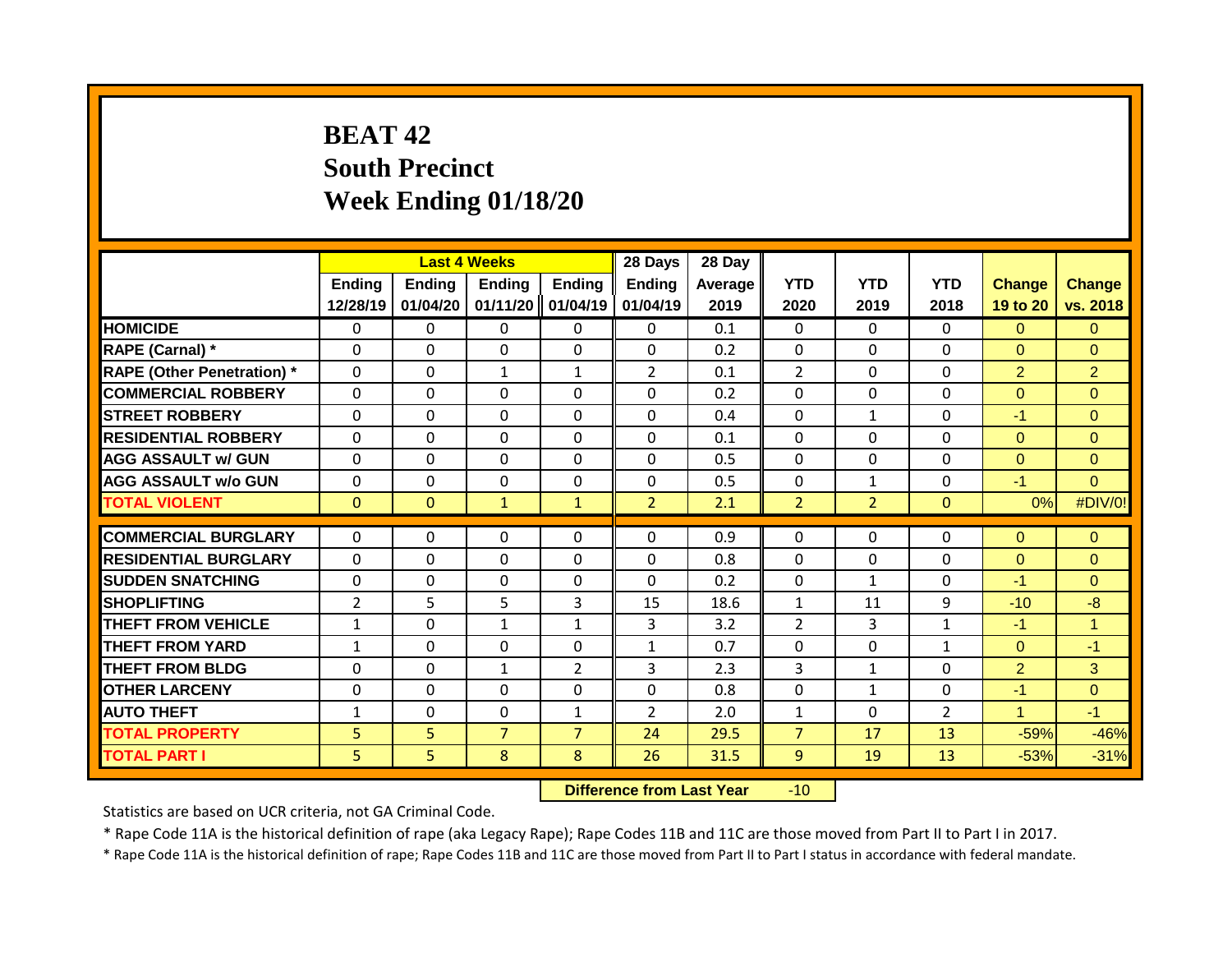# **BEAT 42 South Precinct Week Ending 01/18/20**

|                                   |                           |                    | <b>Last 4 Weeks</b>       |                    | 28 Days            | 28 Day          |                    |                    |                    |                           |                           |
|-----------------------------------|---------------------------|--------------------|---------------------------|--------------------|--------------------|-----------------|--------------------|--------------------|--------------------|---------------------------|---------------------------|
|                                   | <b>Ending</b><br>12/28/19 | Ending<br>01/04/20 | <b>Ending</b><br>01/11/20 | Ending<br>01/04/19 | Ending<br>01/04/19 | Average<br>2019 | <b>YTD</b><br>2020 | <b>YTD</b><br>2019 | <b>YTD</b><br>2018 | <b>Change</b><br>19 to 20 | <b>Change</b><br>vs. 2018 |
| <b>HOMICIDE</b>                   | $\Omega$                  | 0                  | 0                         | $\mathbf{0}$       | $\mathbf{0}$       | 0.1             | $\mathbf 0$        | $\Omega$           | $\Omega$           | $\Omega$                  | $\overline{0}$            |
| RAPE (Carnal) *                   | $\Omega$                  | $\Omega$           | 0                         | $\mathbf{0}$       | 0                  | 0.2             | $\mathbf 0$        | $\Omega$           | $\Omega$           | $\Omega$                  | $\Omega$                  |
| <b>RAPE (Other Penetration) *</b> | $\mathbf 0$               | $\Omega$           | $\mathbf{1}$              | $\mathbf{1}$       | $\overline{2}$     | 0.1             | $\overline{2}$     | $\Omega$           | 0                  | $\overline{2}$            | $\overline{2}$            |
| <b>COMMERCIAL ROBBERY</b>         | $\Omega$                  | $\Omega$           | $\Omega$                  | $\mathbf{0}$       | 0                  | 0.2             | $\Omega$           | $\Omega$           | $\Omega$           | $\Omega$                  | $\Omega$                  |
| <b>STREET ROBBERY</b>             | $\Omega$                  | 0                  | $\Omega$                  | $\Omega$           | $\Omega$           | 0.4             | $\Omega$           | $\mathbf{1}$       | $\Omega$           | $-1$                      | $\Omega$                  |
| <b>RESIDENTIAL ROBBERY</b>        | $\Omega$                  | 0                  | $\Omega$                  | $\Omega$           | $\Omega$           | 0.1             | $\Omega$           | $\Omega$           | $\Omega$           | $\Omega$                  | $\Omega$                  |
| <b>AGG ASSAULT w/ GUN</b>         | 0                         | 0                  | $\Omega$                  | $\mathbf{0}$       | $\Omega$           | 0.5             | $\Omega$           | $\Omega$           | $\Omega$           | $\Omega$                  | $\Omega$                  |
| <b>AGG ASSAULT w/o GUN</b>        | 0                         | 0                  | 0                         | 0                  | $\Omega$           | 0.5             | 0                  | $\mathbf{1}$       | $\Omega$           | $-1$                      | $\Omega$                  |
| <b>TOTAL VIOLENT</b>              | $\mathbf{0}$              | $\mathbf{0}$       | $\mathbf{1}$              | $\mathbf{1}$       | $\overline{2}$     | 2.1             | $\overline{2}$     | $\overline{2}$     | $\mathbf{0}$       | 0%                        | #DIV/0!                   |
|                                   |                           |                    |                           |                    |                    |                 |                    |                    |                    |                           |                           |
| <b>COMMERCIAL BURGLARY</b>        | $\Omega$                  | 0                  | $\Omega$                  | $\mathbf{0}$       | $\Omega$           | 0.9             | $\Omega$           | $\Omega$           | $\Omega$           | $\Omega$                  | $\Omega$                  |
| <b>RESIDENTIAL BURGLARY</b>       | $\Omega$                  | $\Omega$           | $\Omega$                  | $\mathbf{0}$       | $\Omega$           | 0.8             | $\mathbf{0}$       | $\Omega$           | $\Omega$           | $\Omega$                  | $\Omega$                  |
| <b>SUDDEN SNATCHING</b>           | $\Omega$                  | $\Omega$           | $\Omega$                  | $\mathbf{0}$       | $\Omega$           | 0.2             | $\mathbf{0}$       | $\mathbf{1}$       | 0                  | $-1$                      | $\Omega$                  |
| <b>SHOPLIFTING</b>                | $\overline{2}$            | 5                  | 5                         | 3                  | 15                 | 18.6            | $\mathbf{1}$       | 11                 | 9                  | $-10$                     | $-8$                      |
| <b>THEFT FROM VEHICLE</b>         | $\mathbf{1}$              | $\Omega$           | $\mathbf{1}$              | 1                  | 3                  | 3.2             | $\overline{2}$     | $\mathbf{3}$       | $\mathbf{1}$       | $-1$                      | $\blacktriangleleft$      |
| <b>THEFT FROM YARD</b>            | $\mathbf{1}$              | 0                  | $\Omega$                  | $\mathbf{0}$       | $\mathbf{1}$       | 0.7             | $\Omega$           | $\Omega$           | $\mathbf{1}$       | $\Omega$                  | $-1$                      |
| <b>THEFT FROM BLDG</b>            | 0                         | 0                  | $\mathbf{1}$              | $\overline{2}$     | 3                  | 2.3             | 3                  | $\mathbf{1}$       | $\Omega$           | $\overline{2}$            | 3                         |
| <b>OTHER LARCENY</b>              | 0                         | 0                  | 0                         | $\Omega$           | 0                  | 0.8             | $\Omega$           | $\mathbf{1}$       | 0                  | $-1$                      | $\Omega$                  |
| <b>AUTO THEFT</b>                 | $\mathbf{1}$              | 0                  | 0                         | 1                  | $\overline{2}$     | 2.0             | 1                  | $\Omega$           | $\overline{2}$     | 4                         | $-1$                      |
| <b>TOTAL PROPERTY</b>             | 5                         | 5                  | $\overline{7}$            | $\overline{7}$     | 24                 | 29.5            | $\overline{7}$     | 17                 | 13                 | $-59%$                    | $-46%$                    |
| <b>TOTAL PART I</b>               | 5                         | 5                  | 8                         | 8                  | 26                 | 31.5            | 9                  | 19                 | 13                 | $-53%$                    | $-31%$                    |

**Difference from Last Year** -10

Statistics are based on UCR criteria, not GA Criminal Code.

\* Rape Code 11A is the historical definition of rape (aka Legacy Rape); Rape Codes 11B and 11C are those moved from Part II to Part I in 2017.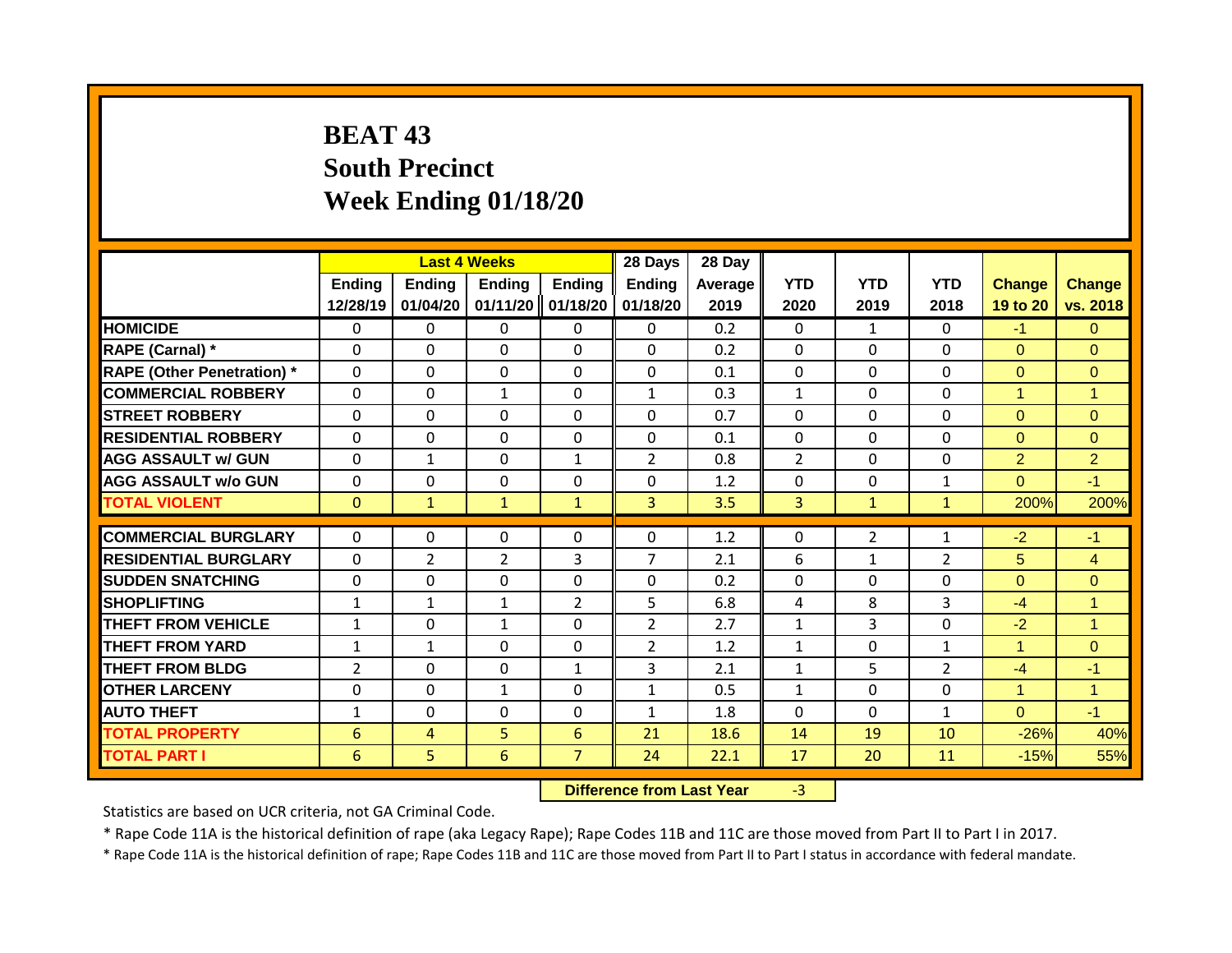# **BEAT 43 South Precinct Week Ending 01/18/20**

|                                   |                           | <b>Last 4 Weeks</b> |                           |                    | 28 Days            | 28 Day          |                    |                    |                    |                           |                           |
|-----------------------------------|---------------------------|---------------------|---------------------------|--------------------|--------------------|-----------------|--------------------|--------------------|--------------------|---------------------------|---------------------------|
|                                   | <b>Ending</b><br>12/28/19 | Ending<br>01/04/20  | <b>Ending</b><br>01/11/20 | Ending<br>01/18/20 | Ending<br>01/18/20 | Average<br>2019 | <b>YTD</b><br>2020 | <b>YTD</b><br>2019 | <b>YTD</b><br>2018 | <b>Change</b><br>19 to 20 | <b>Change</b><br>vs. 2018 |
| <b>HOMICIDE</b>                   | $\mathbf 0$               | 0                   | 0                         | $\mathbf{0}$       | $\mathbf{0}$       | 0.2             | $\mathbf 0$        | $\mathbf{1}$       | $\Omega$           | $-1$                      | $\overline{0}$            |
| RAPE (Carnal) *                   | $\Omega$                  | $\Omega$            | $\Omega$                  | $\mathbf{0}$       | 0                  | 0.2             | $\mathbf 0$        | $\Omega$           | $\Omega$           | $\Omega$                  | $\Omega$                  |
| <b>RAPE (Other Penetration) *</b> | $\mathbf 0$               | 0                   | 0                         | $\mathbf 0$        | $\mathbf 0$        | 0.1             | $\mathbf 0$        | $\Omega$           | 0                  | $\Omega$                  | $\overline{0}$            |
| <b>COMMERCIAL ROBBERY</b>         | $\Omega$                  | $\Omega$            | $\mathbf{1}$              | $\mathbf{0}$       | 1                  | 0.3             | $\mathbf{1}$       | $\Omega$           | $\Omega$           | 1                         | $\overline{1}$            |
| <b>STREET ROBBERY</b>             | $\Omega$                  | 0                   | $\Omega$                  | $\Omega$           | $\Omega$           | 0.7             | $\Omega$           | $\Omega$           | $\Omega$           | $\Omega$                  | $\Omega$                  |
| <b>RESIDENTIAL ROBBERY</b>        | $\Omega$                  | 0                   | $\Omega$                  | $\mathbf{0}$       | $\Omega$           | 0.1             | $\Omega$           | $\Omega$           | $\Omega$           | $\Omega$                  | $\Omega$                  |
| <b>AGG ASSAULT w/ GUN</b>         | 0                         | $\mathbf{1}$        | $\Omega$                  | $\mathbf{1}$       | $\overline{2}$     | 0.8             | $\overline{2}$     | $\Omega$           | 0                  | $\overline{2}$            | $\overline{2}$            |
| <b>AGG ASSAULT w/o GUN</b>        | 0                         | 0                   | 0                         | 0                  | $\Omega$           | 1.2             | 0                  | $\Omega$           | $\mathbf{1}$       | $\Omega$                  | $-1$                      |
| <b>TOTAL VIOLENT</b>              | $\mathbf{0}$              | $\mathbf{1}$        | $\mathbf{1}$              | $\mathbf{1}$       | $\overline{3}$     | 3.5             | $\overline{3}$     | $\mathbf{1}$       | $\mathbf{1}$       | 200%                      | 200%                      |
| <b>COMMERCIAL BURGLARY</b>        | $\Omega$                  | 0                   | $\Omega$                  | $\Omega$           | $\Omega$           | 1.2             | $\Omega$           | $\overline{2}$     | 1                  | $-2$                      | $-1$                      |
| <b>RESIDENTIAL BURGLARY</b>       | $\Omega$                  | 2                   | $\overline{2}$            | 3                  | 7                  | 2.1             | 6                  | $\mathbf{1}$       | 2                  | 5                         | $\overline{4}$            |
| <b>SUDDEN SNATCHING</b>           | $\Omega$                  | $\Omega$            | $\Omega$                  | $\mathbf{0}$       | $\Omega$           | 0.2             | $\Omega$           | $\Omega$           | $\Omega$           | $\Omega$                  | $\Omega$                  |
| <b>SHOPLIFTING</b>                | $\mathbf{1}$              | $\mathbf{1}$        | $\mathbf{1}$              | $\overline{2}$     | 5                  | 6.8             | 4                  | 8                  | 3                  | $-4$                      | $\mathbf{1}$              |
| <b>THEFT FROM VEHICLE</b>         | $\mathbf{1}$              | $\Omega$            | $\mathbf{1}$              | $\mathbf{0}$       | $\overline{2}$     | 2.7             | $\mathbf{1}$       | 3                  | $\Omega$           | $-2$                      | $\blacktriangleleft$      |
| <b>THEFT FROM YARD</b>            | $\mathbf{1}$              | $\mathbf{1}$        | $\Omega$                  | $\Omega$           | $\overline{2}$     | 1.2             | $\mathbf{1}$       | $\Omega$           | $\mathbf{1}$       | 1                         | $\Omega$                  |
| <b>THEFT FROM BLDG</b>            | $\overline{2}$            | 0                   | 0                         | 1                  | 3                  | 2.1             | 1                  | 5                  | $\overline{2}$     | $-4$                      | $-1$                      |
| <b>OTHER LARCENY</b>              | 0                         | 0                   | $\mathbf{1}$              | 0                  | 1                  | 0.5             | $\mathbf{1}$       | $\Omega$           | 0                  | 4                         | $\overline{1}$            |
| <b>AUTO THEFT</b>                 | 1                         | 0                   | 0                         | 0                  | $\mathbf{1}$       | 1.8             | $\Omega$           | $\Omega$           | $\mathbf{1}$       | $\Omega$                  | $-1$                      |
| <b>TOTAL PROPERTY</b>             | 6                         | 4                   | 5                         | 6                  | 21                 | 18.6            | 14                 | 19                 | 10                 | $-26%$                    | 40%                       |
| <b>TOTAL PART I</b>               | 6                         | 5                   | 6                         | $\overline{7}$     | 24                 | 22.1            | 17                 | 20                 | 11                 | $-15%$                    | 55%                       |
|                                   |                           |                     |                           |                    |                    |                 |                    |                    |                    |                           |                           |

**Difference from Last Year** -3

Statistics are based on UCR criteria, not GA Criminal Code.

\* Rape Code 11A is the historical definition of rape (aka Legacy Rape); Rape Codes 11B and 11C are those moved from Part II to Part I in 2017.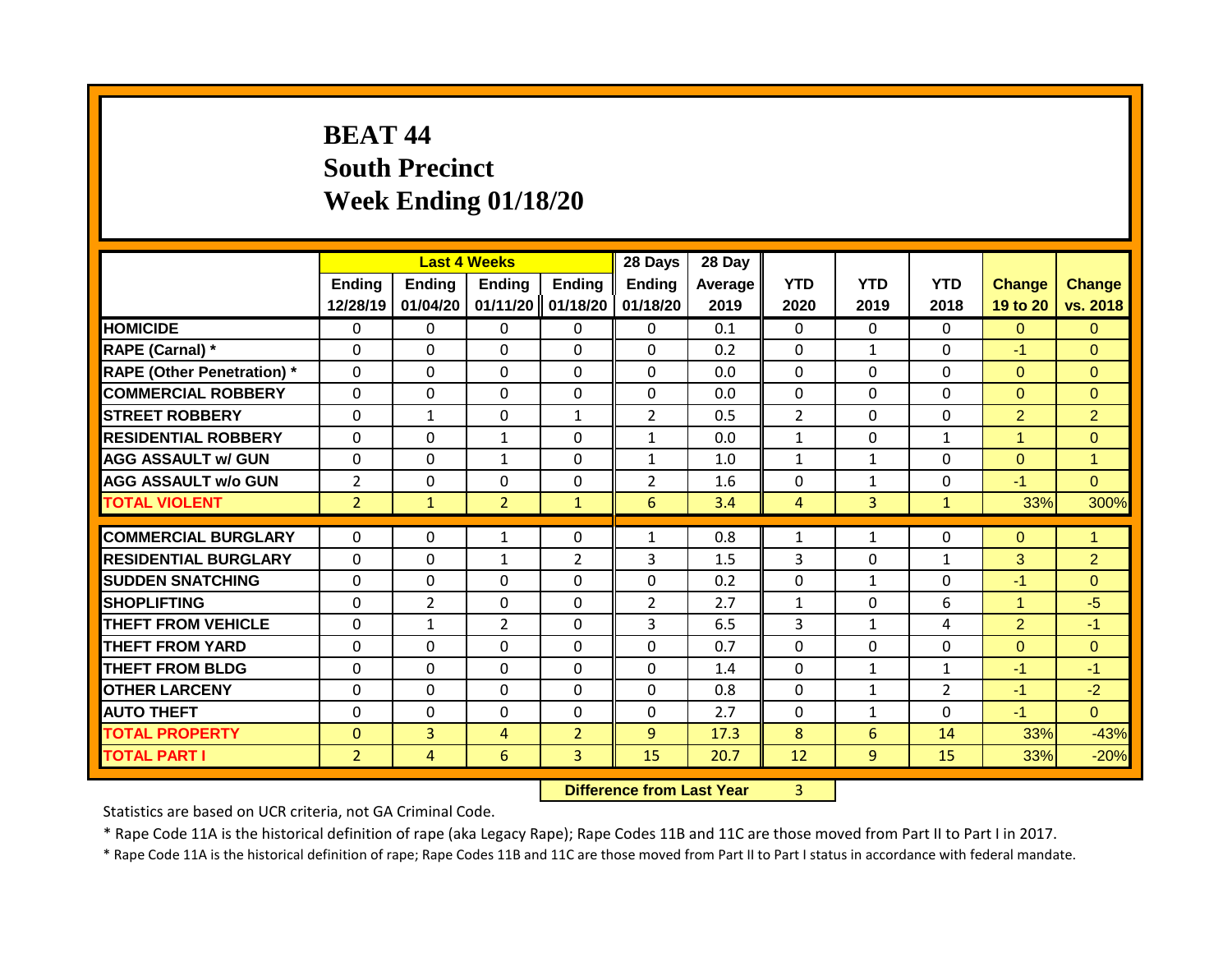# **BEAT 44 South Precinct Week Ending 01/18/20**

|                                   |                    | <b>Last 4 Weeks</b> |                           |                           | 28 Days            | 28 Day          |                    |                    |                    |                           |                           |
|-----------------------------------|--------------------|---------------------|---------------------------|---------------------------|--------------------|-----------------|--------------------|--------------------|--------------------|---------------------------|---------------------------|
|                                   | Ending<br>12/28/19 | Ending<br>01/04/20  | <b>Ending</b><br>01/11/20 | <b>Ending</b><br>01/18/20 | Ending<br>01/18/20 | Average<br>2019 | <b>YTD</b><br>2020 | <b>YTD</b><br>2019 | <b>YTD</b><br>2018 | <b>Change</b><br>19 to 20 | <b>Change</b><br>vs. 2018 |
| <b>HOMICIDE</b>                   | $\Omega$           | 0                   | 0                         | $\mathbf{0}$              | $\mathbf{0}$       | 0.1             | $\mathbf{0}$       | 0                  | 0                  | $\Omega$                  | $\Omega$                  |
| RAPE (Carnal) *                   | $\Omega$           | 0                   | 0                         | $\Omega$                  | $\Omega$           | 0.2             | $\mathbf{0}$       | $\mathbf{1}$       | $\Omega$           | $-1$                      | $\Omega$                  |
| <b>RAPE (Other Penetration) *</b> | $\mathbf 0$        | 0                   | 0                         | $\mathbf{0}$              | $\mathbf 0$        | 0.0             | $\Omega$           | $\Omega$           | $\Omega$           | $\overline{0}$            | $\Omega$                  |
| <b>COMMERCIAL ROBBERY</b>         | $\Omega$           | 0                   | $\Omega$                  | $\mathbf{0}$              | $\Omega$           | 0.0             | $\mathbf{0}$       | $\Omega$           | $\Omega$           | $\Omega$                  | $\Omega$                  |
| <b>STREET ROBBERY</b>             | $\Omega$           | 1                   | 0                         | $\mathbf{1}$              | $\overline{2}$     | 0.5             | $\overline{2}$     | $\Omega$           | 0                  | $\overline{2}$            | $\overline{2}$            |
| <b>RESIDENTIAL ROBBERY</b>        | $\Omega$           | 0                   | $\mathbf{1}$              | $\mathbf{0}$              | $\mathbf{1}$       | 0.0             | $\mathbf{1}$       | $\Omega$           | $\mathbf{1}$       | $\blacktriangleleft$      | $\Omega$                  |
| <b>AGG ASSAULT w/ GUN</b>         | $\Omega$           | 0                   | $\mathbf{1}$              | $\mathbf{0}$              | 1                  | 1.0             | 1                  | $\mathbf{1}$       | 0                  | $\mathbf{0}$              | $\overline{1}$            |
| <b>AGG ASSAULT w/o GUN</b>        | $\overline{2}$     | 0                   | $\Omega$                  | 0                         | $\overline{2}$     | 1.6             | 0                  | 1                  | 0                  | $-1$                      | $\Omega$                  |
| <b>TOTAL VIOLENT</b>              | $\overline{2}$     | $\mathbf{1}$        | $\overline{2}$            | $\mathbf{1}$              | 6                  | 3.4             | 4                  | 3                  | $\mathbf{1}$       | 33%                       | 300%                      |
|                                   |                    |                     |                           |                           |                    |                 |                    |                    |                    |                           |                           |
| <b>COMMERCIAL BURGLARY</b>        | $\Omega$           | 0                   | $\mathbf{1}$              | $\mathbf{0}$              | $\mathbf{1}$       | 0.8             | 1                  | 1                  | 0                  | $\Omega$                  | $\blacktriangleleft$      |
| <b>RESIDENTIAL BURGLARY</b>       | $\Omega$           | 0                   | $\mathbf{1}$              | $\overline{2}$            | 3                  | 1.5             | 3                  | $\Omega$           | $\mathbf{1}$       | 3                         | $\overline{2}$            |
| <b>SUDDEN SNATCHING</b>           | $\Omega$           | 0                   | $\Omega$                  | $\mathbf{0}$              | $\Omega$           | 0.2             | $\Omega$           | 1                  | 0                  | $-1$                      | $\Omega$                  |
| <b>SHOPLIFTING</b>                | $\Omega$           | 2                   | 0                         | $\mathbf{0}$              | $\overline{2}$     | 2.7             | 1                  | $\Omega$           | 6                  | $\blacktriangleleft$      | $-5$                      |
| <b>THEFT FROM VEHICLE</b>         | $\Omega$           | $\mathbf{1}$        | $\overline{2}$            | $\mathbf{0}$              | 3                  | 6.5             | 3                  | $\mathbf{1}$       | 4                  | $\overline{2}$            | $-1$                      |
| <b>THEFT FROM YARD</b>            | 0                  | 0                   | 0                         | 0                         | $\Omega$           | 0.7             | $\Omega$           | $\Omega$           | 0                  | $\Omega$                  | $\mathbf{0}$              |
| <b>THEFT FROM BLDG</b>            | $\Omega$           | 0                   | 0                         | $\Omega$                  | 0                  | 1.4             | $\Omega$           | $\mathbf{1}$       | $\mathbf{1}$       | $-1$                      | $-1$                      |
| <b>OTHER LARCENY</b>              | 0                  | 0                   | 0                         | 0                         | 0                  | 0.8             | 0                  | $\mathbf{1}$       | $\overline{2}$     | $-1$                      | $-2$                      |
| <b>AUTO THEFT</b>                 | 0                  | 0                   | 0                         | 0                         | 0                  | 2.7             | $\Omega$           | 1                  | 0                  | $-1$                      | $\Omega$                  |
| <b>TOTAL PROPERTY</b>             | $\mathbf{0}$       | $\overline{3}$      | 4                         | $\overline{2}$            | 9                  | 17.3            | 8                  | 6                  | 14                 | 33%                       | $-43%$                    |
| <b>TOTAL PART I</b>               | $\overline{2}$     | 4                   | 6                         | 3                         | 15                 | 20.7            | 12                 | 9                  | 15                 | 33%                       | $-20%$                    |

#### **Difference from Last Year** 3

Statistics are based on UCR criteria, not GA Criminal Code.

\* Rape Code 11A is the historical definition of rape (aka Legacy Rape); Rape Codes 11B and 11C are those moved from Part II to Part I in 2017.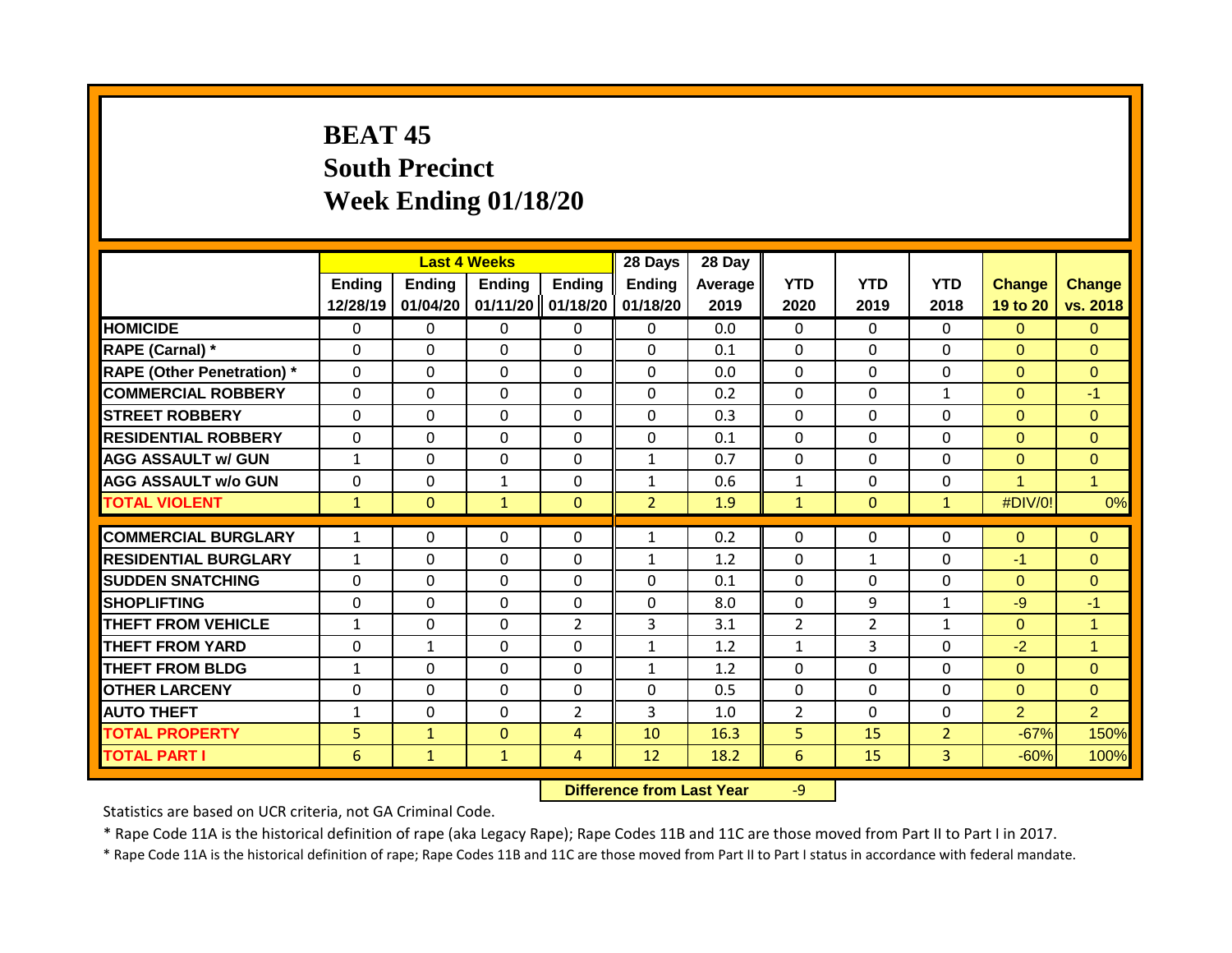# **BEAT 45 South Precinct Week Ending 01/18/20**

|                                   |                | <b>Last 4 Weeks</b> |               |                | 28 Days        | 28 Day  |                |                |                |                |                |
|-----------------------------------|----------------|---------------------|---------------|----------------|----------------|---------|----------------|----------------|----------------|----------------|----------------|
|                                   | <b>Ending</b>  | <b>Ending</b>       | <b>Ending</b> | <b>Ending</b>  | <b>Ending</b>  | Average | <b>YTD</b>     | <b>YTD</b>     | <b>YTD</b>     | <b>Change</b>  | <b>Change</b>  |
|                                   | 12/28/19       | 01/04/20            | 01/11/20      | 01/18/20       | 01/18/20       | 2019    | 2020           | 2019           | 2018           | 19 to 20       | vs. 2018       |
| <b>HOMICIDE</b>                   | 0              | 0                   | 0             | $\mathbf{0}$   | $\mathbf{0}$   | 0.0     | $\Omega$       | $\Omega$       | $\Omega$       | $\Omega$       | $\Omega$       |
| RAPE (Carnal) *                   | $\Omega$       | $\Omega$            | 0             | $\Omega$       | $\Omega$       | 0.1     | $\mathbf{0}$   | $\Omega$       | $\Omega$       | $\Omega$       | $\Omega$       |
| <b>RAPE (Other Penetration)</b> * | $\mathbf{0}$   | $\Omega$            | 0             | $\Omega$       | $\Omega$       | 0.0     | $\mathbf{0}$   | $\Omega$       | $\Omega$       | $\Omega$       | $\Omega$       |
| <b>COMMERCIAL ROBBERY</b>         | $\mathbf{0}$   | $\Omega$            | $\Omega$      | $\Omega$       | $\Omega$       | 0.2     | $\mathbf{0}$   | $\Omega$       | 1              | $\Omega$       | $-1$           |
| <b>STREET ROBBERY</b>             | $\mathbf{0}$   | $\Omega$            | 0             | $\Omega$       | $\Omega$       | 0.3     | $\mathbf{0}$   | $\Omega$       | $\Omega$       | $\Omega$       | $\Omega$       |
| <b>RESIDENTIAL ROBBERY</b>        | $\mathbf{0}$   | $\Omega$            | $\Omega$      | $\Omega$       | $\Omega$       | 0.1     | $\mathbf{0}$   | $\Omega$       | $\Omega$       | $\Omega$       | $\Omega$       |
| <b>AGG ASSAULT w/ GUN</b>         | $\mathbf{1}$   | $\Omega$            | $\Omega$      | $\mathbf{0}$   | $\mathbf{1}$   | 0.7     | $\mathbf 0$    | $\Omega$       | $\Omega$       | $\Omega$       | $\Omega$       |
| <b>AGG ASSAULT w/o GUN</b>        | 0              | 0                   | $\mathbf{1}$  | $\mathbf{0}$   | 1              | 0.6     | $\mathbf{1}$   | $\Omega$       | 0              | 4              | $\overline{1}$ |
| <b>TOTAL VIOLENT</b>              | $\mathbf{1}$   | $\mathbf{0}$        | $\mathbf{1}$  | $\mathbf{0}$   | $\overline{2}$ | 1.9     | $\mathbf{1}$   | $\mathbf{0}$   | $\mathbf{1}$   | #DIV/0!        | 0%             |
|                                   |                |                     |               |                |                |         |                |                |                |                |                |
| <b>COMMERCIAL BURGLARY</b>        | $\mathbf{1}$   | $\Omega$            | 0             | $\mathbf{0}$   | 1              | 0.2     | $\Omega$       | $\Omega$       | $\Omega$       | $\Omega$       | $\mathbf{0}$   |
| <b>RESIDENTIAL BURGLARY</b>       | $\mathbf{1}$   | $\Omega$            | 0             | $\mathbf{0}$   | 1              | 1.2     | $\mathbf{0}$   | $\mathbf{1}$   | $\Omega$       | $-1$           | $\Omega$       |
| <b>SUDDEN SNATCHING</b>           | $\Omega$       | $\Omega$            | $\Omega$      | $\mathbf{0}$   | 0              | 0.1     | $\mathbf{0}$   | $\Omega$       | $\Omega$       | $\Omega$       | $\Omega$       |
| <b>SHOPLIFTING</b>                | $\Omega$       | $\Omega$            | 0             | $\Omega$       | $\Omega$       | 8.0     | $\mathbf{0}$   | 9              | $\mathbf{1}$   | $-9$           | $-1$           |
| <b>THEFT FROM VEHICLE</b>         | $\mathbf{1}$   | 0                   | $\Omega$      | $\overline{2}$ | 3              | 3.1     | $\overline{2}$ | $\overline{2}$ | $\mathbf{1}$   | $\Omega$       | $\mathbf{1}$   |
| <b>THEFT FROM YARD</b>            | $\Omega$       | $\mathbf{1}$        | $\Omega$      | $\mathbf{0}$   | $\mathbf{1}$   | 1.2     | $\mathbf{1}$   | 3              | $\Omega$       | $-2$           | $\mathbf{1}$   |
| <b>THEFT FROM BLDG</b>            | 1              | 0                   | 0             | $\mathbf{0}$   | $\mathbf{1}$   | 1.2     | $\Omega$       | $\Omega$       | 0              | $\Omega$       | $\Omega$       |
| <b>OTHER LARCENY</b>              | $\Omega$       | 0                   | $\Omega$      | $\mathbf{0}$   | $\Omega$       | 0.5     | $\Omega$       | $\Omega$       | 0              | $\Omega$       | $\Omega$       |
| <b>AUTO THEFT</b>                 | $\mathbf{1}$   | 0                   | $\Omega$      | $\overline{2}$ | 3              | 1.0     | $\overline{2}$ | $\Omega$       | 0              | $\overline{2}$ | $\overline{2}$ |
| <b>TOTAL PROPERTY</b>             | 5 <sup>1</sup> | $\mathbf{1}$        | $\Omega$      | 4              | 10             | 16.3    | 5              | 15             | $\overline{2}$ | $-67%$         | 150%           |
| <b>TOTAL PART I</b>               | 6              | $\mathbf{1}$        | $\mathbf{1}$  | 4              | 12             | 18.2    | 6              | 15             | 3              | $-60%$         | 100%           |

**Difference from Last Year** -9

Statistics are based on UCR criteria, not GA Criminal Code.

\* Rape Code 11A is the historical definition of rape (aka Legacy Rape); Rape Codes 11B and 11C are those moved from Part II to Part I in 2017.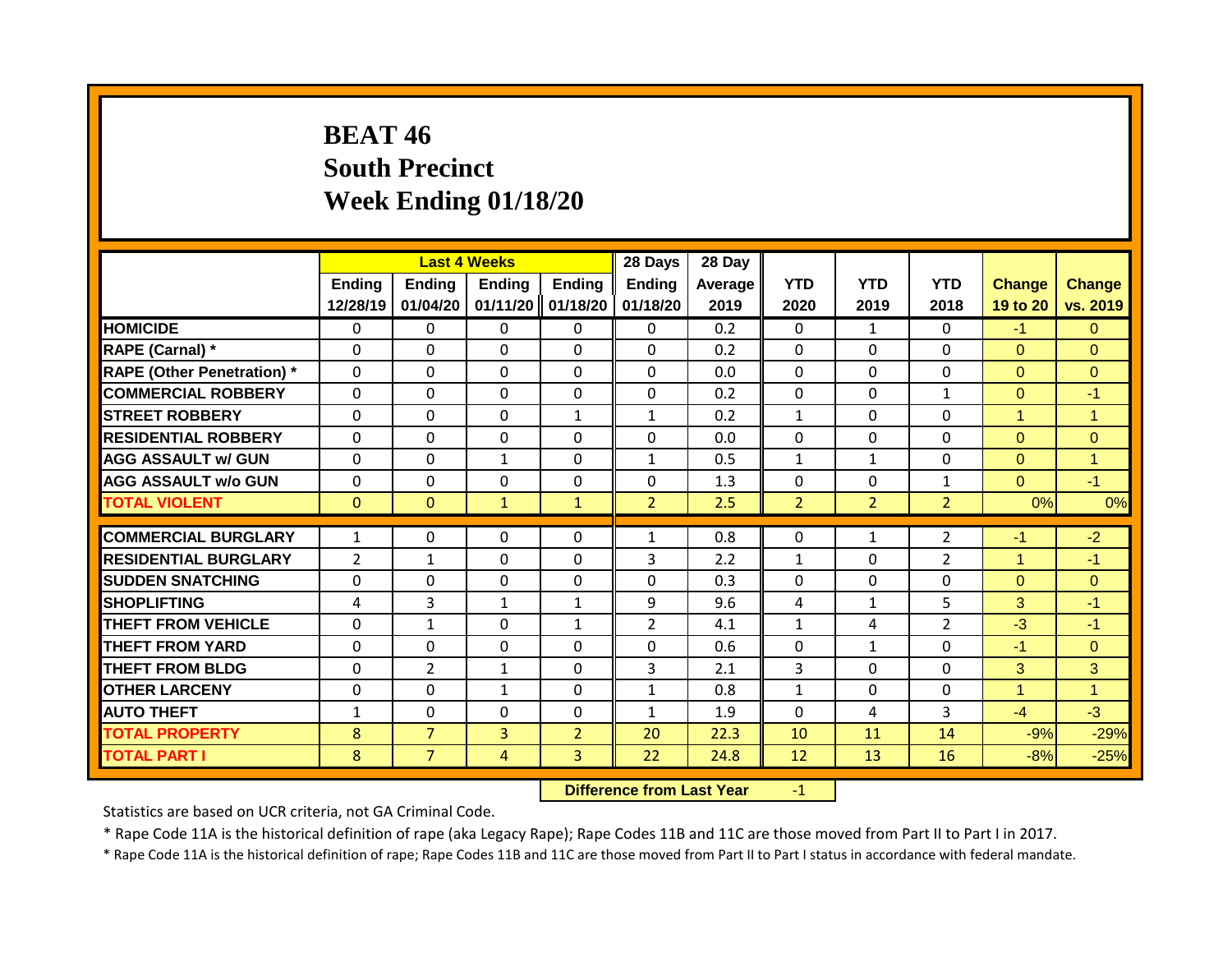## **BEAT 46 South Precinct Week Ending 01/18/20**

|                                   |                           | <b>Last 4 Weeks</b> |                           |                           | 28 Days                   | 28 Day            |                    |                    |                    |                           |                           |
|-----------------------------------|---------------------------|---------------------|---------------------------|---------------------------|---------------------------|-------------------|--------------------|--------------------|--------------------|---------------------------|---------------------------|
|                                   | <b>Ending</b><br>12/28/19 | Ending<br>01/04/20  | <b>Ending</b><br>01/11/20 | <b>Ending</b><br>01/18/20 | <b>Ending</b><br>01/18/20 | Average  <br>2019 | <b>YTD</b><br>2020 | <b>YTD</b><br>2019 | <b>YTD</b><br>2018 | <b>Change</b><br>19 to 20 | <b>Change</b><br>vs. 2019 |
| <b>HOMICIDE</b>                   | 0                         | 0                   | 0                         | $\mathbf{0}$              | $\mathbf{0}$              | 0.2               | $\mathbf{0}$       | $\mathbf{1}$       | $\Omega$           | $-1$                      | $\Omega$                  |
| RAPE (Carnal) *                   | $\Omega$                  | $\Omega$            | 0                         | $\Omega$                  | $\Omega$                  | 0.2               | $\mathbf{0}$       | $\Omega$           | $\Omega$           | $\Omega$                  | $\Omega$                  |
| <b>RAPE (Other Penetration)</b> * | $\mathbf{0}$              | $\Omega$            | 0                         | $\Omega$                  | $\Omega$                  | 0.0               | $\mathbf{0}$       | $\Omega$           | $\Omega$           | $\Omega$                  | $\Omega$                  |
| <b>COMMERCIAL ROBBERY</b>         | $\mathbf{0}$              | $\Omega$            | $\Omega$                  | $\Omega$                  | $\Omega$                  | 0.2               | $\mathbf{0}$       | $\Omega$           | 1                  | $\Omega$                  | $-1$                      |
| <b>STREET ROBBERY</b>             | $\Omega$                  | $\Omega$            | $\Omega$                  | $\mathbf{1}$              | $\mathbf{1}$              | 0.2               | $\mathbf{1}$       | $\Omega$           | $\Omega$           | 1                         | $\mathbf{1}$              |
| <b>RESIDENTIAL ROBBERY</b>        | $\Omega$                  | 0                   | 0                         | $\mathbf{0}$              | 0                         | 0.0               | $\mathbf{0}$       | $\Omega$           | 0                  | $\Omega$                  | $\Omega$                  |
| <b>AGG ASSAULT w/ GUN</b>         | $\mathbf{0}$              | 0                   | $\mathbf{1}$              | $\mathbf{0}$              | $\mathbf{1}$              | 0.5               | 1                  | $\mathbf{1}$       | 0                  | $\Omega$                  | $\overline{1}$            |
| <b>AGG ASSAULT w/o GUN</b>        | 0                         | 0                   | $\Omega$                  | 0                         | $\Omega$                  | 1.3               | 0                  | $\Omega$           | $\mathbf{1}$       | $\Omega$                  | $-1$                      |
| <b>TOTAL VIOLENT</b>              | $\mathbf{0}$              | $\mathbf{0}$        | $\mathbf{1}$              | $\mathbf{1}$              | $\overline{2}$            | 2.5               | $\overline{2}$     | $\overline{2}$     | $\overline{2}$     | 0%                        | 0%                        |
| <b>COMMERCIAL BURGLARY</b>        |                           |                     |                           |                           |                           | 0.8               |                    |                    |                    |                           |                           |
|                                   | $\mathbf{1}$              | 0                   | 0                         | $\mathbf{0}$              | $\mathbf{1}$              |                   | $\mathbf{0}$       | $\mathbf{1}$       | 2                  | $-1$                      | $-2$                      |
| <b>RESIDENTIAL BURGLARY</b>       | 2                         | 1                   | $\Omega$                  | $\mathbf{0}$              | 3                         | 2.2               | $\mathbf{1}$       | $\Omega$           | 2                  | 1                         | $-1$                      |
| <b>SUDDEN SNATCHING</b>           | $\Omega$                  | 0                   | $\Omega$                  | $\mathbf{0}$              | $\Omega$                  | 0.3               | $\Omega$           | $\Omega$           | $\Omega$           | $\Omega$                  | $\Omega$                  |
| <b>SHOPLIFTING</b>                | 4                         | 3                   | $\mathbf{1}$              | $\mathbf{1}$              | 9                         | 9.6               | 4                  | $\mathbf{1}$       | 5                  | 3                         | $-1$                      |
| <b>THEFT FROM VEHICLE</b>         | $\Omega$                  | $\mathbf{1}$        | $\Omega$                  | $\mathbf{1}$              | $\overline{2}$            | 4.1               | $\mathbf{1}$       | 4                  | $\overline{2}$     | $-3$                      | $-1$                      |
| <b>THEFT FROM YARD</b>            | 0                         | $\Omega$            | $\Omega$                  | $\Omega$                  | $\Omega$                  | 0.6               | $\Omega$           | $\mathbf{1}$       | $\Omega$           | $-1$                      | $\Omega$                  |
| <b>THEFT FROM BLDG</b>            | 0                         | $\overline{2}$      | $\mathbf{1}$              | $\Omega$                  | 3                         | 2.1               | 3                  | $\Omega$           | $\Omega$           | 3                         | 3                         |
| <b>OTHER LARCENY</b>              | 0                         | 0                   | $\mathbf{1}$              | 0                         | 1                         | 0.8               | 1                  | $\Omega$           | 0                  | 4                         | $\overline{1}$            |
| <b>AUTO THEFT</b>                 | 1                         | 0                   | 0                         | 0                         | 1                         | 1.9               | $\Omega$           | 4                  | 3                  | $-4$                      | $-3$                      |
| <b>TOTAL PROPERTY</b>             | 8                         | $\overline{7}$      | 3                         | $\overline{2}$            | 20                        | 22.3              | 10                 | 11                 | 14                 | $-9%$                     | $-29%$                    |
| <b>TOTAL PART I</b>               | 8                         | $\overline{7}$      | 4                         | 3                         | 22                        | 24.8              | 12                 | 13                 | 16                 | $-8%$                     | $-25%$                    |

**Difference from Last Year** -1

Statistics are based on UCR criteria, not GA Criminal Code.

\* Rape Code 11A is the historical definition of rape (aka Legacy Rape); Rape Codes 11B and 11C are those moved from Part II to Part I in 2017.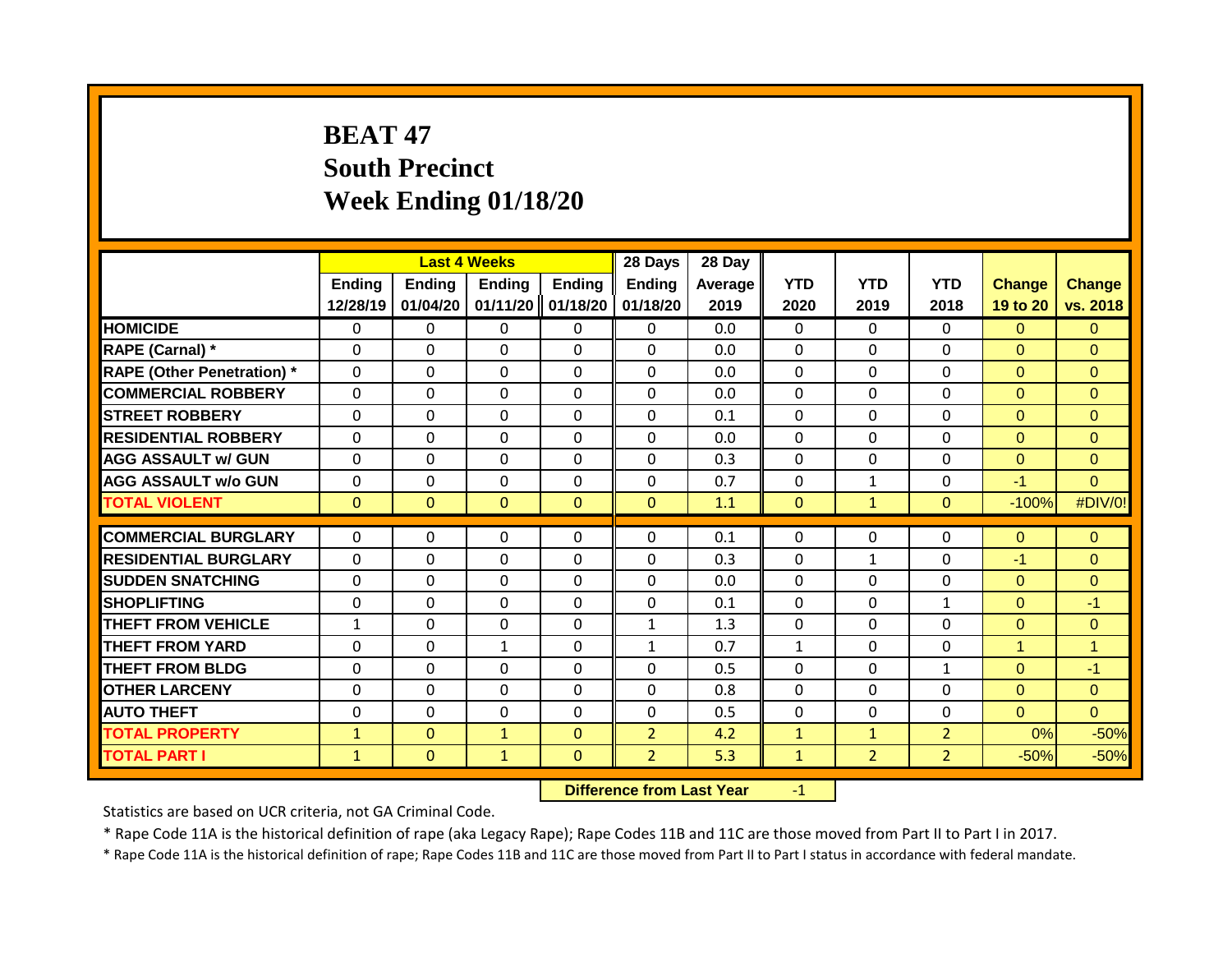# **BEAT 47 South Precinct Week Ending 01/18/20**

|                                   |               |               | <b>Last 4 Weeks</b> |                   | 28 Days        | 28 Day  |              |                |                |                      |                |
|-----------------------------------|---------------|---------------|---------------------|-------------------|----------------|---------|--------------|----------------|----------------|----------------------|----------------|
|                                   | <b>Ending</b> | <b>Ending</b> | <b>Ending</b>       | <b>Ending</b>     | <b>Ending</b>  | Average | <b>YTD</b>   | <b>YTD</b>     | <b>YTD</b>     | <b>Change</b>        | <b>Change</b>  |
|                                   | 12/28/19      | 01/04/20      |                     | 01/11/20 01/18/20 | 01/18/20       | 2019    | 2020         | 2019           | 2018           | 19 to 20             | vs. 2018       |
| <b>HOMICIDE</b>                   | $\mathbf{0}$  | 0             | 0                   | 0                 | $\mathbf{0}$   | 0.0     | $\Omega$     | 0              | $\Omega$       | $\Omega$             | $\Omega$       |
| RAPE (Carnal) *                   | $\Omega$      | 0             | 0                   | $\mathbf 0$       | $\mathbf 0$    | 0.0     | 0            | 0              | 0              | $\mathbf{0}$         | $\Omega$       |
| <b>RAPE (Other Penetration) *</b> | $\mathbf 0$   | 0             | $\mathbf 0$         | $\mathbf 0$       | $\Omega$       | 0.0     | $\mathbf 0$  | $\Omega$       | $\Omega$       | $\mathbf{0}$         | $\overline{0}$ |
| <b>COMMERCIAL ROBBERY</b>         | $\Omega$      | 0             | 0                   | $\mathbf 0$       | $\Omega$       | 0.0     | $\mathbf 0$  | $\Omega$       | $\Omega$       | $\mathbf{0}$         | $\overline{0}$ |
| <b>STREET ROBBERY</b>             | $\Omega$      | 0             | $\mathbf 0$         | 0                 | $\mathbf 0$    | 0.1     | $\mathbf 0$  | $\Omega$       | 0              | $\Omega$             | $\Omega$       |
| <b>RESIDENTIAL ROBBERY</b>        | 0             | $\Omega$      | $\Omega$            | $\Omega$          | $\Omega$       | 0.0     | $\mathbf{0}$ | 0              | 0              | $\Omega$             | $\Omega$       |
| <b>AGG ASSAULT w/ GUN</b>         | $\Omega$      | $\Omega$      | $\Omega$            | $\Omega$          | $\Omega$       | 0.3     | $\Omega$     | $\Omega$       | $\Omega$       | $\Omega$             | $\Omega$       |
| <b>AGG ASSAULT w/o GUN</b>        | $\Omega$      | 0             | $\Omega$            | 0                 | $\Omega$       | 0.7     | $\mathbf{0}$ | $\mathbf{1}$   | 0              | $-1$                 | $\Omega$       |
| <b>TOTAL VIOLENT</b>              | $\mathbf{0}$  | $\mathbf{0}$  | $\mathbf{0}$        | $\mathbf{0}$      | $\Omega$       | 1.1     | $\mathbf{0}$ | $\mathbf{1}$   | $\mathbf{0}$   | $-100%$              | #DIV/0!        |
|                                   |               |               |                     |                   |                |         |              |                |                |                      |                |
| <b>COMMERCIAL BURGLARY</b>        | $\Omega$      | $\Omega$      | $\Omega$            | $\Omega$          | $\Omega$       | 0.1     | $\mathbf{0}$ | $\Omega$       | 0              | $\Omega$             | $\Omega$       |
| <b>RESIDENTIAL BURGLARY</b>       | $\Omega$      | $\Omega$      | $\Omega$            | $\Omega$          | $\Omega$       | 0.3     | $\mathbf{0}$ | $\mathbf{1}$   | $\Omega$       | $-1$                 | $\Omega$       |
| <b>SUDDEN SNATCHING</b>           | $\Omega$      | $\Omega$      | $\Omega$            | $\Omega$          | $\Omega$       | 0.0     | $\mathbf{0}$ | $\Omega$       | $\Omega$       | $\Omega$             | $\Omega$       |
| SHOPLIFTING                       | $\Omega$      | $\Omega$      | $\Omega$            | $\Omega$          | $\Omega$       | 0.1     | $\mathbf{0}$ | $\Omega$       | $\mathbf{1}$   | $\Omega$             | $-1$           |
| <b>THEFT FROM VEHICLE</b>         | $\mathbf 1$   | $\Omega$      | $\Omega$            | $\Omega$          | $\mathbf{1}$   | 1.3     | $\mathbf{0}$ | $\Omega$       | 0              | $\Omega$             | $\Omega$       |
| <b>THEFT FROM YARD</b>            | $\Omega$      | 0             | $\mathbf{1}$        | $\Omega$          | $\mathbf{1}$   | 0.7     | $\mathbf{1}$ | $\Omega$       | 0              | $\blacktriangleleft$ | $\overline{1}$ |
| <b>THEFT FROM BLDG</b>            | $\Omega$      | $\Omega$      | $\Omega$            | $\Omega$          | $\Omega$       | 0.5     | $\mathbf{0}$ | 0              | $\mathbf{1}$   | $\Omega$             | $-1$           |
| <b>OTHER LARCENY</b>              | $\Omega$      | $\Omega$      | $\Omega$            | $\Omega$          | $\Omega$       | 0.8     | $\mathbf{0}$ | 0              | 0              | $\Omega$             | $\Omega$       |
| <b>AUTO THEFT</b>                 | $\Omega$      | $\Omega$      | $\Omega$            | $\mathbf 0$       | $\mathbf 0$    | 0.5     | $\mathbf{0}$ | 0              | 0              | $\Omega$             | $\overline{0}$ |
| <b>TOTAL PROPERTY</b>             | $\mathbf{1}$  | $\Omega$      | $\mathbf{1}$        | $\mathbf{0}$      | $\overline{2}$ | 4.2     | $\mathbf{1}$ | $\mathbf{1}$   | $\overline{2}$ | 0%                   | $-50%$         |
| <b>TOTAL PART I</b>               | $\mathbf{1}$  | $\mathbf{0}$  | $\mathbf{1}$        | $\mathbf{0}$      | $\overline{2}$ | 5.3     | $\mathbf{1}$ | $\overline{2}$ | $\overline{2}$ | $-50%$               | $-50%$         |

**Difference from Last Year** -1

Statistics are based on UCR criteria, not GA Criminal Code.

\* Rape Code 11A is the historical definition of rape (aka Legacy Rape); Rape Codes 11B and 11C are those moved from Part II to Part I in 2017.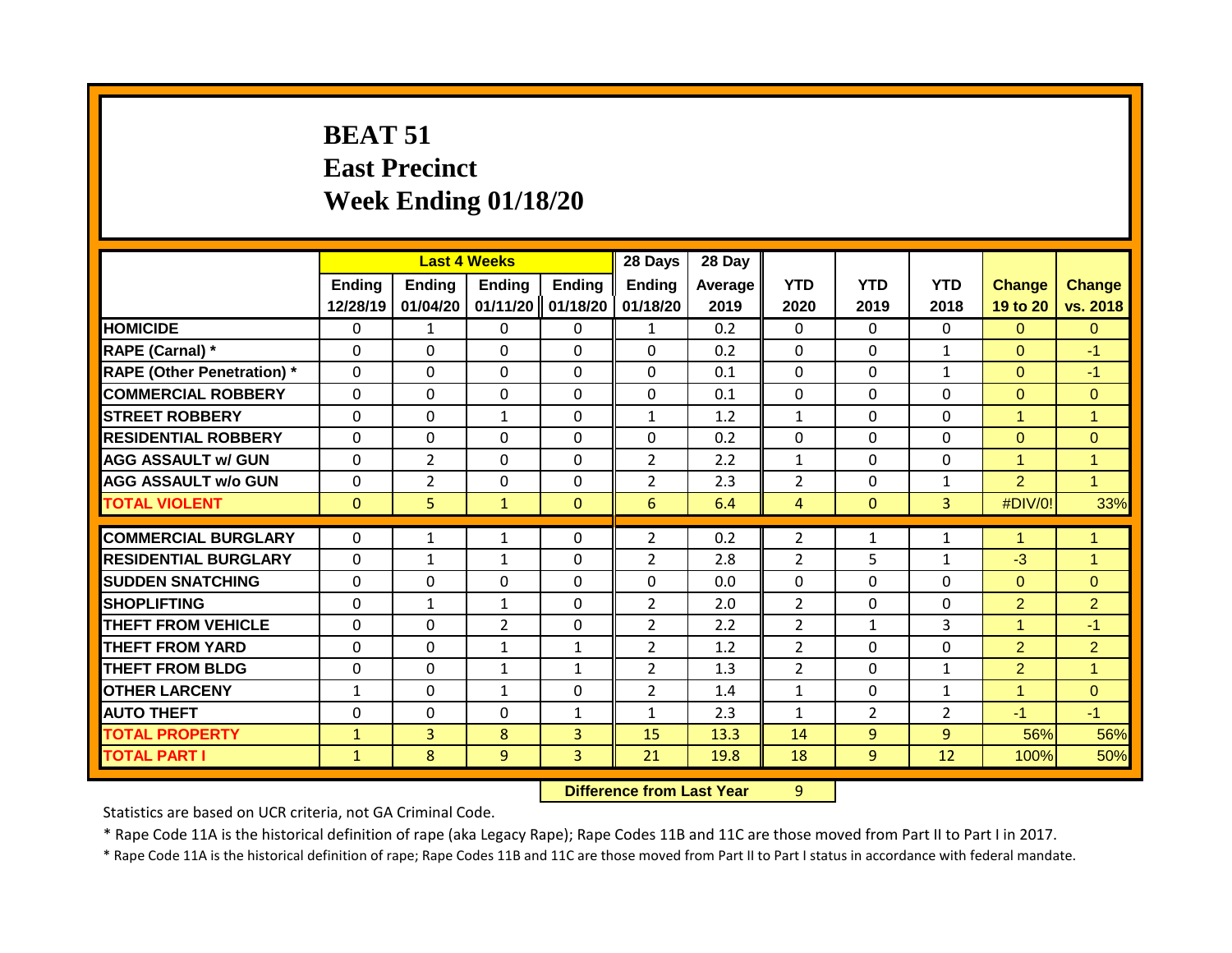# **BEAT 51 East Precinct Week Ending 01/18/20**

|                                   |               | <b>Last 4 Weeks</b> |                |                   | 28 Days        | 28 Day         |                |                |                |                      |                |
|-----------------------------------|---------------|---------------------|----------------|-------------------|----------------|----------------|----------------|----------------|----------------|----------------------|----------------|
|                                   | <b>Ending</b> | <b>Ending</b>       | <b>Ending</b>  | <b>Ending</b>     | <b>Ending</b>  | <b>Average</b> | <b>YTD</b>     | <b>YTD</b>     | <b>YTD</b>     | <b>Change</b>        | <b>Change</b>  |
|                                   | 12/28/19      | 01/04/20            |                | 01/11/20 01/18/20 | 01/18/20       | 2019           | 2020           | 2019           | 2018           | 19 to 20             | vs. 2018       |
| <b>HOMICIDE</b>                   | $\Omega$      | $\mathbf{1}$        | $\Omega$       | $\mathbf{0}$      | $\mathbf{1}$   | 0.2            | $\Omega$       | $\Omega$       | $\Omega$       | $\Omega$             | $\mathbf{0}$   |
| RAPE (Carnal) *                   | $\Omega$      | 0                   | $\Omega$       | $\Omega$          | $\Omega$       | 0.2            | $\mathbf{0}$   | $\Omega$       | 1              | $\Omega$             | $-1$           |
| <b>RAPE (Other Penetration) *</b> | $\mathbf{0}$  | 0                   | $\mathbf 0$    | $\mathbf 0$       | $\Omega$       | 0.1            | $\mathbf 0$    | $\mathbf 0$    | $\mathbf{1}$   | $\Omega$             | $-1$           |
| <b>COMMERCIAL ROBBERY</b>         | $\Omega$      | 0                   | $\mathbf 0$    | $\mathbf 0$       | $\mathbf 0$    | 0.1            | $\mathbf 0$    | $\Omega$       | 0              | $\Omega$             | $\overline{0}$ |
| <b>STREET ROBBERY</b>             | $\mathbf{0}$  | 0                   | $\mathbf{1}$   | 0                 | 1              | 1.2            | $\mathbf{1}$   | $\Omega$       | $\Omega$       | $\overline{1}$       | $\mathbf{1}$   |
| <b>RESIDENTIAL ROBBERY</b>        | $\mathbf{0}$  | 0                   | $\Omega$       | 0                 | $\Omega$       | 0.2            | $\mathbf 0$    | $\Omega$       | $\Omega$       | $\Omega$             | $\overline{0}$ |
| <b>AGG ASSAULT w/ GUN</b>         | $\mathbf{0}$  | $\overline{2}$      | $\Omega$       | $\Omega$          | $\overline{2}$ | 2.2            | $\mathbf{1}$   | $\Omega$       | 0              | 1                    | $\mathbf{1}$   |
| <b>AGG ASSAULT w/o GUN</b>        | 0             | $\overline{2}$      | $\Omega$       | $\Omega$          | $\overline{2}$ | 2.3            | $\overline{2}$ | $\Omega$       | 1              | $\overline{2}$       | $\overline{1}$ |
| <b>TOTAL VIOLENT</b>              | $\Omega$      | 5                   | $\mathbf{1}$   | $\mathbf{0}$      | 6              | 6.4            | $\overline{4}$ | $\mathbf{0}$   | $\overline{3}$ | #DIV/0!              | 33%            |
|                                   |               |                     |                |                   |                |                |                |                |                |                      |                |
| <b>COMMERCIAL BURGLARY</b>        | $\Omega$      | 1                   | $\mathbf{1}$   | 0                 | $\overline{2}$ | 0.2            | 2              | $\mathbf{1}$   | 1              |                      | $\overline{1}$ |
| <b>RESIDENTIAL BURGLARY</b>       | $\Omega$      | $\mathbf{1}$        | $\mathbf{1}$   | $\Omega$          | $\overline{2}$ | 2.8            | $\overline{2}$ | 5              | $\mathbf{1}$   | $-3$                 | $\overline{1}$ |
| <b>SUDDEN SNATCHING</b>           | $\Omega$      | 0                   | $\Omega$       | $\Omega$          | $\Omega$       | 0.0            | $\mathbf{0}$   | $\Omega$       | $\Omega$       | $\Omega$             | $\Omega$       |
| <b>SHOPLIFTING</b>                | $\Omega$      | $\mathbf{1}$        | $\mathbf{1}$   | $\Omega$          | $\overline{2}$ | 2.0            | $\overline{2}$ | $\Omega$       | $\Omega$       | $\overline{2}$       | $\overline{2}$ |
| <b>THEFT FROM VEHICLE</b>         | $\Omega$      | 0                   | $\overline{2}$ | $\Omega$          | $\overline{2}$ | 2.2            | $\overline{2}$ | $\mathbf{1}$   | 3              | 1                    | $-1$           |
| <b>THEFT FROM YARD</b>            | $\Omega$      | 0                   | $\mathbf{1}$   | $\mathbf{1}$      | $\overline{2}$ | 1.2            | $\overline{2}$ | $\Omega$       | $\Omega$       | $\overline{2}$       | $\overline{2}$ |
| <b>THEFT FROM BLDG</b>            | $\Omega$      | 0                   | $\mathbf{1}$   | 1                 | $\overline{2}$ | 1.3            | $\overline{2}$ | $\Omega$       | 1              | $\overline{2}$       | $\mathbf{1}$   |
| <b>OTHER LARCENY</b>              | 1             | 0                   | $\mathbf{1}$   | $\Omega$          | $\overline{2}$ | 1.4            | $\mathbf{1}$   | $\Omega$       | $\mathbf{1}$   | $\blacktriangleleft$ | $\Omega$       |
| <b>AUTO THEFT</b>                 | 0             | 0                   | 0              | 1                 | 1              | 2.3            | 1              | $\overline{2}$ | $\overline{2}$ | $-1$                 | $-1$           |
| <b>TOTAL PROPERTY</b>             | $\mathbf{1}$  | 3                   | 8              | 3                 | 15             | 13.3           | 14             | 9              | $\overline{9}$ | 56%                  | 56%            |
| <b>TOTAL PART I</b>               | $\mathbf{1}$  | 8                   | 9              | $\overline{3}$    | 21             | 19.8           | 18             | 9              | 12             | 100%                 | 50%            |

**Difference from Last Year** 9

Statistics are based on UCR criteria, not GA Criminal Code.

\* Rape Code 11A is the historical definition of rape (aka Legacy Rape); Rape Codes 11B and 11C are those moved from Part II to Part I in 2017.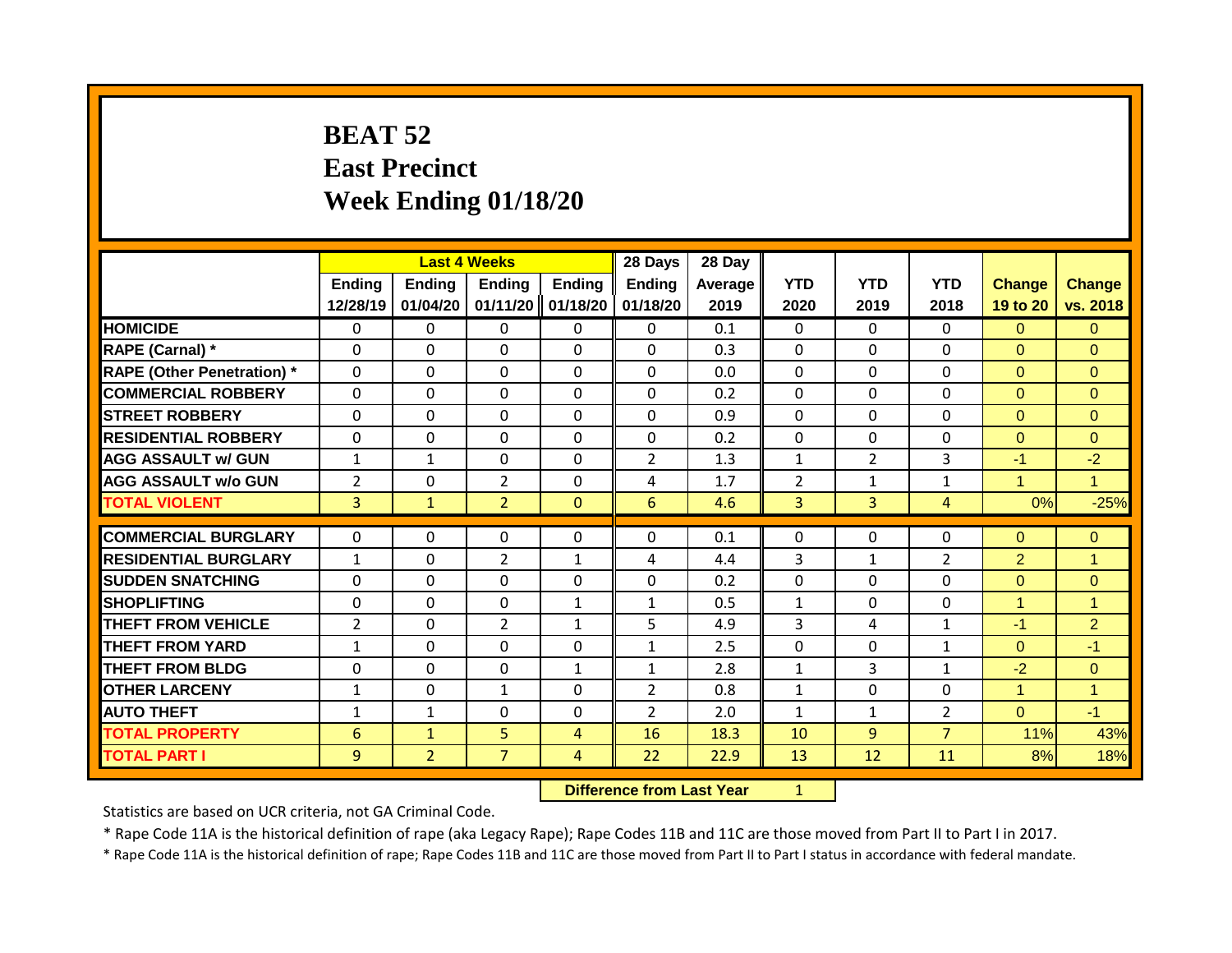# **BEAT 52 East Precinct Week Ending 01/18/20**

|                                   |                | <b>Last 4 Weeks</b> |                |              | 28 Days        | 28 Day  |                |                |                |                |                |
|-----------------------------------|----------------|---------------------|----------------|--------------|----------------|---------|----------------|----------------|----------------|----------------|----------------|
|                                   | <b>Ending</b>  | Ending              | <b>Ending</b>  | Ending       | <b>Ending</b>  | Average | <b>YTD</b>     | <b>YTD</b>     | <b>YTD</b>     | <b>Change</b>  | <b>Change</b>  |
|                                   | 12/28/19       | 01/04/20            | 01/11/20       | 01/18/20     | 01/18/20       | 2019    | 2020           | 2019           | 2018           | 19 to 20       | vs. 2018       |
| <b>HOMICIDE</b>                   | $\mathbf 0$    | 0                   | 0              | $\mathbf{0}$ | $\mathbf{0}$   | 0.1     | $\mathbf 0$    | $\Omega$       | $\Omega$       | $\Omega$       | $\overline{0}$ |
| RAPE (Carnal) *                   | $\Omega$       | $\Omega$            | $\Omega$       | $\mathbf{0}$ | 0              | 0.3     | $\mathbf 0$    | $\Omega$       | $\Omega$       | $\Omega$       | $\Omega$       |
| <b>RAPE (Other Penetration) *</b> | $\mathbf 0$    | 0                   | 0              | $\mathbf 0$  | $\mathbf 0$    | 0.0     | $\mathbf 0$    | $\Omega$       | 0              | $\Omega$       | $\overline{0}$ |
| <b>COMMERCIAL ROBBERY</b>         | $\Omega$       | $\Omega$            | $\Omega$       | $\mathbf{0}$ | $\Omega$       | 0.2     | $\mathbf 0$    | $\Omega$       | $\Omega$       | $\Omega$       | $\Omega$       |
| <b>STREET ROBBERY</b>             | $\Omega$       | 0                   | $\Omega$       | $\Omega$     | $\Omega$       | 0.9     | $\Omega$       | $\Omega$       | $\Omega$       | $\Omega$       | $\Omega$       |
| <b>RESIDENTIAL ROBBERY</b>        | $\Omega$       | 0                   | $\Omega$       | $\Omega$     | $\Omega$       | 0.2     | $\Omega$       | $\Omega$       | $\Omega$       | $\Omega$       | $\Omega$       |
| <b>AGG ASSAULT w/ GUN</b>         | $\mathbf{1}$   | $\mathbf{1}$        | $\Omega$       | $\mathbf{0}$ | $\overline{2}$ | 1.3     | $\mathbf{1}$   | $\overline{2}$ | 3              | $-1$           | $-2$           |
| <b>AGG ASSAULT w/o GUN</b>        | $\overline{2}$ | 0                   | $\overline{2}$ | 0            | 4              | 1.7     | $\overline{2}$ | $\mathbf{1}$   | $\mathbf{1}$   | 1              | $\overline{1}$ |
| <b>TOTAL VIOLENT</b>              | 3              | $\mathbf{1}$        | $\overline{2}$ | $\mathbf{0}$ | 6              | 4.6     | $\overline{3}$ | $\overline{3}$ | $\overline{4}$ | 0%             | $-25%$         |
|                                   |                |                     |                |              |                |         |                |                |                |                |                |
| <b>COMMERCIAL BURGLARY</b>        | $\Omega$       | 0                   | $\Omega$       | $\Omega$     | $\Omega$       | 0.1     | $\Omega$       | $\Omega$       | 0              | $\Omega$       | $\mathbf{0}$   |
| <b>RESIDENTIAL BURGLARY</b>       | $\mathbf{1}$   | $\Omega$            | $\overline{2}$ | $\mathbf{1}$ | 4              | 4.4     | 3              | $\mathbf{1}$   | $\overline{2}$ | $\overline{2}$ | $\overline{1}$ |
| <b>SUDDEN SNATCHING</b>           | $\Omega$       | $\Omega$            | $\Omega$       | $\mathbf{0}$ | $\Omega$       | 0.2     | $\mathbf 0$    | $\Omega$       | $\Omega$       | $\Omega$       | $\mathbf{0}$   |
| <b>SHOPLIFTING</b>                | $\mathbf{0}$   | 0                   | $\Omega$       | $\mathbf{1}$ | $\mathbf{1}$   | 0.5     | $\mathbf{1}$   | $\Omega$       | $\Omega$       | 1              | $\mathbf{1}$   |
| <b>THEFT FROM VEHICLE</b>         | 2              | $\Omega$            | $\overline{2}$ | 1            | 5              | 4.9     | 3              | 4              | $\mathbf{1}$   | $-1$           | $\overline{2}$ |
| <b>THEFT FROM YARD</b>            | $\mathbf{1}$   | 0                   | $\Omega$       | $\mathbf{0}$ | $\mathbf{1}$   | 2.5     | $\Omega$       | $\Omega$       | $\mathbf{1}$   | $\mathbf{0}$   | $-1$           |
| <b>THEFT FROM BLDG</b>            | 0              | 0                   | 0              | 1            | 1              | 2.8     | 1              | 3              | $\mathbf{1}$   | $-2$           | $\Omega$       |
| <b>OTHER LARCENY</b>              | $\mathbf{1}$   | 0                   | $\mathbf{1}$   | 0            | $\overline{2}$ | 0.8     | $\mathbf{1}$   | $\Omega$       | 0              | 4              | $\overline{1}$ |
| <b>AUTO THEFT</b>                 | 1              | 1                   | 0              | 0            | $\overline{2}$ | 2.0     | 1              | $\mathbf{1}$   | $\overline{2}$ | $\Omega$       | $-1$           |
| <b>TOTAL PROPERTY</b>             | 6              | $\mathbf{1}$        | 5              | 4            | 16             | 18.3    | 10             | 9              | $\overline{7}$ | 11%            | 43%            |
| <b>TOTAL PART I</b>               | 9              | $\overline{2}$      | $\overline{7}$ | 4            | 22             | 22.9    | 13             | 12             | 11             | 8%             | 18%            |

**Difference from Last Year** 1

Statistics are based on UCR criteria, not GA Criminal Code.

\* Rape Code 11A is the historical definition of rape (aka Legacy Rape); Rape Codes 11B and 11C are those moved from Part II to Part I in 2017.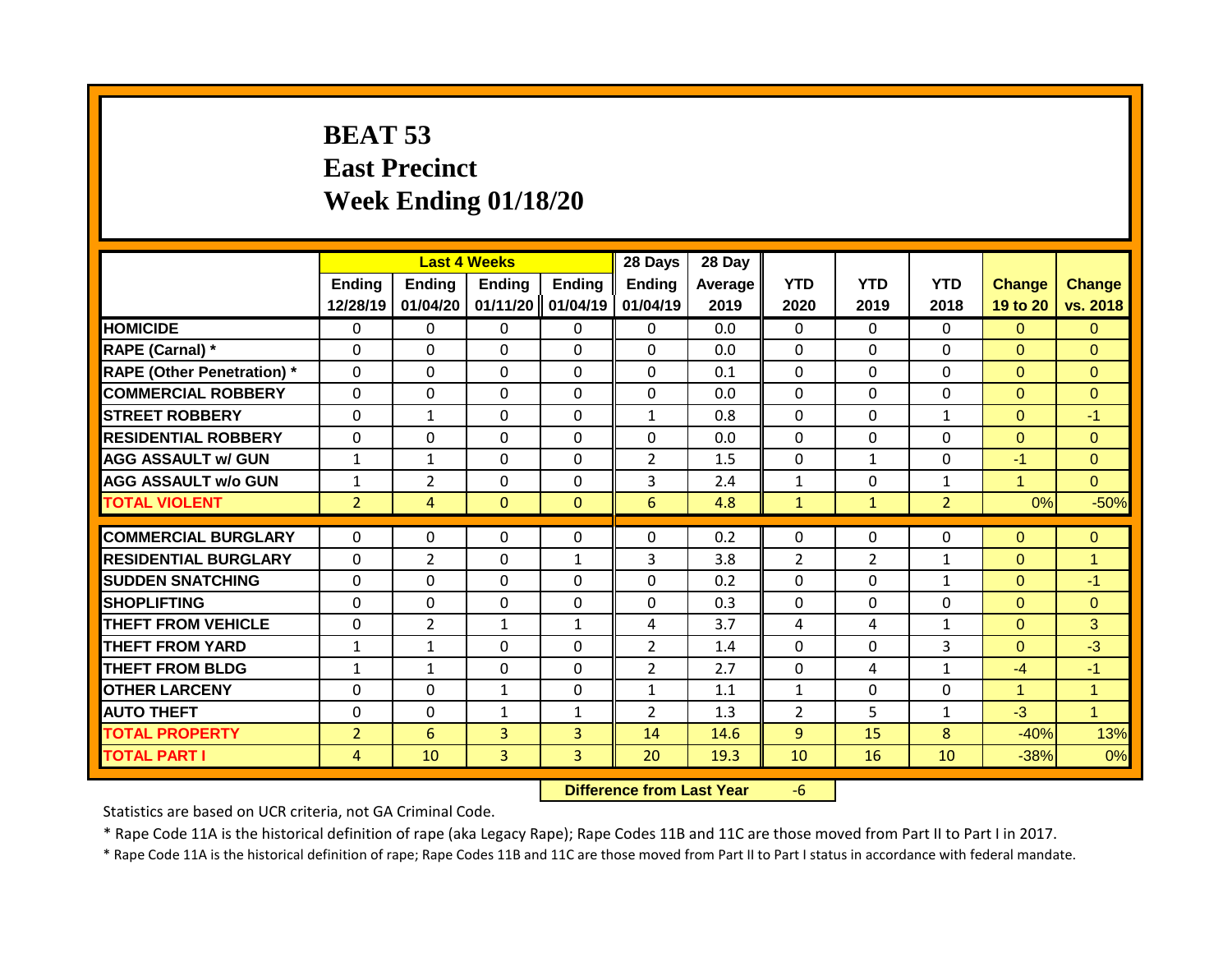# **BEAT 53 East Precinct Week Ending 01/18/20**

|                                   |                    |                    | <b>Last 4 Weeks</b>       |                           | 28 Days                   | 28 Day          |                    |                    |                    |                           |                           |
|-----------------------------------|--------------------|--------------------|---------------------------|---------------------------|---------------------------|-----------------|--------------------|--------------------|--------------------|---------------------------|---------------------------|
|                                   | Ending<br>12/28/19 | Ending<br>01/04/20 | <b>Ending</b><br>01/11/20 | <b>Ending</b><br>01/04/19 | <b>Ending</b><br>01/04/19 | Average<br>2019 | <b>YTD</b><br>2020 | <b>YTD</b><br>2019 | <b>YTD</b><br>2018 | <b>Change</b><br>19 to 20 | <b>Change</b><br>vs. 2018 |
| <b>HOMICIDE</b>                   | $\mathbf{0}$       | 0                  | $\mathbf{0}$              | 0                         | 0                         | 0.0             | $\Omega$           | $\Omega$           | 0                  | $\Omega$                  | $\Omega$                  |
| <b>RAPE (Carnal) *</b>            | $\Omega$           | 0                  | $\Omega$                  | $\Omega$                  | $\Omega$                  | 0.0             | $\mathbf{0}$       | $\Omega$           | 0                  | $\Omega$                  | $\Omega$                  |
| <b>RAPE (Other Penetration) *</b> | $\Omega$           | 0                  | $\Omega$                  | $\Omega$                  | $\Omega$                  | 0.1             | $\mathbf{0}$       | $\Omega$           | 0                  | $\Omega$                  | $\Omega$                  |
| <b>COMMERCIAL ROBBERY</b>         | $\mathbf 0$        | 0                  | $\Omega$                  | $\Omega$                  | $\Omega$                  | 0.0             | $\mathbf 0$        | $\Omega$           | 0                  | $\Omega$                  | $\Omega$                  |
| <b>STREET ROBBERY</b>             | $\Omega$           | $\mathbf 1$        | $\Omega$                  | $\Omega$                  | $\mathbf{1}$              | 0.8             | $\Omega$           | $\Omega$           | $\mathbf 1$        | $\Omega$                  | $-1$                      |
| <b>RESIDENTIAL ROBBERY</b>        | $\Omega$           | 0                  | $\mathbf{0}$              | 0                         | 0                         | 0.0             | $\Omega$           | $\Omega$           | 0                  | $\Omega$                  | $\Omega$                  |
| <b>AGG ASSAULT w/ GUN</b>         | $\mathbf{1}$       | 1                  | $\Omega$                  | $\Omega$                  | $\overline{2}$            | 1.5             | $\mathbf{0}$       | $\mathbf{1}$       | 0                  | $-1$                      | $\Omega$                  |
| <b>AGG ASSAULT w/o GUN</b>        | $\mathbf{1}$       | $\overline{2}$     | $\Omega$                  | $\Omega$                  | 3                         | 2.4             | $\mathbf{1}$       | $\Omega$           | $\mathbf{1}$       | 1                         | $\Omega$                  |
| <b>TOTAL VIOLENT</b>              | $\overline{2}$     | 4                  | $\Omega$                  | $\mathbf{0}$              | 6                         | 4.8             | $\mathbf{1}$       | $\mathbf{1}$       | $\overline{2}$     | 0%                        | $-50%$                    |
| <b>COMMERCIAL BURGLARY</b>        | $\Omega$           | 0                  | $\mathbf{0}$              | 0                         | $\Omega$                  | 0.2             | $\mathbf{0}$       | $\Omega$           | 0                  | $\Omega$                  | $\Omega$                  |
| <b>RESIDENTIAL BURGLARY</b>       | $\Omega$           | 2                  | $\Omega$                  | $\mathbf{1}$              | 3                         | 3.8             | $\overline{2}$     | $\overline{2}$     | 1                  | $\Omega$                  | $\overline{1}$            |
| <b>SUDDEN SNATCHING</b>           | $\Omega$           | 0                  | $\Omega$                  | 0                         | $\Omega$                  | 0.2             | $\mathbf{0}$       | 0                  | $\mathbf{1}$       | $\Omega$                  | $-1$                      |
| <b>SHOPLIFTING</b>                | $\Omega$           | 0                  | $\Omega$                  | $\Omega$                  | $\Omega$                  | 0.3             | $\mathbf{0}$       | $\Omega$           | 0                  | $\Omega$                  | $\Omega$                  |
| <b>THEFT FROM VEHICLE</b>         | 0                  | 2                  | $\mathbf{1}$              | $\mathbf{1}$              | 4                         | 3.7             | 4                  | 4                  | $\mathbf 1$        | $\Omega$                  | 3                         |
| <b>THEFT FROM YARD</b>            | 1                  | 1                  | $\Omega$                  | 0                         | $\overline{2}$            | 1.4             | 0                  | $\Omega$           | 3                  | $\Omega$                  | $-3$                      |
| <b>THEFT FROM BLDG</b>            | 1                  | 1                  | $\Omega$                  | 0                         | $\overline{2}$            | 2.7             | $\mathbf{0}$       | 4                  | $\mathbf{1}$       | $-4$                      | $-1$                      |
| <b>OTHER LARCENY</b>              | 0                  | 0                  | 1                         | 0                         | $\mathbf{1}$              | 1.1             | $\mathbf{1}$       | $\Omega$           | 0                  | 4                         | $\overline{1}$            |
| <b>AUTO THEFT</b>                 | $\Omega$           | 0                  | $\mathbf{1}$              | $\mathbf{1}$              | $\overline{2}$            | 1.3             | $\overline{2}$     | 5.                 | $\mathbf{1}$       | $-3$                      | $\overline{1}$            |
| <b>TOTAL PROPERTY</b>             | $\overline{2}$     | 6                  | 3                         | 3                         | 14                        | 14.6            | 9                  | 15                 | 8                  | $-40%$                    | 13%                       |
| <b>TOTAL PART I</b>               | 4                  | 10                 | 3                         | 3                         | 20                        | 19.3            | 10                 | 16                 | 10                 | $-38%$                    | 0%                        |

**Difference from Last Year** -6

Statistics are based on UCR criteria, not GA Criminal Code.

\* Rape Code 11A is the historical definition of rape (aka Legacy Rape); Rape Codes 11B and 11C are those moved from Part II to Part I in 2017.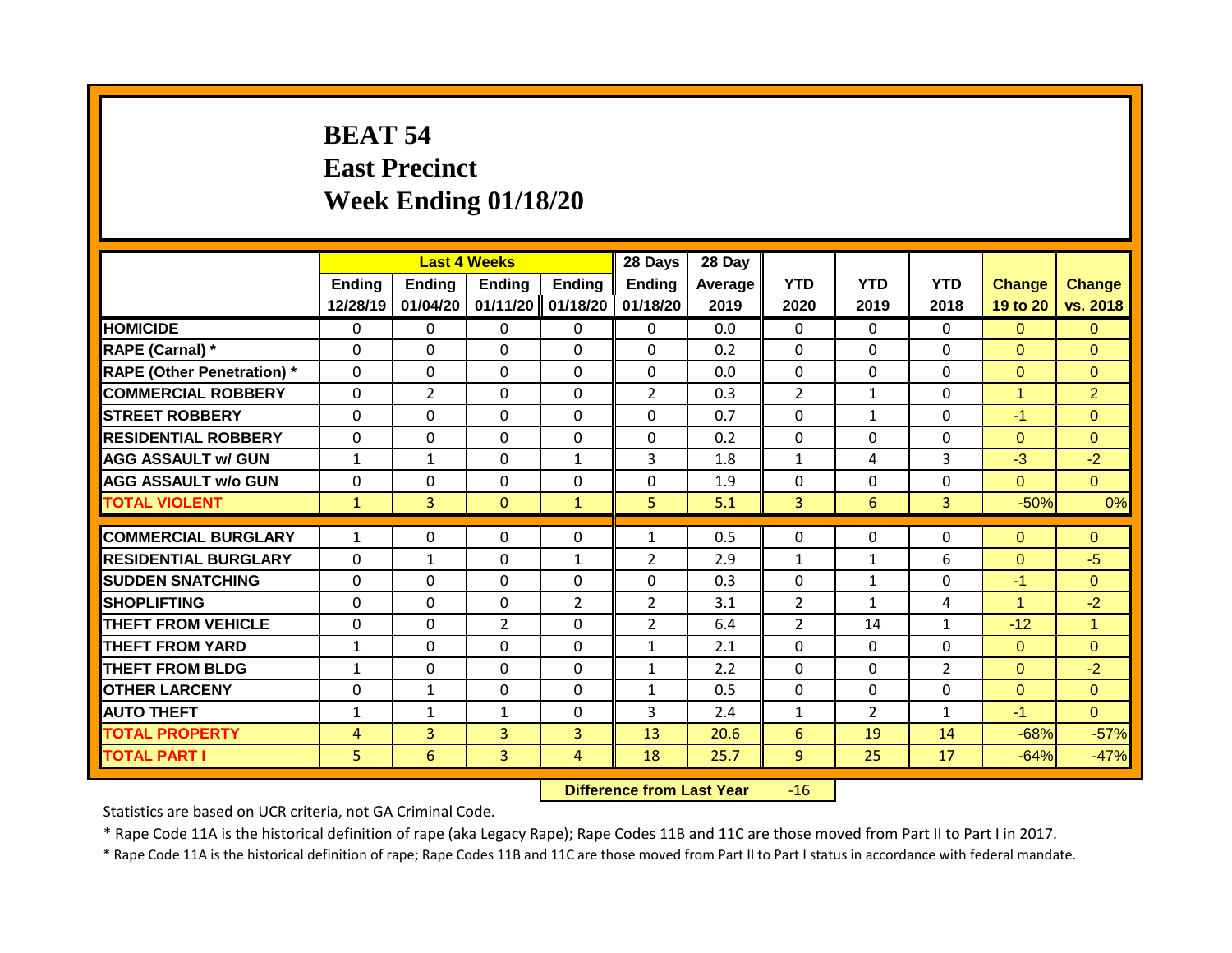# **BEAT 54 East Precinct Week Ending 01/18/20**

|                                   |                    |                    | <b>Last 4 Weeks</b>       |                           | 28 Days                   | 28 Day             |                    |                    |                    |                           |                           |
|-----------------------------------|--------------------|--------------------|---------------------------|---------------------------|---------------------------|--------------------|--------------------|--------------------|--------------------|---------------------------|---------------------------|
|                                   | Ending<br>12/28/19 | Ending<br>01/04/20 | <b>Ending</b><br>01/11/20 | <b>Ending</b><br>01/18/20 | <b>Ending</b><br>01/18/20 | Average   <br>2019 | <b>YTD</b><br>2020 | <b>YTD</b><br>2019 | <b>YTD</b><br>2018 | <b>Change</b><br>19 to 20 | <b>Change</b><br>vs. 2018 |
| <b>HOMICIDE</b>                   | $\mathbf{0}$       | 0                  | $\mathbf{0}$              | 0                         | 0                         | 0.0                | $\Omega$           | $\Omega$           | 0                  | $\Omega$                  | $\overline{0}$            |
| RAPE (Carnal) *                   | $\Omega$           | 0                  | $\Omega$                  | $\Omega$                  | $\Omega$                  | 0.2                | $\mathbf{0}$       | $\Omega$           | 0                  | $\Omega$                  | $\Omega$                  |
| <b>RAPE (Other Penetration) *</b> | $\mathbf 0$        | 0                  | $\Omega$                  | $\Omega$                  | 0                         | 0.0                | $\mathbf{0}$       | $\Omega$           | 0                  | $\Omega$                  | $\Omega$                  |
| <b>COMMERCIAL ROBBERY</b>         | $\Omega$           | $\overline{2}$     | $\Omega$                  | $\Omega$                  | $\overline{2}$            | 0.3                | $\overline{2}$     | $\mathbf{1}$       | $\Omega$           | 1                         | $\overline{2}$            |
| <b>STREET ROBBERY</b>             | $\Omega$           | 0                  | $\Omega$                  | $\Omega$                  | $\Omega$                  | 0.7                | $\mathbf 0$        | $\mathbf{1}$       | $\Omega$           | $-1$                      | $\Omega$                  |
| <b>RESIDENTIAL ROBBERY</b>        | $\Omega$           | 0                  | $\Omega$                  | $\Omega$                  | $\Omega$                  | 0.2                | $\mathbf{0}$       | $\Omega$           | 0                  | $\Omega$                  | $\Omega$                  |
| <b>AGG ASSAULT w/ GUN</b>         | $\mathbf{1}$       | 1                  | $\Omega$                  | 1                         | 3                         | 1.8                | $\mathbf{1}$       | 4                  | 3                  | $-3$                      | $-2$                      |
| <b>AGG ASSAULT w/o GUN</b>        | $\Omega$           | 0                  | $\Omega$                  | $\Omega$                  | $\Omega$                  | 1.9                | $\mathbf{0}$       | $\Omega$           | 0                  | $\Omega$                  | $\Omega$                  |
| <b>TOTAL VIOLENT</b>              | $\mathbf{1}$       | $\overline{3}$     | $\Omega$                  | $\mathbf{1}$              | 5                         | 5.1                | 3                  | 6                  | $\overline{3}$     | $-50%$                    | 0%                        |
|                                   |                    |                    |                           |                           |                           |                    |                    |                    |                    |                           |                           |
| <b>COMMERCIAL BURGLARY</b>        | $\mathbf{1}$       | 0                  | $\mathbf{0}$              | 0                         | 1                         | 0.5                | $\mathbf{0}$       | 0                  | 0                  | $\Omega$                  | $\Omega$                  |
| <b>RESIDENTIAL BURGLARY</b>       | $\mathbf 0$        | 1                  | $\Omega$                  | $\mathbf{1}$              | $\overline{2}$            | 2.9                | $\mathbf{1}$       | $\mathbf{1}$       | 6                  | $\Omega$                  | $-5$                      |
| <b>SUDDEN SNATCHING</b>           | $\Omega$           | 0                  | $\Omega$                  | 0                         | 0                         | 0.3                | $\Omega$           | $\mathbf{1}$       | 0                  | $-1$                      | $\Omega$                  |
| <b>SHOPLIFTING</b>                | $\Omega$           | 0                  | $\Omega$                  | $\overline{2}$            | $\overline{2}$            | 3.1                | 2                  | $\mathbf{1}$       | 4                  | 1                         | $-2$                      |
| <b>THEFT FROM VEHICLE</b>         | $\Omega$           | 0                  | 2                         | 0                         | $\overline{2}$            | 6.4                | $\overline{2}$     | 14                 | $\mathbf{1}$       | $-12$                     | $\blacktriangleleft$      |
| <b>THEFT FROM YARD</b>            | $\mathbf{1}$       | 0                  | $\Omega$                  | 0                         | $\mathbf{1}$              | 2.1                | $\mathbf{0}$       | $\Omega$           | 0                  | $\overline{0}$            | $\mathbf{0}$              |
| <b>THEFT FROM BLDG</b>            | 1                  | 0                  | $\Omega$                  | 0                         | $\mathbf{1}$              | 2.2                | $\Omega$           | $\Omega$           | $\overline{2}$     | $\Omega$                  | $-2$                      |
| <b>OTHER LARCENY</b>              | $\Omega$           | 1                  | $\Omega$                  | 0                         | $\mathbf{1}$              | 0.5                | $\mathbf 0$        | $\Omega$           | 0                  | $\Omega$                  | $\Omega$                  |
| <b>AUTO THEFT</b>                 | $\mathbf{1}$       | 1                  | 1                         | 0                         | 3                         | 2.4                | $\mathbf{1}$       | $\overline{2}$     | $\mathbf{1}$       | $-1$                      | $\Omega$                  |
| <b>TOTAL PROPERTY</b>             | 4                  | 3                  | 3                         | 3                         | 13                        | 20.6               | 6                  | 19                 | 14                 | $-68%$                    | $-57%$                    |
| <b>TOTAL PART I</b>               | 5                  | 6                  | 3                         | 4                         | 18                        | 25.7               | 9                  | 25                 | 17                 | $-64%$                    | $-47%$                    |

**Difference from Last Year** -16

Statistics are based on UCR criteria, not GA Criminal Code.

\* Rape Code 11A is the historical definition of rape (aka Legacy Rape); Rape Codes 11B and 11C are those moved from Part II to Part I in 2017.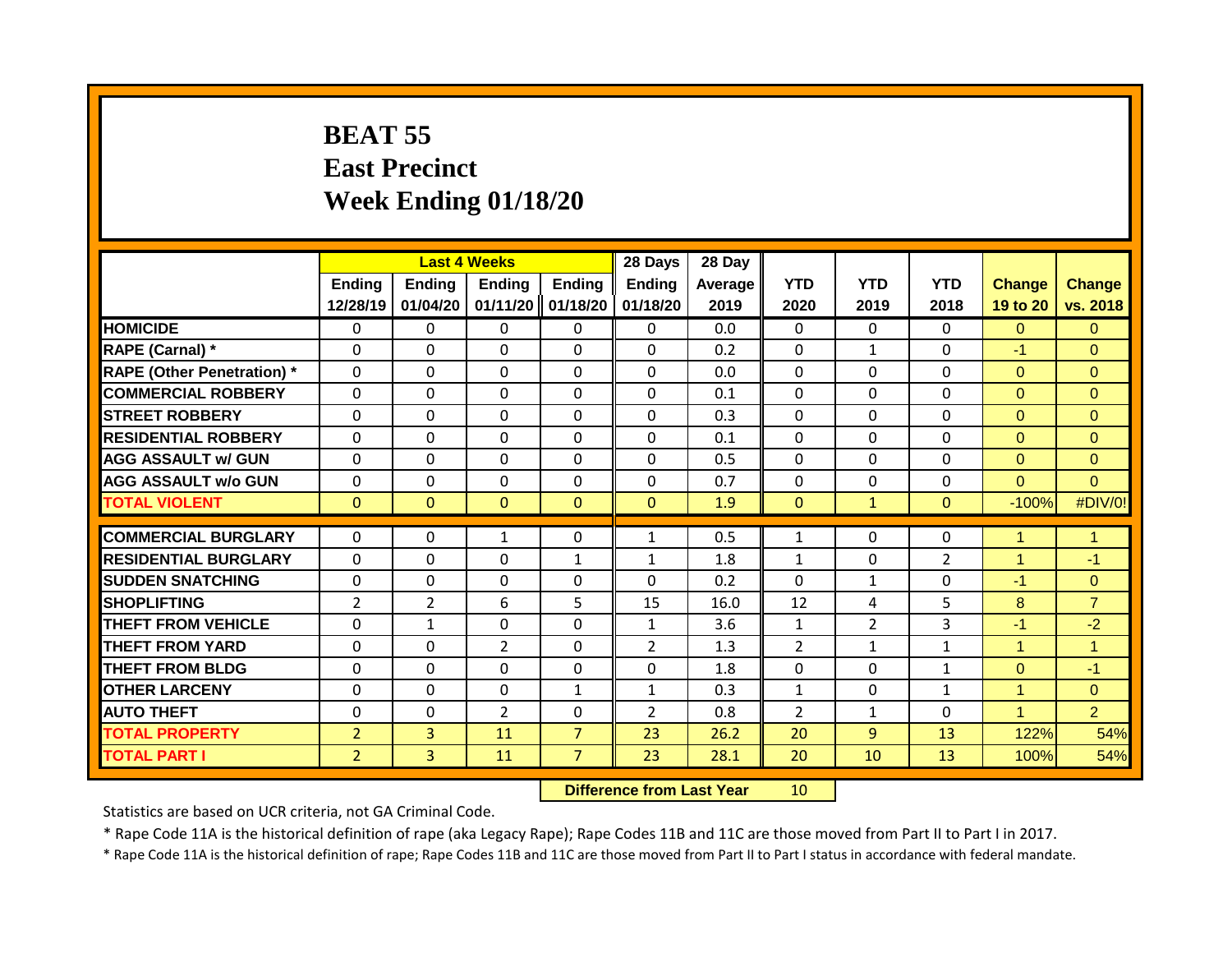## **BEAT 55 East Precinct Week Ending 01/18/20**

|                                   |                    |                    | <b>Last 4 Weeks</b>       |                           | 28 Days                   | 28 Day             |                    |                    |                    |                           |                           |
|-----------------------------------|--------------------|--------------------|---------------------------|---------------------------|---------------------------|--------------------|--------------------|--------------------|--------------------|---------------------------|---------------------------|
|                                   | Ending<br>12/28/19 | Ending<br>01/04/20 | <b>Ending</b><br>01/11/20 | <b>Ending</b><br>01/18/20 | <b>Ending</b><br>01/18/20 | Average   <br>2019 | <b>YTD</b><br>2020 | <b>YTD</b><br>2019 | <b>YTD</b><br>2018 | <b>Change</b><br>19 to 20 | <b>Change</b><br>vs. 2018 |
| <b>HOMICIDE</b>                   | $\mathbf{0}$       | 0                  | $\mathbf{0}$              | 0                         | 0                         | 0.0                | $\mathbf{0}$       | $\Omega$           | 0                  | $\Omega$                  | $\overline{0}$            |
| RAPE (Carnal) *                   | $\Omega$           | 0                  | $\Omega$                  | $\Omega$                  | $\Omega$                  | 0.2                | $\mathbf{0}$       | $\mathbf{1}$       | 0                  | $-1$                      | $\Omega$                  |
| <b>RAPE (Other Penetration) *</b> | $\mathbf 0$        | 0                  | $\Omega$                  | $\Omega$                  | 0                         | 0.0                | $\mathbf{0}$       | $\Omega$           | 0                  | $\Omega$                  | $\Omega$                  |
| <b>COMMERCIAL ROBBERY</b>         | $\Omega$           | $\Omega$           | $\Omega$                  | $\Omega$                  | $\Omega$                  | 0.1                | $\Omega$           | $\Omega$           | $\Omega$           | $\Omega$                  | $\Omega$                  |
| <b>STREET ROBBERY</b>             | $\Omega$           | 0                  | $\Omega$                  | $\Omega$                  | $\Omega$                  | 0.3                | $\mathbf{0}$       | $\Omega$           | $\Omega$           | $\Omega$                  | $\Omega$                  |
| <b>RESIDENTIAL ROBBERY</b>        | $\Omega$           | 0                  | $\Omega$                  | $\Omega$                  | $\Omega$                  | 0.1                | $\mathbf{0}$       | $\Omega$           | 0                  | $\Omega$                  | $\Omega$                  |
| <b>AGG ASSAULT w/ GUN</b>         | $\Omega$           | 0                  | $\Omega$                  | $\Omega$                  | $\Omega$                  | 0.5                | $\mathbf{0}$       | $\Omega$           | 0                  | $\Omega$                  | $\Omega$                  |
| <b>AGG ASSAULT w/o GUN</b>        | $\Omega$           | 0                  | $\Omega$                  | $\Omega$                  | $\Omega$                  | 0.7                | $\mathbf{0}$       | $\Omega$           | 0                  | $\Omega$                  | $\Omega$                  |
| <b>TOTAL VIOLENT</b>              | $\Omega$           | $\Omega$           | $\Omega$                  | $\Omega$                  | $\Omega$                  | 1.9                | $\mathbf{0}$       | $\mathbf{1}$       | $\Omega$           | $-100%$                   | #DIV/0!                   |
| <b>COMMERCIAL BURGLARY</b>        | $\Omega$           | 0                  | $\mathbf{1}$              | 0                         | 1                         | 0.5                | $\mathbf{1}$       | 0                  | 0                  | 1                         | $\mathbf{1}$              |
| <b>RESIDENTIAL BURGLARY</b>       | $\mathbf 0$        | 0                  | $\Omega$                  | $\mathbf{1}$              | $\mathbf{1}$              | 1.8                | $\mathbf{1}$       | $\Omega$           | $\overline{2}$     | 1                         | $-1$                      |
| <b>SUDDEN SNATCHING</b>           | $\Omega$           | 0                  | $\mathbf{0}$              | 0                         | 0                         | 0.2                | $\Omega$           | $\mathbf{1}$       | 0                  | $-1$                      | $\Omega$                  |
| <b>SHOPLIFTING</b>                | $\overline{2}$     | 2                  | 6                         | 5                         | 15                        | 16.0               | 12                 | 4                  | 5                  | 8                         | $\overline{7}$            |
| <b>THEFT FROM VEHICLE</b>         | $\Omega$           | 1                  | $\Omega$                  | 0                         | $\mathbf{1}$              | 3.6                | $\mathbf{1}$       | 2                  | 3                  | $-1$                      | $-2$                      |
| <b>THEFT FROM YARD</b>            | 0                  | 0                  | $\overline{2}$            | 0                         | $\overline{2}$            | 1.3                | $\overline{2}$     | $\mathbf{1}$       | $\mathbf 1$        | 1                         | $\mathbf{1}$              |
| <b>THEFT FROM BLDG</b>            | $\Omega$           | 0                  | $\Omega$                  | 0                         | $\Omega$                  | 1.8                | $\mathbf 0$        | $\Omega$           | $\mathbf 1$        | $\Omega$                  | $-1$                      |
| <b>OTHER LARCENY</b>              | $\Omega$           | 0                  | $\Omega$                  | $\mathbf{1}$              | $\mathbf{1}$              | 0.3                | $\mathbf{1}$       | $\Omega$           | $\mathbf 1$        | 4                         | $\Omega$                  |
| <b>AUTO THEFT</b>                 | $\Omega$           | 0                  | $\overline{2}$            | $\Omega$                  | $\overline{2}$            | 0.8                | $\overline{2}$     | $\mathbf{1}$       | 0                  | 4                         | $\overline{2}$            |
| <b>TOTAL PROPERTY</b>             | $\overline{2}$     | 3                  | 11                        | $\overline{7}$            | 23                        | 26.2               | 20                 | 9                  | 13                 | 122%                      | 54%                       |
| <b>TOTAL PART I</b>               | $\overline{2}$     | 3                  | 11                        | $\overline{7}$            | 23                        | 28.1               | 20                 | 10                 | 13                 | 100%                      | 54%                       |

**Difference from Last Year** 10

Statistics are based on UCR criteria, not GA Criminal Code.

\* Rape Code 11A is the historical definition of rape (aka Legacy Rape); Rape Codes 11B and 11C are those moved from Part II to Part I in 2017.